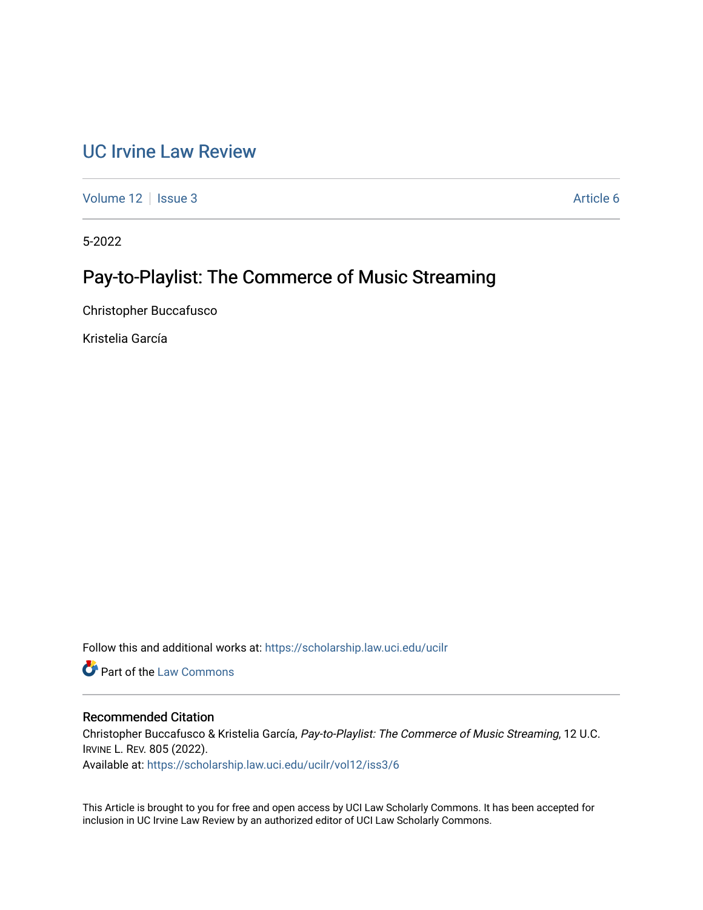# [UC Irvine Law Review](https://scholarship.law.uci.edu/ucilr)

[Volume 12](https://scholarship.law.uci.edu/ucilr/vol12) | [Issue 3](https://scholarship.law.uci.edu/ucilr/vol12/iss3) Article 6

5-2022

# Pay-to-Playlist: The Commerce of Music Streaming

Christopher Buccafusco

Kristelia García

Follow this and additional works at: [https://scholarship.law.uci.edu/ucilr](https://scholarship.law.uci.edu/ucilr?utm_source=scholarship.law.uci.edu%2Fucilr%2Fvol12%2Fiss3%2F6&utm_medium=PDF&utm_campaign=PDFCoverPages)

**C** Part of the [Law Commons](https://network.bepress.com/hgg/discipline/578?utm_source=scholarship.law.uci.edu%2Fucilr%2Fvol12%2Fiss3%2F6&utm_medium=PDF&utm_campaign=PDFCoverPages)

# Recommended Citation

Christopher Buccafusco & Kristelia García, Pay-to-Playlist: The Commerce of Music Streaming, 12 U.C. IRVINE L. REV. 805 (2022).

Available at: [https://scholarship.law.uci.edu/ucilr/vol12/iss3/6](https://scholarship.law.uci.edu/ucilr/vol12/iss3/6?utm_source=scholarship.law.uci.edu%2Fucilr%2Fvol12%2Fiss3%2F6&utm_medium=PDF&utm_campaign=PDFCoverPages) 

This Article is brought to you for free and open access by UCI Law Scholarly Commons. It has been accepted for inclusion in UC Irvine Law Review by an authorized editor of UCI Law Scholarly Commons.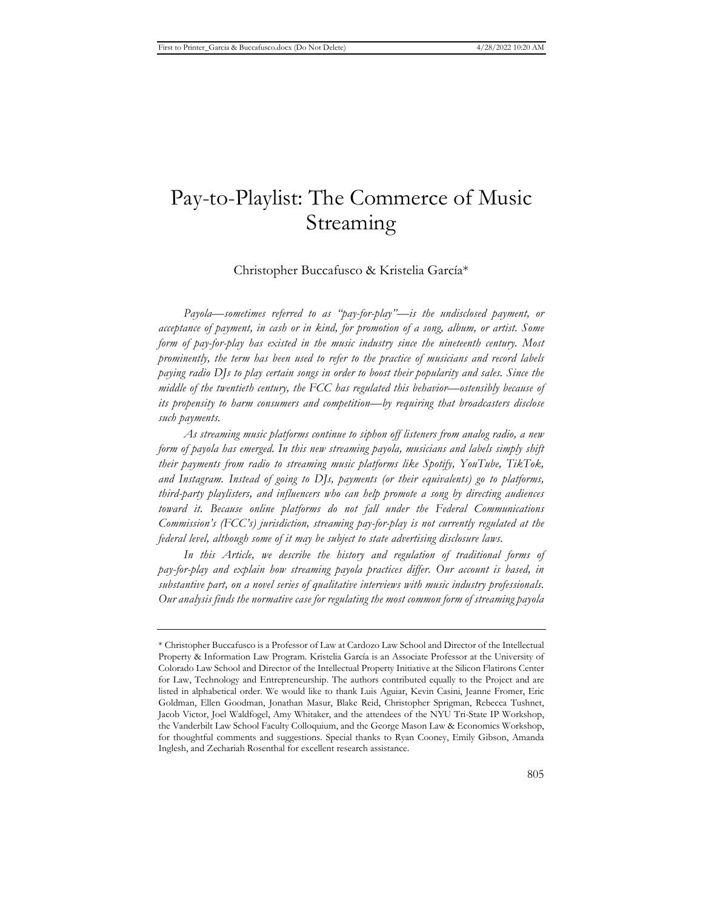# Pay-to-Playlist: The Commerce of Music Streaming

# Christopher Buccafusco & Kristelia García\*

*Payola—sometimes referred to as "pay-for-play"—is the undisclosed payment, or acceptance of payment, in cash or in kind, for promotion of a song, album, or artist. Some form of pay-for-play has existed in the music industry since the nineteenth century. Most prominently, the term has been used to refer to the practice of musicians and record labels paying radio DJs to play certain songs in order to boost their popularity and sales. Since the middle of the twentieth century, the FCC has regulated this behavior—ostensibly because of its propensity to harm consumers and competition—by requiring that broadcasters disclose such payments.*

*As streaming music platforms continue to siphon off listeners from analog radio, a new form of payola has emerged. In this new streaming payola, musicians and labels simply shift their payments from radio to streaming music platforms like Spotify, YouTube, TikTok, and Instagram. Instead of going to DJs, payments (or their equivalents) go to platforms, third-party playlisters, and influencers who can help promote a song by directing audiences toward it. Because online platforms do not fall under the Federal Communications Commission's (FCC's) jurisdiction, streaming pay-for-play is not currently regulated at the federal level, although some of it may be subject to state advertising disclosure laws.*

In this Article, we describe the history and regulation of traditional forms of *pay-for-play and explain how streaming payola practices differ. Our account is based, in substantive part, on a novel series of qualitative interviews with music industry professionals. Our analysis finds the normative case for regulating the most common form of streaming payola* 

<sup>\*</sup> Christopher Buccafusco is a Professor of Law at Cardozo Law School and Director of the Intellectual Property & Information Law Program. Kristelia García is an Associate Professor at the University of Colorado Law School and Director of the Intellectual Property Initiative at the Silicon Flatirons Center for Law, Technology and Entrepreneurship. The authors contributed equally to the Project and are listed in alphabetical order. We would like to thank Luis Aguiar, Kevin Casini, Jeanne Fromer, Eric Goldman, Ellen Goodman, Jonathan Masur, Blake Reid, Christopher Sprigman, Rebecca Tushnet, Jacob Victor, Joel Waldfogel, Amy Whitaker, and the attendees of the NYU Tri-State IP Workshop, the Vanderbilt Law School Faculty Colloquium, and the George Mason Law & Economics Workshop, for thoughtful comments and suggestions. Special thanks to Ryan Cooney, Emily Gibson, Amanda Inglesh, and Zechariah Rosenthal for excellent research assistance.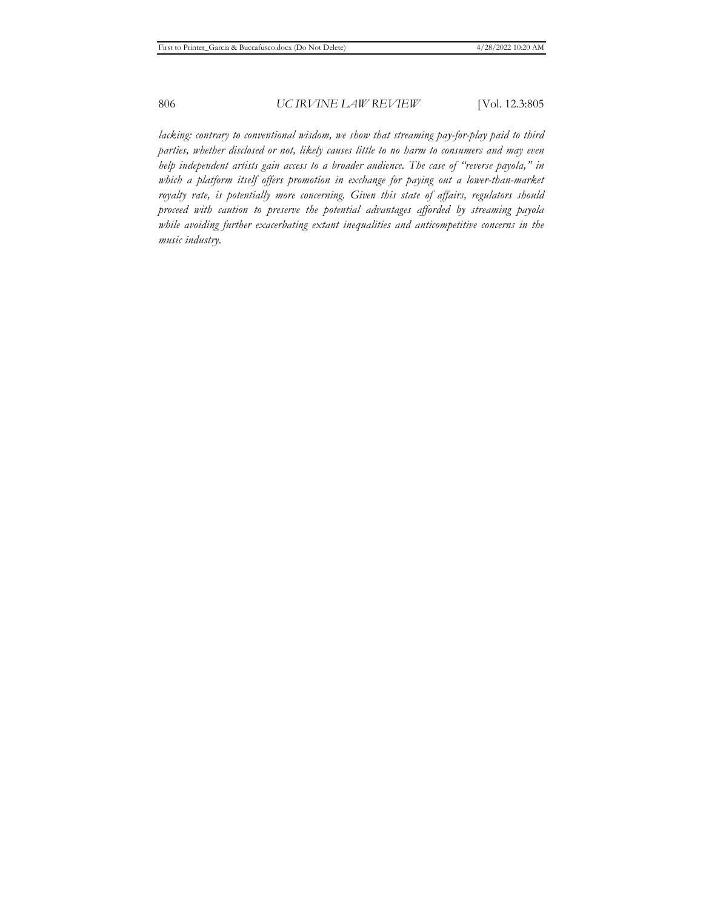*lacking: contrary to conventional wisdom, we show that streaming pay-for-play paid to third parties, whether disclosed or not, likely causes little to no harm to consumers and may even help independent artists gain access to a broader audience. The case of "reverse payola," in*  which a platform itself offers promotion in exchange for paying out a lower-than-market *royalty rate, is potentially more concerning. Given this state of affairs, regulators should proceed with caution to preserve the potential advantages afforded by streaming payola while avoiding further exacerbating extant inequalities and anticompetitive concerns in the music industry.*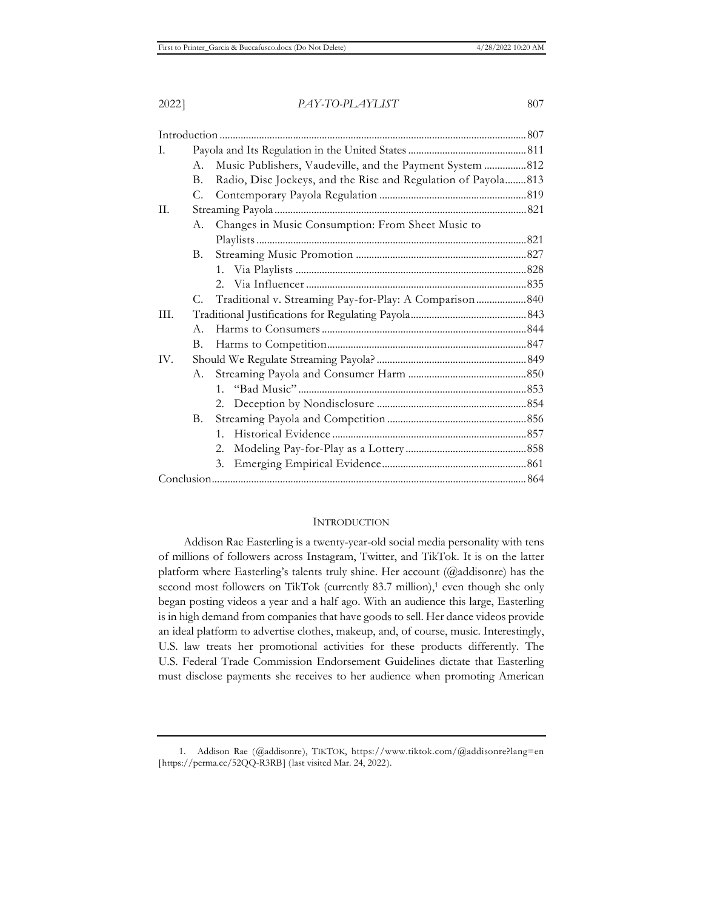Introduction ..................................................................................................................... 807 I. Payola and Its Regulation in the United States ............................................. 811 A. Music Publishers, Vaudeville, and the Payment System ................ 812 B. Radio, Disc Jockeys, and the Rise and Regulation of Payola.........813 C. Contemporary Payola Regulation ........................................................ 819 II. Streaming Payola ................................................................................................ 821 A. Changes in Music Consumption: From Sheet Music to Playlists ....................................................................................................... 821 B. Streaming Music Promotion ................................................................. 827 1. Via Playlists ........................................................................................ 828 2. Via Influencer .................................................................................... 835 C. Traditional v. Streaming Pay-for-Play: A Comparison ................... 840 III. Traditional Justifications for Regulating Payola ............................................ 843 A. Harms to Consumers .............................................................................. 844 B. Harms to Competition ............................................................................ 847 IV. Should We Regulate Streaming Payola? ......................................................... 849 A. Streaming Payola and Consumer Harm ............................................. 850 1. "Bad Music" ....................................................................................... 853 2. Deception by Nondisclosure ......................................................... 854 B. Streaming Payola and Competition ..................................................... 856 1. Historical Evidence .......................................................................... 857 2. Modeling Pay-for-Play as a Lottery .............................................. 858 3. Emerging Empirical Evidence ....................................................... 861 Conclusion ........................................................................................................................ 864

#### INTRODUCTION

Addison Rae Easterling is a twenty-year-old social media personality with tens of millions of followers across Instagram, Twitter, and TikTok. It is on the latter platform where Easterling's talents truly shine. Her account (@addisonre) has the second most followers on TikTok (currently 83.7 million),<sup>1</sup> even though she only began posting videos a year and a half ago. With an audience this large, Easterling is in high demand from companies that have goods to sell. Her dance videos provide an ideal platform to advertise clothes, makeup, and, of course, music. Interestingly, U.S. law treats her promotional activities for these products differently. The U.S. Federal Trade Commission Endorsement Guidelines dictate that Easterling must disclose payments she receives to her audience when promoting American

<sup>1.</sup> Addison Rae (@addisonre), TIKTOK, https://www.tiktok.com/@addisonre?lang=en [https://perma.cc/52QQ-R3RB] (last visited Mar. 24, 2022).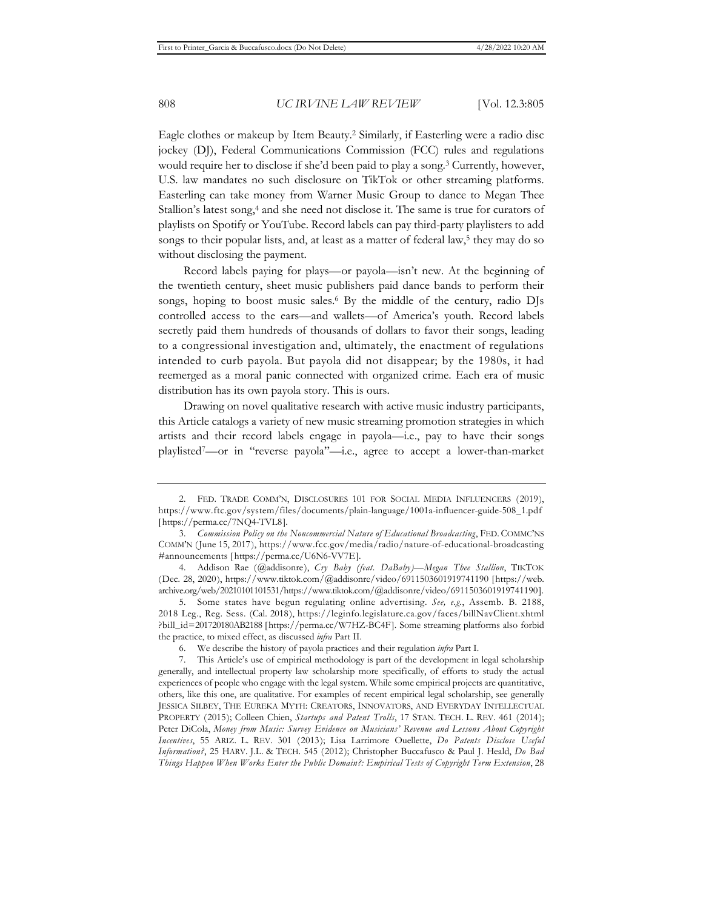Eagle clothes or makeup by Item Beauty.2 Similarly, if Easterling were a radio disc jockey (DJ), Federal Communications Commission (FCC) rules and regulations would require her to disclose if she'd been paid to play a song.3 Currently, however, U.S. law mandates no such disclosure on TikTok or other streaming platforms. Easterling can take money from Warner Music Group to dance to Megan Thee Stallion's latest song,<sup>4</sup> and she need not disclose it. The same is true for curators of playlists on Spotify or YouTube. Record labels can pay third-party playlisters to add songs to their popular lists, and, at least as a matter of federal law,<sup>5</sup> they may do so without disclosing the payment.

Record labels paying for plays—or payola—isn't new. At the beginning of the twentieth century, sheet music publishers paid dance bands to perform their songs, hoping to boost music sales.<sup>6</sup> By the middle of the century, radio DJs controlled access to the ears—and wallets—of America's youth. Record labels secretly paid them hundreds of thousands of dollars to favor their songs, leading to a congressional investigation and, ultimately, the enactment of regulations intended to curb payola. But payola did not disappear; by the 1980s, it had reemerged as a moral panic connected with organized crime. Each era of music distribution has its own payola story. This is ours.

Drawing on novel qualitative research with active music industry participants, this Article catalogs a variety of new music streaming promotion strategies in which artists and their record labels engage in payola—i.e., pay to have their songs playlisted7—or in "reverse payola"—i.e., agree to accept a lower-than-market

<sup>2.</sup> FED. TRADE COMM'N, DISCLOSURES 101 FOR SOCIAL MEDIA INFLUENCERS (2019), https://www.ftc.gov/system/files/documents/plain-language/1001a-influencer-guide-508\_1.pdf [https://perma.cc/7NQ4-TVL8].

<sup>3.</sup> *Commission Policy on the Noncommercial Nature of Educational Broadcasting*, FED. COMMC'NS COMM'N (June 15, 2017), https://www.fcc.gov/media/radio/nature-of-educational-broadcasting #announcements [https://perma.cc/U6N6-VV7E].

<sup>4.</sup> Addison Rae (@addisonre), *Cry Baby (feat. DaBaby)—Megan Thee Stallion*, TIKTOK (Dec. 28, 2020), https://www.tiktok.com/@addisonre/video/6911503601919741190 [https://web. archive.org/web/20210101101531/https://www.tiktok.com/@addisonre/video/6911503601919741190].

<sup>5.</sup> Some states have begun regulating online advertising. *See, e.g.*, Assemb. B. 2188, 2018 Leg., Reg. Sess. (Cal. 2018), https://leginfo.legislature.ca.gov/faces/billNavClient.xhtml ?bill\_id=201720180AB2188 [https://perma.cc/W7HZ-BC4F]. Some streaming platforms also forbid the practice, to mixed effect, as discussed *infra* Part II.

<sup>6.</sup> We describe the history of payola practices and their regulation *infra* Part I.

<sup>7.</sup> This Article's use of empirical methodology is part of the development in legal scholarship generally, and intellectual property law scholarship more specifically, of efforts to study the actual experiences of people who engage with the legal system. While some empirical projects are quantitative, others, like this one, are qualitative. For examples of recent empirical legal scholarship, see generally JESSICA SILBEY, THE EUREKA MYTH: CREATORS, INNOVATORS, AND EVERYDAY INTELLECTUAL PROPERTY (2015); Colleen Chien, *Startups and Patent Trolls*, 17 STAN. TECH. L. REV. 461 (2014); Peter DiCola, *Money from Music: Survey Evidence on Musicians' Revenue and Lessons About Copyright Incentives*, 55 ARIZ. L. REV. 301 (2013); Lisa Larrimore Ouellette, *Do Patents Disclose Useful Information?*, 25 HARV. J.L. & TECH. 545 (2012); Christopher Buccafusco & Paul J. Heald, *Do Bad Things Happen When Works Enter the Public Domain?: Empirical Tests of Copyright Term Extension*, 28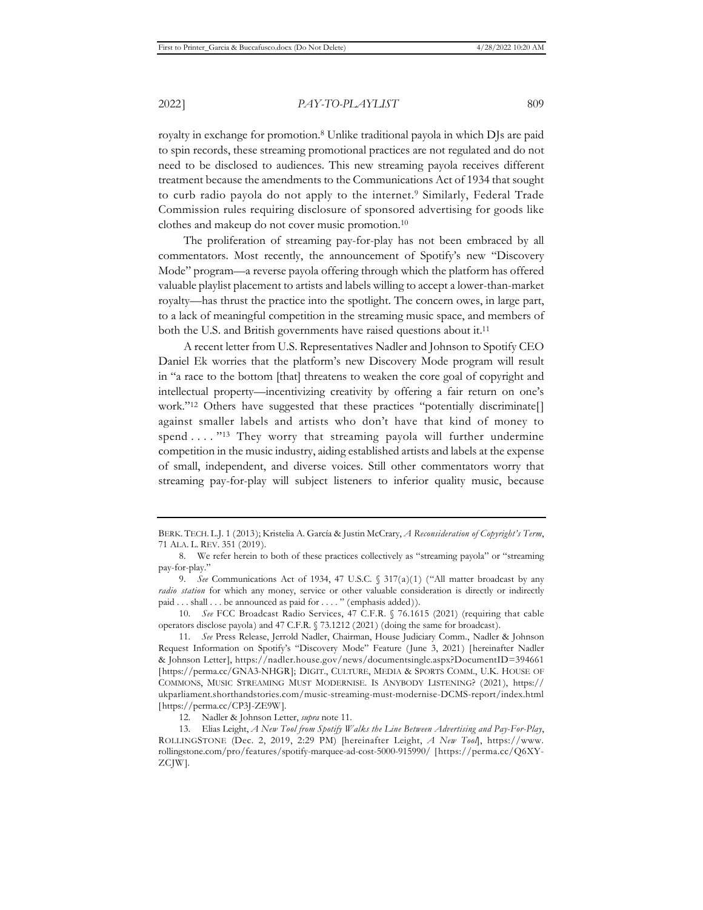royalty in exchange for promotion.8 Unlike traditional payola in which DJs are paid to spin records, these streaming promotional practices are not regulated and do not need to be disclosed to audiences. This new streaming payola receives different treatment because the amendments to the Communications Act of 1934 that sought to curb radio payola do not apply to the internet.<sup>9</sup> Similarly, Federal Trade Commission rules requiring disclosure of sponsored advertising for goods like clothes and makeup do not cover music promotion.10

The proliferation of streaming pay-for-play has not been embraced by all commentators. Most recently, the announcement of Spotify's new "Discovery Mode" program—a reverse payola offering through which the platform has offered valuable playlist placement to artists and labels willing to accept a lower-than-market royalty—has thrust the practice into the spotlight. The concern owes, in large part, to a lack of meaningful competition in the streaming music space, and members of both the U.S. and British governments have raised questions about it.<sup>11</sup>

A recent letter from U.S. Representatives Nadler and Johnson to Spotify CEO Daniel Ek worries that the platform's new Discovery Mode program will result in "a race to the bottom [that] threatens to weaken the core goal of copyright and intellectual property—incentivizing creativity by offering a fair return on one's work."<sup>12</sup> Others have suggested that these practices "potentially discriminate[] against smaller labels and artists who don't have that kind of money to spend  $\dots$ . "<sup>13</sup> They worry that streaming payola will further undermine competition in the music industry, aiding established artists and labels at the expense of small, independent, and diverse voices. Still other commentators worry that streaming pay-for-play will subject listeners to inferior quality music, because

BERK. TECH. L.J. 1 (2013); Kristelia A. García & Justin McCrary, *A Reconsideration of Copyright's Term*, 71 ALA. L. REV. 351 (2019).

<sup>8.</sup> We refer herein to both of these practices collectively as "streaming payola" or "streaming pay-for-play."

<sup>9.</sup> *See* Communications Act of 1934, 47 U.S.C. § 317(a)(1) ("All matter broadcast by any *radio station* for which any money, service or other valuable consideration is directly or indirectly paid . . . shall . . . be announced as paid for . . . . " (emphasis added)).

<sup>10.</sup> *See* FCC Broadcast Radio Services, 47 C.F.R. § 76.1615 (2021) (requiring that cable operators disclose payola) and 47 C.F.R. § 73.1212 (2021) (doing the same for broadcast).

<sup>11.</sup> *See* Press Release, Jerrold Nadler, Chairman, House Judiciary Comm., Nadler & Johnson Request Information on Spotify's "Discovery Mode" Feature (June 3, 2021) [hereinafter Nadler & Johnson Letter], https://nadler.house.gov/news/documentsingle.aspx?DocumentID=394661 [https://perma.cc/GNA3-NHGR]; DIGIT., CULTURE, MEDIA & SPORTS COMM., U.K. HOUSE OF COMMONS, MUSIC STREAMING MUST MODERNISE. IS ANYBODY LISTENING? (2021), https:// ukparliament.shorthandstories.com/music-streaming-must-modernise-DCMS-report/index.html [https://perma.cc/CP3J-ZE9W].

<sup>12.</sup> Nadler & Johnson Letter, *supra* note 11.

<sup>13.</sup> Elias Leight, *A New Tool from Spotify Walks the Line Between Advertising and Pay-For-Play*, ROLLINGSTONE (Dec. 2, 2019, 2:29 PM) [hereinafter Leight, *A New Tool*], https://www. rollingstone.com/pro/features/spotify-marquee-ad-cost-5000-915990/ [https://perma.cc/Q6XY-ZCJW].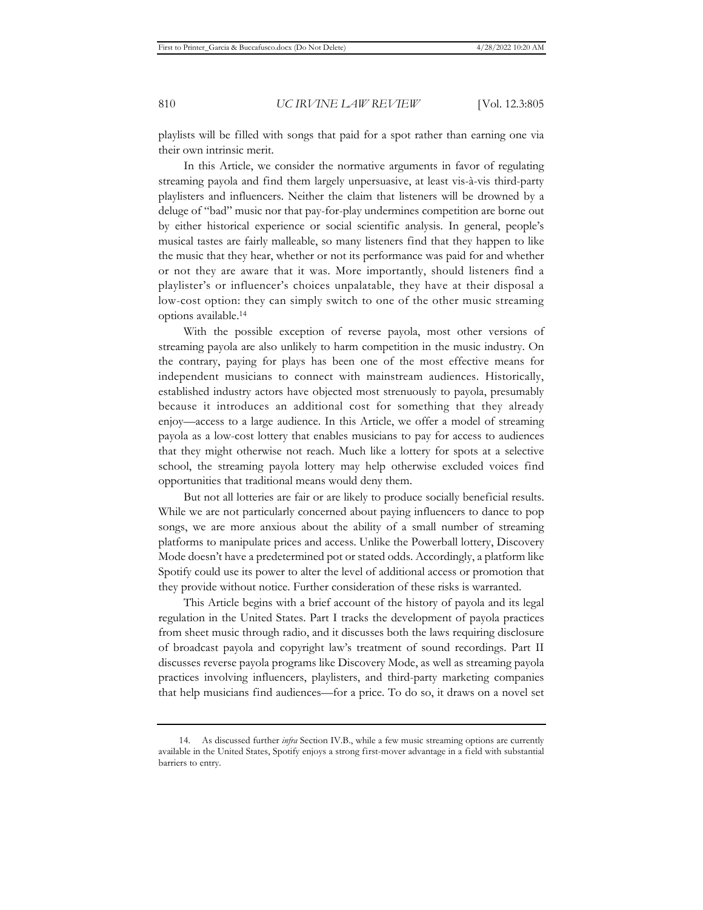playlists will be filled with songs that paid for a spot rather than earning one via their own intrinsic merit.

In this Article, we consider the normative arguments in favor of regulating streaming payola and find them largely unpersuasive, at least vis-à-vis third-party playlisters and influencers. Neither the claim that listeners will be drowned by a deluge of "bad" music nor that pay-for-play undermines competition are borne out by either historical experience or social scientific analysis. In general, people's musical tastes are fairly malleable, so many listeners find that they happen to like the music that they hear, whether or not its performance was paid for and whether or not they are aware that it was. More importantly, should listeners find a playlister's or influencer's choices unpalatable, they have at their disposal a low-cost option: they can simply switch to one of the other music streaming options available.14

With the possible exception of reverse payola, most other versions of streaming payola are also unlikely to harm competition in the music industry. On the contrary, paying for plays has been one of the most effective means for independent musicians to connect with mainstream audiences. Historically, established industry actors have objected most strenuously to payola, presumably because it introduces an additional cost for something that they already enjoy—access to a large audience. In this Article, we offer a model of streaming payola as a low-cost lottery that enables musicians to pay for access to audiences that they might otherwise not reach. Much like a lottery for spots at a selective school, the streaming payola lottery may help otherwise excluded voices find opportunities that traditional means would deny them.

But not all lotteries are fair or are likely to produce socially beneficial results. While we are not particularly concerned about paying influencers to dance to pop songs, we are more anxious about the ability of a small number of streaming platforms to manipulate prices and access. Unlike the Powerball lottery, Discovery Mode doesn't have a predetermined pot or stated odds. Accordingly, a platform like Spotify could use its power to alter the level of additional access or promotion that they provide without notice. Further consideration of these risks is warranted.

This Article begins with a brief account of the history of payola and its legal regulation in the United States. Part I tracks the development of payola practices from sheet music through radio, and it discusses both the laws requiring disclosure of broadcast payola and copyright law's treatment of sound recordings. Part II discusses reverse payola programs like Discovery Mode, as well as streaming payola practices involving influencers, playlisters, and third-party marketing companies that help musicians find audiences—for a price. To do so, it draws on a novel set

<sup>14.</sup> As discussed further *infra* Section IV.B., while a few music streaming options are currently available in the United States, Spotify enjoys a strong first-mover advantage in a field with substantial barriers to entry.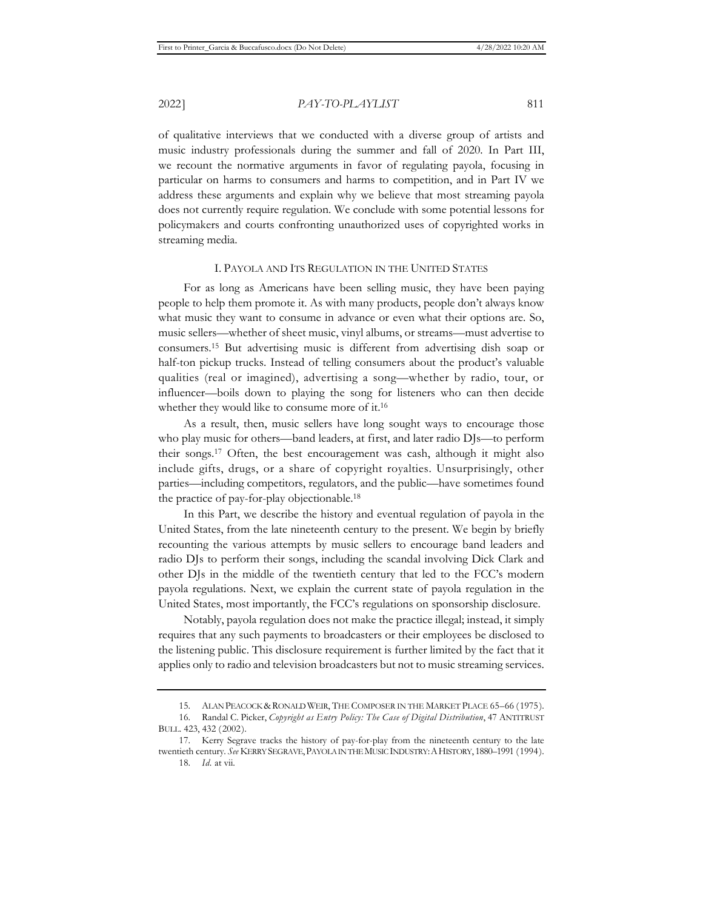of qualitative interviews that we conducted with a diverse group of artists and music industry professionals during the summer and fall of 2020. In Part III, we recount the normative arguments in favor of regulating payola, focusing in particular on harms to consumers and harms to competition, and in Part IV we address these arguments and explain why we believe that most streaming payola does not currently require regulation. We conclude with some potential lessons for policymakers and courts confronting unauthorized uses of copyrighted works in streaming media.

#### I. PAYOLA AND ITS REGULATION IN THE UNITED STATES

For as long as Americans have been selling music, they have been paying people to help them promote it. As with many products, people don't always know what music they want to consume in advance or even what their options are. So, music sellers—whether of sheet music, vinyl albums, or streams—must advertise to consumers.15 But advertising music is different from advertising dish soap or half-ton pickup trucks. Instead of telling consumers about the product's valuable qualities (real or imagined), advertising a song—whether by radio, tour, or influencer—boils down to playing the song for listeners who can then decide whether they would like to consume more of it.16

As a result, then, music sellers have long sought ways to encourage those who play music for others—band leaders, at first, and later radio DJs—to perform their songs.17 Often, the best encouragement was cash, although it might also include gifts, drugs, or a share of copyright royalties. Unsurprisingly, other parties—including competitors, regulators, and the public—have sometimes found the practice of pay-for-play objectionable.18

In this Part, we describe the history and eventual regulation of payola in the United States, from the late nineteenth century to the present. We begin by briefly recounting the various attempts by music sellers to encourage band leaders and radio DJs to perform their songs, including the scandal involving Dick Clark and other DJs in the middle of the twentieth century that led to the FCC's modern payola regulations. Next, we explain the current state of payola regulation in the United States, most importantly, the FCC's regulations on sponsorship disclosure.

Notably, payola regulation does not make the practice illegal; instead, it simply requires that any such payments to broadcasters or their employees be disclosed to the listening public. This disclosure requirement is further limited by the fact that it applies only to radio and television broadcasters but not to music streaming services.

<sup>15.</sup> ALAN PEACOCK & RONALD WEIR, THE COMPOSER IN THE MARKET PLACE 65-66 (1975).

<sup>16.</sup> Randal C. Picker, *Copyright as Entry Policy: The Case of Digital Distribution*, 47 ANTITRUST BULL. 423, 432 (2002).

<sup>17.</sup> Kerry Segrave tracks the history of pay-for-play from the nineteenth century to the late twentieth century. *See* KERRY SEGRAVE,PAYOLA IN THE MUSIC INDUSTRY:AHISTORY, 1880–1991 (1994). 18. *Id.* at vii.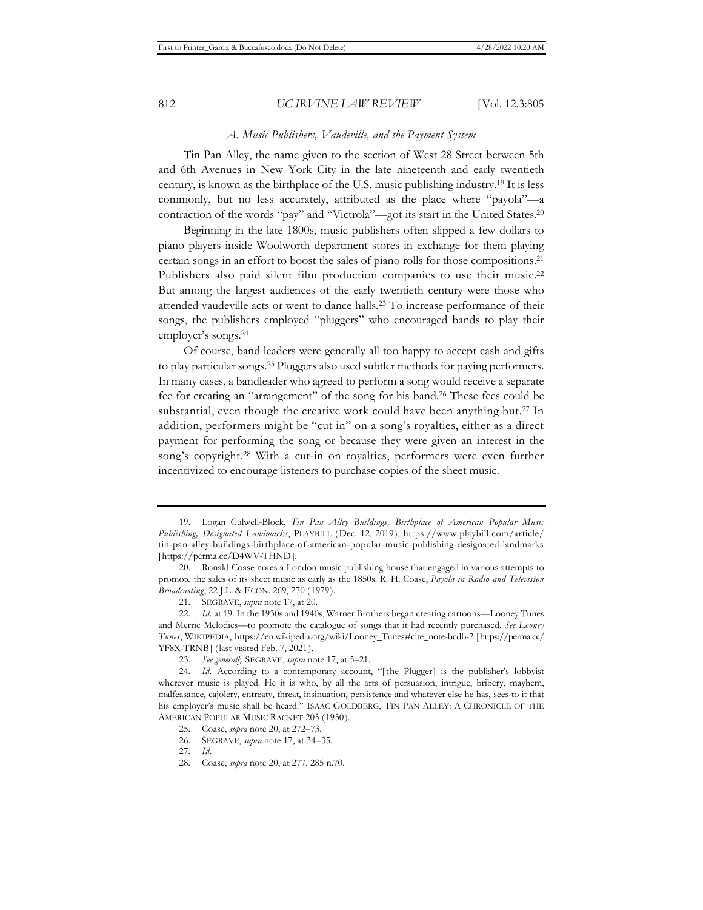#### *A. Music Publishers, Vaudeville, and the Payment System*

Tin Pan Alley, the name given to the section of West 28 Street between 5th and 6th Avenues in New York City in the late nineteenth and early twentieth century, is known as the birthplace of the U.S. music publishing industry.19 It is less commonly, but no less accurately, attributed as the place where "payola"—a contraction of the words "pay" and "Victrola"—got its start in the United States.20

Beginning in the late 1800s, music publishers often slipped a few dollars to piano players inside Woolworth department stores in exchange for them playing certain songs in an effort to boost the sales of piano rolls for those compositions.21 Publishers also paid silent film production companies to use their music.<sup>22</sup> But among the largest audiences of the early twentieth century were those who attended vaudeville acts or went to dance halls.23 To increase performance of their songs, the publishers employed "pluggers" who encouraged bands to play their employer's songs.24

Of course, band leaders were generally all too happy to accept cash and gifts to play particular songs.25 Pluggers also used subtler methods for paying performers. In many cases, a bandleader who agreed to perform a song would receive a separate fee for creating an "arrangement" of the song for his band.26 These fees could be substantial, even though the creative work could have been anything but.<sup>27</sup> In addition, performers might be "cut in" on a song's royalties, either as a direct payment for performing the song or because they were given an interest in the song's copyright.<sup>28</sup> With a cut-in on royalties, performers were even further incentivized to encourage listeners to purchase copies of the sheet music.

<sup>19.</sup> Logan Culwell-Block, *Tin Pan Alley Buildings, Birthplace of American Popular Music Publishing, Designated Landmarks*, PLAYBILL (Dec. 12, 2019), https://www.playbill.com/article/ tin-pan-alley-buildings-birthplace-of-american-popular-music-publishing-designated-landmarks [https://perma.cc/D4WV-THND].

<sup>20.</sup> Ronald Coase notes a London music publishing house that engaged in various attempts to promote the sales of its sheet music as early as the 1850s. R. H. Coase, *Payola in Radio and Television Broadcasting*, 22 J.L. & ECON. 269, 270 (1979).

<sup>21.</sup> SEGRAVE, *supra* note 17, at 20.

<sup>22.</sup> *Id.* at 19. In the 1930s and 1940s, Warner Brothers began creating cartoons—Looney Tunes and Merrie Melodies—to promote the catalogue of songs that it had recently purchased. *See Looney Tunes*, WIKIPEDIA, https://en.wikipedia.org/wiki/Looney\_Tunes#cite\_note-bcdb-2 [https://perma.cc/ YF8X-TRNB] (last visited Feb. 7, 2021).

<sup>23.</sup> *See generally* SEGRAVE, *supra* note 17, at 5–21.

<sup>24.</sup> *Id.* According to a contemporary account, "[the Plugger] is the publisher's lobbyist wherever music is played. He it is who, by all the arts of persuasion, intrigue, bribery, mayhem, malfeasance, cajolery, entreaty, threat, insinuation, persistence and whatever else he has, sees to it that his employer's music shall be heard." ISAAC GOLDBERG, TIN PAN ALLEY: A CHRONICLE OF THE AMERICAN POPULAR MUSIC RACKET 203 (1930).

<sup>25.</sup> Coase, *supra* note 20, at 272–73.

<sup>26.</sup> SEGRAVE, *supra* note 17, at 34–35.

<sup>27.</sup> *Id.*

<sup>28.</sup> Coase, *supra* note 20, at 277, 285 n.70.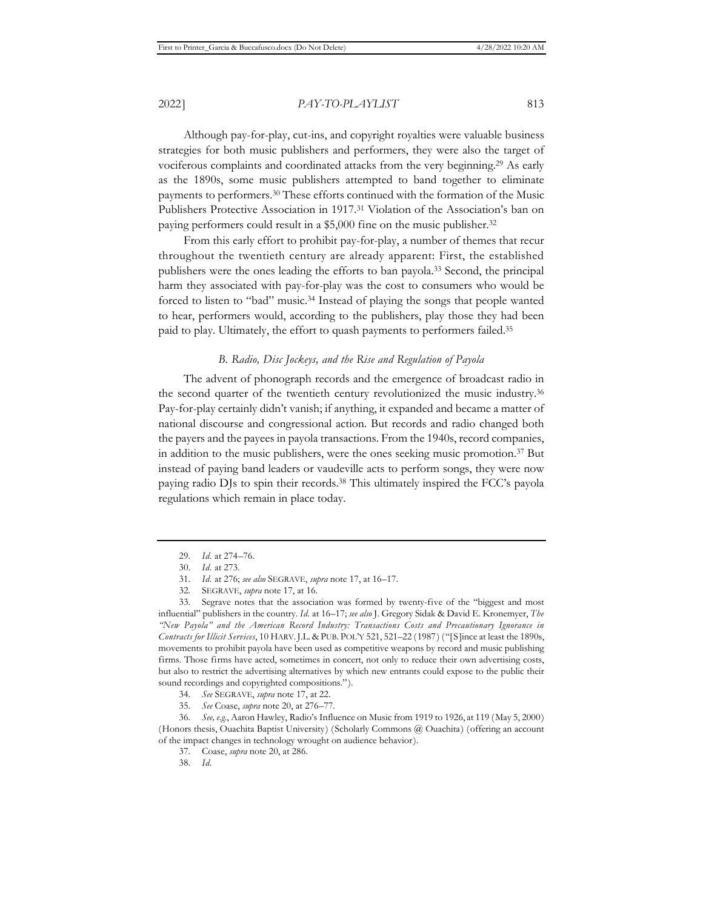Although pay-for-play, cut-ins, and copyright royalties were valuable business strategies for both music publishers and performers, they were also the target of vociferous complaints and coordinated attacks from the very beginning.29 As early as the 1890s, some music publishers attempted to band together to eliminate payments to performers.30 These efforts continued with the formation of the Music Publishers Protective Association in 1917.31 Violation of the Association's ban on paying performers could result in a \$5,000 fine on the music publisher.<sup>32</sup>

From this early effort to prohibit pay-for-play, a number of themes that recur throughout the twentieth century are already apparent: First, the established publishers were the ones leading the efforts to ban payola.33 Second, the principal harm they associated with pay-for-play was the cost to consumers who would be forced to listen to "bad" music.34 Instead of playing the songs that people wanted to hear, performers would, according to the publishers, play those they had been paid to play. Ultimately, the effort to quash payments to performers failed.35

### *B. Radio, Disc Jockeys, and the Rise and Regulation of Payola*

The advent of phonograph records and the emergence of broadcast radio in the second quarter of the twentieth century revolutionized the music industry.36 Pay-for-play certainly didn't vanish; if anything, it expanded and became a matter of national discourse and congressional action. But records and radio changed both the payers and the payees in payola transactions. From the 1940s, record companies, in addition to the music publishers, were the ones seeking music promotion.37 But instead of paying band leaders or vaudeville acts to perform songs, they were now paying radio DJs to spin their records.38 This ultimately inspired the FCC's payola regulations which remain in place today.

<sup>29.</sup> *Id.* at 274–76.

<sup>30.</sup> *Id.* at 273.

<sup>31.</sup> *Id.* at 276; *see also* SEGRAVE, *supra* note 17, at 16–17.

<sup>32.</sup> SEGRAVE, *supra* note 17, at 16.

<sup>33.</sup> Segrave notes that the association was formed by twenty-five of the "biggest and most influential" publishers in the country. *Id.* at 16–17; *see also* J. Gregory Sidak & David E. Kronemyer, *The "New Payola" and the American Record Industry: Transactions Costs and Precautionary Ignorance in Contracts for Illicit Services*, 10 HARV.J.L. & PUB. POL'Y 521, 521–22 (1987) ("[S]ince at least the 1890s, movements to prohibit payola have been used as competitive weapons by record and music publishing firms. Those firms have acted, sometimes in concert, not only to reduce their own advertising costs, but also to restrict the advertising alternatives by which new entrants could expose to the public their sound recordings and copyrighted compositions.").

<sup>34.</sup> *See* SEGRAVE, *supra* note 17, at 22.

<sup>35.</sup> *See* Coase, *supra* note 20, at 276–77.

<sup>36.</sup> *See, e.g.*, Aaron Hawley, Radio's Influence on Music from 1919 to 1926, at 119 (May 5, 2000) (Honors thesis, Ouachita Baptist University) (Scholarly Commons @ Ouachita) (offering an account of the impact changes in technology wrought on audience behavior).

<sup>37.</sup> Coase, *supra* note 20, at 286.

<sup>38.</sup> *Id.*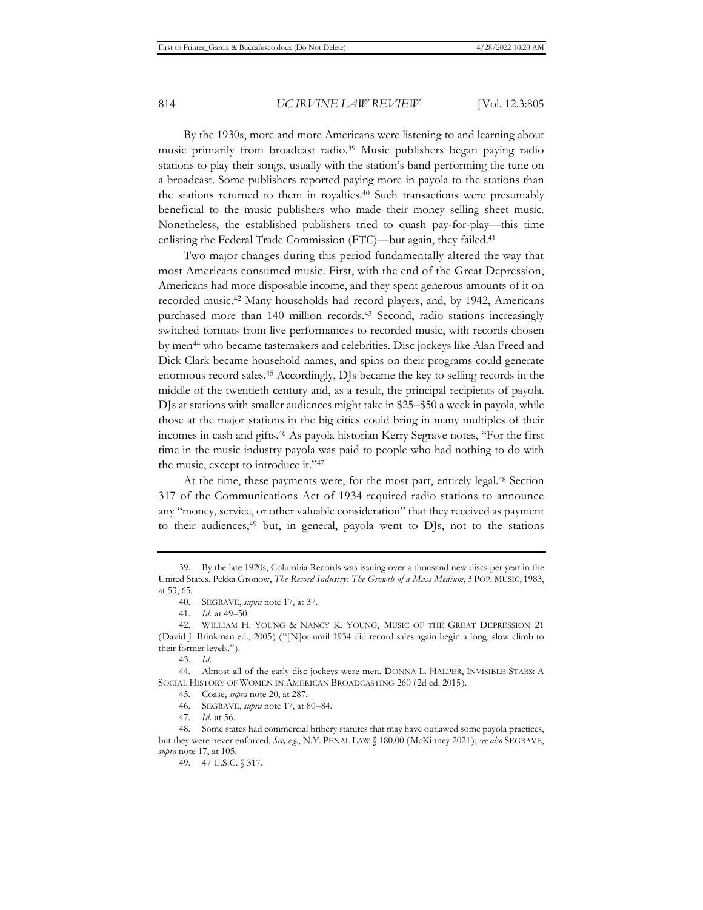By the 1930s, more and more Americans were listening to and learning about music primarily from broadcast radio.39 Music publishers began paying radio stations to play their songs, usually with the station's band performing the tune on a broadcast. Some publishers reported paying more in payola to the stations than the stations returned to them in royalties.40 Such transactions were presumably beneficial to the music publishers who made their money selling sheet music. Nonetheless, the established publishers tried to quash pay-for-play—this time enlisting the Federal Trade Commission (FTC)—but again, they failed.41

Two major changes during this period fundamentally altered the way that most Americans consumed music. First, with the end of the Great Depression, Americans had more disposable income, and they spent generous amounts of it on recorded music.42 Many households had record players, and, by 1942, Americans purchased more than 140 million records.<sup>43</sup> Second, radio stations increasingly switched formats from live performances to recorded music, with records chosen by men44 who became tastemakers and celebrities. Disc jockeys like Alan Freed and Dick Clark became household names, and spins on their programs could generate enormous record sales.45 Accordingly, DJs became the key to selling records in the middle of the twentieth century and, as a result, the principal recipients of payola. DJs at stations with smaller audiences might take in \$25–\$50 a week in payola, while those at the major stations in the big cities could bring in many multiples of their incomes in cash and gifts.46 As payola historian Kerry Segrave notes, "For the first time in the music industry payola was paid to people who had nothing to do with the music, except to introduce it."47

At the time, these payments were, for the most part, entirely legal.48 Section 317 of the Communications Act of 1934 required radio stations to announce any "money, service, or other valuable consideration" that they received as payment to their audiences,<sup>49</sup> but, in general, payola went to DJs, not to the stations

43. *Id.*

47. *Id.* at 56.

<sup>39.</sup> By the late 1920s, Columbia Records was issuing over a thousand new discs per year in the United States. Pekka Gronow, *The Record Industry: The Growth of a Mass Medium*, 3 POP. MUSIC, 1983, at 53, 65.

<sup>40.</sup> SEGRAVE, *supra* note 17, at 37.

<sup>41.</sup> *Id.* at 49–50.

<sup>42.</sup> WILLIAM H. YOUNG & NANCY K. YOUNG, MUSIC OF THE GREAT DEPRESSION 21 (David J. Brinkman ed., 2005) ("[N]ot until 1934 did record sales again begin a long, slow climb to their former levels.").

<sup>44.</sup> Almost all of the early disc jockeys were men. DONNA L. HALPER, INVISIBLE STARS: A SOCIAL HISTORY OF WOMEN IN AMERICAN BROADCASTING 260 (2d ed. 2015).

<sup>45.</sup> Coase, *supra* note 20, at 287.

<sup>46.</sup> SEGRAVE, *supra* note 17, at 80–84.

<sup>48.</sup> Some states had commercial bribery statutes that may have outlawed some payola practices, but they were never enforced. *See, e.g.*, N.Y. PENAL LAW § 180.00 (McKinney 2021); *see also* SEGRAVE, *supra* note 17, at 105.

<sup>49. 47</sup> U.S.C. § 317.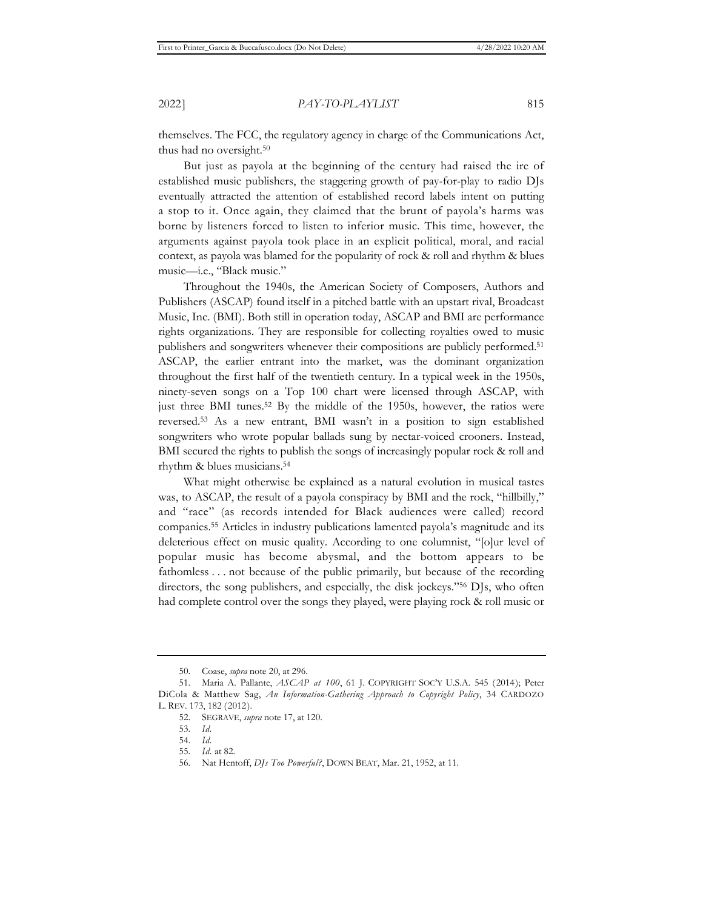themselves. The FCC, the regulatory agency in charge of the Communications Act, thus had no oversight.<sup>50</sup>

But just as payola at the beginning of the century had raised the ire of established music publishers, the staggering growth of pay-for-play to radio DJs eventually attracted the attention of established record labels intent on putting a stop to it. Once again, they claimed that the brunt of payola's harms was borne by listeners forced to listen to inferior music. This time, however, the arguments against payola took place in an explicit political, moral, and racial context, as payola was blamed for the popularity of rock & roll and rhythm & blues music—i.e., "Black music."

Throughout the 1940s, the American Society of Composers, Authors and Publishers (ASCAP) found itself in a pitched battle with an upstart rival, Broadcast Music, Inc. (BMI). Both still in operation today, ASCAP and BMI are performance rights organizations. They are responsible for collecting royalties owed to music publishers and songwriters whenever their compositions are publicly performed.<sup>51</sup> ASCAP, the earlier entrant into the market, was the dominant organization throughout the first half of the twentieth century. In a typical week in the 1950s, ninety-seven songs on a Top 100 chart were licensed through ASCAP, with just three BMI tunes.52 By the middle of the 1950s, however, the ratios were reversed.53 As a new entrant, BMI wasn't in a position to sign established songwriters who wrote popular ballads sung by nectar-voiced crooners. Instead, BMI secured the rights to publish the songs of increasingly popular rock & roll and rhythm & blues musicians.54

What might otherwise be explained as a natural evolution in musical tastes was, to ASCAP, the result of a payola conspiracy by BMI and the rock, "hillbilly," and "race" (as records intended for Black audiences were called) record companies.55 Articles in industry publications lamented payola's magnitude and its deleterious effect on music quality. According to one columnist, "[o]ur level of popular music has become abysmal, and the bottom appears to be fathomless . . . not because of the public primarily, but because of the recording directors, the song publishers, and especially, the disk jockeys."56 DJs, who often had complete control over the songs they played, were playing rock & roll music or

<sup>50.</sup> Coase, *supra* note 20, at 296.

<sup>51.</sup> Maria A. Pallante, *ASCAP at 100*, 61 J. COPYRIGHT SOC'Y U.S.A. 545 (2014); Peter DiCola & Matthew Sag, *An Information-Gathering Approach to Copyright Policy*, 34 CARDOZO L. REV. 173, 182 (2012).

<sup>52.</sup> SEGRAVE, *supra* note 17, at 120.

<sup>53.</sup> *Id.*

<sup>54.</sup> *Id.*

<sup>55.</sup> *Id.* at 82.

<sup>56.</sup> Nat Hentoff, *DJs Too Powerful?*, DOWN BEAT, Mar. 21, 1952, at 11.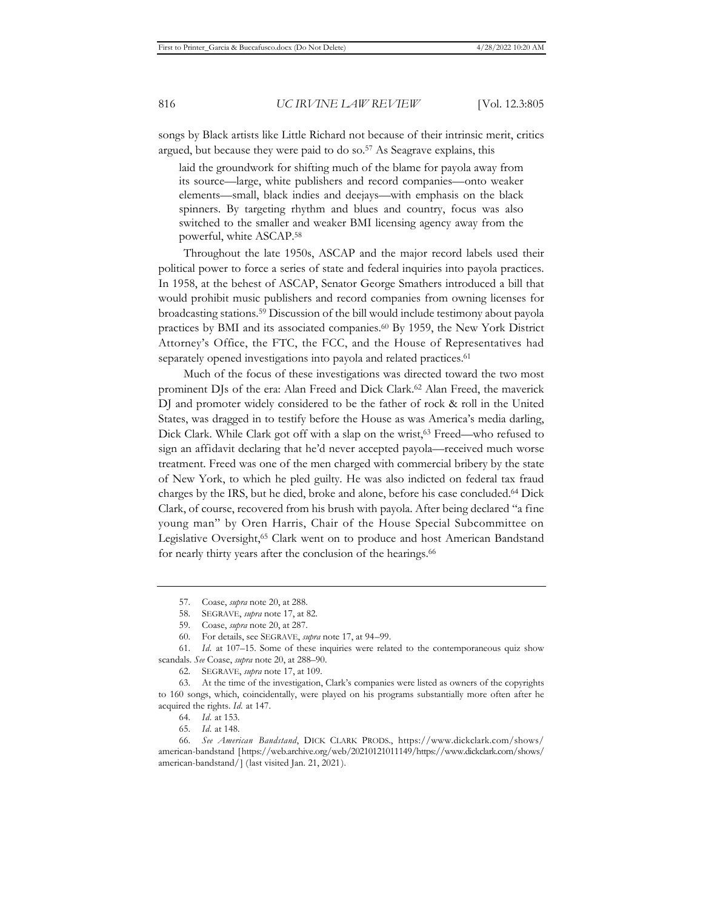songs by Black artists like Little Richard not because of their intrinsic merit, critics argued, but because they were paid to do so.57 As Seagrave explains, this

laid the groundwork for shifting much of the blame for payola away from its source—large, white publishers and record companies—onto weaker elements—small, black indies and deejays—with emphasis on the black spinners. By targeting rhythm and blues and country, focus was also switched to the smaller and weaker BMI licensing agency away from the powerful, white ASCAP.58

Throughout the late 1950s, ASCAP and the major record labels used their political power to force a series of state and federal inquiries into payola practices. In 1958, at the behest of ASCAP, Senator George Smathers introduced a bill that would prohibit music publishers and record companies from owning licenses for broadcasting stations.59 Discussion of the bill would include testimony about payola practices by BMI and its associated companies.60 By 1959, the New York District Attorney's Office, the FTC, the FCC, and the House of Representatives had separately opened investigations into payola and related practices.<sup>61</sup>

Much of the focus of these investigations was directed toward the two most prominent DJs of the era: Alan Freed and Dick Clark.<sup>62</sup> Alan Freed, the maverick DJ and promoter widely considered to be the father of rock & roll in the United States, was dragged in to testify before the House as was America's media darling, Dick Clark. While Clark got off with a slap on the wrist,<sup>63</sup> Freed—who refused to sign an affidavit declaring that he'd never accepted payola—received much worse treatment. Freed was one of the men charged with commercial bribery by the state of New York, to which he pled guilty. He was also indicted on federal tax fraud charges by the IRS, but he died, broke and alone, before his case concluded.64 Dick Clark, of course, recovered from his brush with payola. After being declared "a fine young man" by Oren Harris, Chair of the House Special Subcommittee on Legislative Oversight,65 Clark went on to produce and host American Bandstand for nearly thirty years after the conclusion of the hearings.<sup>66</sup>

<sup>57.</sup> Coase, *supra* note 20, at 288.

<sup>58.</sup> SEGRAVE, *supra* note 17, at 82.

<sup>59.</sup> Coase, *supra* note 20, at 287.

<sup>60.</sup> For details, see SEGRAVE, *supra* note 17, at 94–99.

<sup>61.</sup> *Id.* at 107–15. Some of these inquiries were related to the contemporaneous quiz show scandals. *See* Coase, *supra* note 20, at 288–90.

<sup>62.</sup> SEGRAVE, *supra* note 17, at 109.

<sup>63.</sup> At the time of the investigation, Clark's companies were listed as owners of the copyrights to 160 songs, which, coincidentally, were played on his programs substantially more often after he acquired the rights. *Id.* at 147.

<sup>64.</sup> *Id.* at 153.

<sup>65.</sup> *Id.* at 148.

<sup>66.</sup> *See American Bandstand*, DICK CLARK PRODS., https://www.dickclark.com/shows/ american-bandstand [https://web.archive.org/web/20210121011149/https://www.dickclark.com/shows/ american-bandstand/] (last visited Jan. 21, 2021).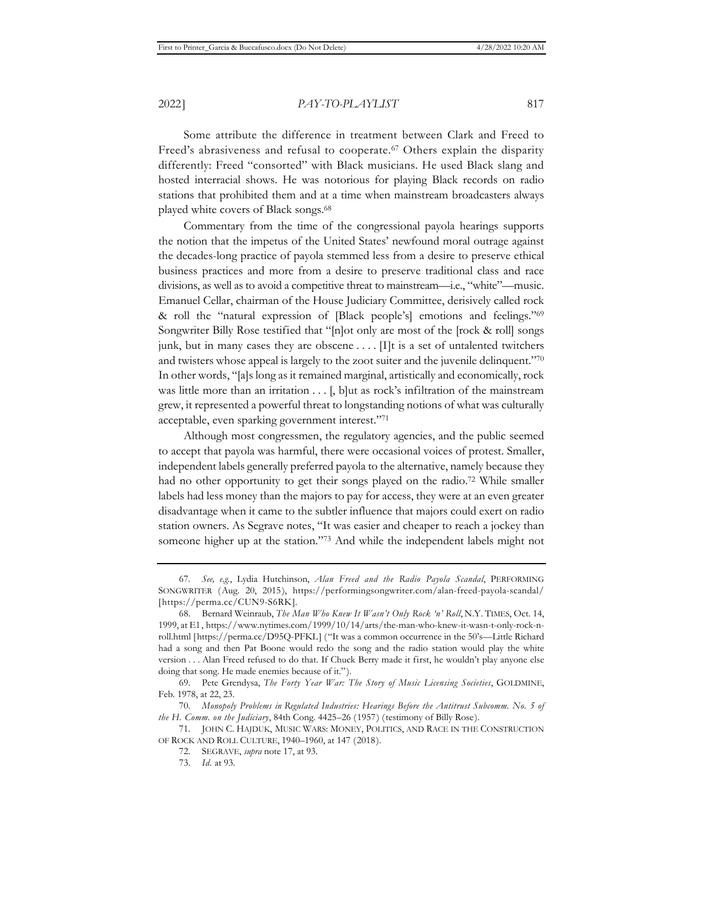Some attribute the difference in treatment between Clark and Freed to Freed's abrasiveness and refusal to cooperate.<sup>67</sup> Others explain the disparity differently: Freed "consorted" with Black musicians. He used Black slang and hosted interracial shows. He was notorious for playing Black records on radio stations that prohibited them and at a time when mainstream broadcasters always played white covers of Black songs.68

Commentary from the time of the congressional payola hearings supports the notion that the impetus of the United States' newfound moral outrage against the decades-long practice of payola stemmed less from a desire to preserve ethical business practices and more from a desire to preserve traditional class and race divisions, as well as to avoid a competitive threat to mainstream—i.e., "white"—music. Emanuel Cellar, chairman of the House Judiciary Committee, derisively called rock & roll the "natural expression of [Black people's] emotions and feelings."69 Songwriter Billy Rose testified that "[n]ot only are most of the [rock & roll] songs junk, but in many cases they are obscene  $\dots$ . [I]t is a set of untalented twitchers and twisters whose appeal is largely to the zoot suiter and the juvenile delinquent."70 In other words, "[a]s long as it remained marginal, artistically and economically, rock was little more than an irritation . . . [, b]ut as rock's infiltration of the mainstream grew, it represented a powerful threat to longstanding notions of what was culturally acceptable, even sparking government interest."71

Although most congressmen, the regulatory agencies, and the public seemed to accept that payola was harmful, there were occasional voices of protest. Smaller, independent labels generally preferred payola to the alternative, namely because they had no other opportunity to get their songs played on the radio.<sup>72</sup> While smaller labels had less money than the majors to pay for access, they were at an even greater disadvantage when it came to the subtler influence that majors could exert on radio station owners. As Segrave notes, "It was easier and cheaper to reach a jockey than someone higher up at the station."<sup>73</sup> And while the independent labels might not

<sup>67.</sup> *See, e.g.*, Lydia Hutchinson, *Alan Freed and the Radio Payola Scandal*, PERFORMING SONGWRITER (Aug. 20, 2015), https://performingsongwriter.com/alan-freed-payola-scandal/ [https://perma.cc/CUN9-S6RK].

<sup>68.</sup> Bernard Weinraub, *The Man Who Knew It Wasn't Only Rock 'n' Roll*, N.Y. TIMES, Oct. 14, 1999, at E1, https://www.nytimes.com/1999/10/14/arts/the-man-who-knew-it-wasn-t-only-rock-nroll.html [https://perma.cc/D95Q-PFKL] ("It was a common occurrence in the 50's—Little Richard had a song and then Pat Boone would redo the song and the radio station would play the white version . . . Alan Freed refused to do that. If Chuck Berry made it first, he wouldn't play anyone else doing that song. He made enemies because of it.").

<sup>69.</sup> Pete Grendysa, *The Forty Year War: The Story of Music Licensing Societies*, GOLDMINE, Feb. 1978, at 22, 23.

<sup>70.</sup> *Monopoly Problems in Regulated Industries: Hearings Before the Antitrust Subcomm. No. 5 of the H. Comm. on the Judiciary*, 84th Cong. 4425–26 (1957) (testimony of Billy Rose).

<sup>71.</sup> JOHN C. HAJDUK, MUSIC WARS: MONEY, POLITICS, AND RACE IN THE CONSTRUCTION OF ROCK AND ROLL CULTURE, 1940–1960, at 147 (2018).

<sup>72.</sup> SEGRAVE, *supra* note 17, at 93.

<sup>73.</sup> *Id.* at 93.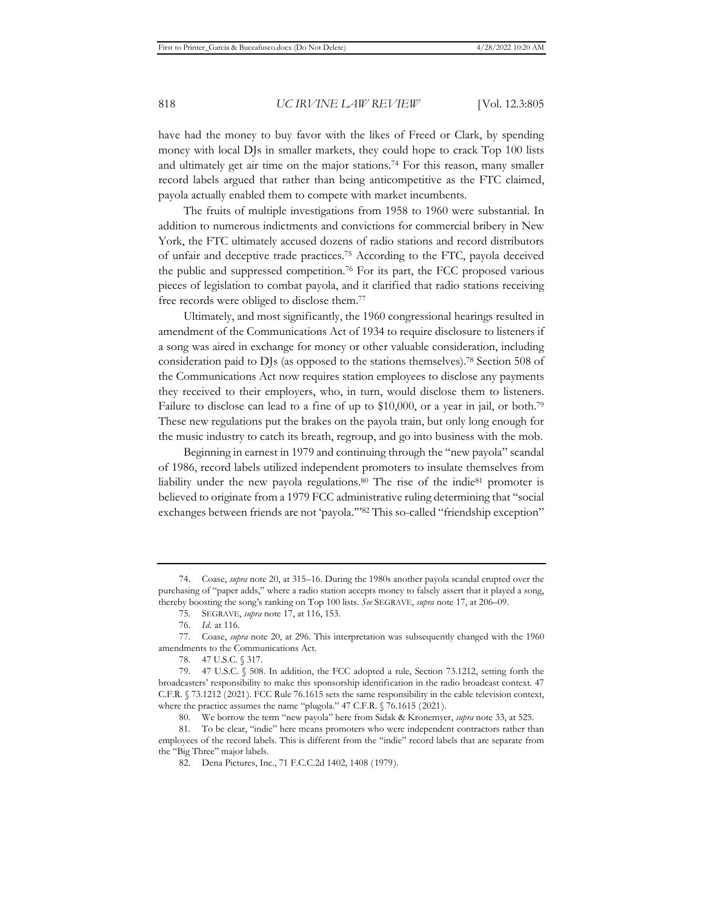have had the money to buy favor with the likes of Freed or Clark, by spending money with local DJs in smaller markets, they could hope to crack Top 100 lists and ultimately get air time on the major stations.74 For this reason, many smaller record labels argued that rather than being anticompetitive as the FTC claimed, payola actually enabled them to compete with market incumbents.

The fruits of multiple investigations from 1958 to 1960 were substantial. In addition to numerous indictments and convictions for commercial bribery in New York, the FTC ultimately accused dozens of radio stations and record distributors of unfair and deceptive trade practices.75 According to the FTC, payola deceived the public and suppressed competition.76 For its part, the FCC proposed various pieces of legislation to combat payola, and it clarified that radio stations receiving free records were obliged to disclose them.77

Ultimately, and most significantly, the 1960 congressional hearings resulted in amendment of the Communications Act of 1934 to require disclosure to listeners if a song was aired in exchange for money or other valuable consideration, including consideration paid to DJs (as opposed to the stations themselves).78 Section 508 of the Communications Act now requires station employees to disclose any payments they received to their employers, who, in turn, would disclose them to listeners. Failure to disclose can lead to a fine of up to \$10,000, or a year in jail, or both.79 These new regulations put the brakes on the payola train, but only long enough for the music industry to catch its breath, regroup, and go into business with the mob.

Beginning in earnest in 1979 and continuing through the "new payola" scandal of 1986, record labels utilized independent promoters to insulate themselves from liability under the new payola regulations.<sup>80</sup> The rise of the indie<sup>81</sup> promoter is believed to originate from a 1979 FCC administrative ruling determining that "social exchanges between friends are not 'payola.'"82 This so-called "friendship exception"

<sup>74.</sup> Coase, *supra* note 20, at 315–16. During the 1980s another payola scandal erupted over the purchasing of "paper adds," where a radio station accepts money to falsely assert that it played a song, thereby boosting the song's ranking on Top 100 lists. *See* SEGRAVE, *supra* note 17, at 206–09.

<sup>75.</sup> SEGRAVE, *supra* note 17, at 116, 153.

<sup>76.</sup> *Id.* at 116.

<sup>77.</sup> Coase, *supra* note 20, at 296. This interpretation was subsequently changed with the 1960 amendments to the Communications Act.

<sup>78. 47</sup> U.S.C. § 317.

<sup>79. 47</sup> U.S.C. § 508. In addition, the FCC adopted a rule, Section 73.1212, setting forth the broadcasters' responsibility to make this sponsorship identification in the radio broadcast context. 47 C.F.R. § 73.1212 (2021). FCC Rule 76.1615 sets the same responsibility in the cable television context, where the practice assumes the name "plugola." 47 C.F.R. § 76.1615 (2021).

<sup>80.</sup> We borrow the term "new payola" here from Sidak & Kronemyer, *supra* note 33, at 525.

<sup>81.</sup> To be clear, "indie" here means promoters who were independent contractors rather than employees of the record labels. This is different from the "indie" record labels that are separate from the "Big Three" major labels.

<sup>82.</sup> Dena Pictures, Inc., 71 F.C.C.2d 1402, 1408 (1979).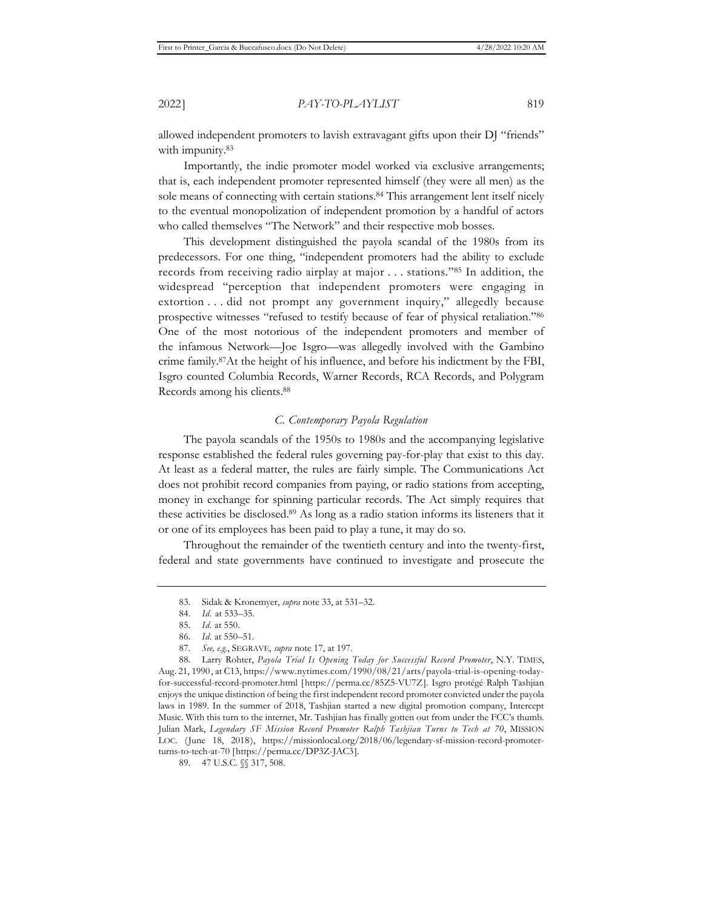allowed independent promoters to lavish extravagant gifts upon their DJ "friends" with impunity.<sup>83</sup>

Importantly, the indie promoter model worked via exclusive arrangements; that is, each independent promoter represented himself (they were all men) as the sole means of connecting with certain stations.<sup>84</sup> This arrangement lent itself nicely to the eventual monopolization of independent promotion by a handful of actors who called themselves "The Network" and their respective mob bosses.

This development distinguished the payola scandal of the 1980s from its predecessors. For one thing, "independent promoters had the ability to exclude records from receiving radio airplay at major . . . stations."85 In addition, the widespread "perception that independent promoters were engaging in extortion . . . did not prompt any government inquiry," allegedly because prospective witnesses "refused to testify because of fear of physical retaliation."86 One of the most notorious of the independent promoters and member of the infamous Network—Joe Isgro—was allegedly involved with the Gambino crime family.87At the height of his influence, and before his indictment by the FBI, Isgro counted Columbia Records, Warner Records, RCA Records, and Polygram Records among his clients.88

#### *C. Contemporary Payola Regulation*

The payola scandals of the 1950s to 1980s and the accompanying legislative response established the federal rules governing pay-for-play that exist to this day. At least as a federal matter, the rules are fairly simple. The Communications Act does not prohibit record companies from paying, or radio stations from accepting, money in exchange for spinning particular records. The Act simply requires that these activities be disclosed.89 As long as a radio station informs its listeners that it or one of its employees has been paid to play a tune, it may do so.

Throughout the remainder of the twentieth century and into the twenty-first, federal and state governments have continued to investigate and prosecute the

<sup>83.</sup> Sidak & Kronemyer, *supra* note 33, at 531–32.

<sup>84.</sup> *Id.* at 533–35.

<sup>85.</sup> *Id.* at 550.

<sup>86.</sup> *Id.* at 550–51.

<sup>87.</sup> *See, e.g.*, SEGRAVE, *supra* note 17, at 197.

<sup>88.</sup> Larry Rohter, *Payola Trial Is Opening Today for Successful Record Promoter*, N.Y. TIMES, Aug. 21, 1990, at C13, https://www.nytimes.com/1990/08/21/arts/payola-trial-is-opening-todayfor-successful-record-promoter.html [https://perma.cc/85Z5-VU7Z]. Isgro protégé Ralph Tashjian enjoys the unique distinction of being the first independent record promoter convicted under the payola laws in 1989. In the summer of 2018, Tashjian started a new digital promotion company, Intercept Music. With this turn to the internet, Mr. Tashjian has finally gotten out from under the FCC's thumb. Julian Mark, *Legendary SF Mission Record Promoter Ralph Tashjian Turns to Tech at 70*, MISSION LOC. (June 18, 2018), https://missionlocal.org/2018/06/legendary-sf-mission-record-promoterturns-to-tech-at-70 [https://perma.cc/DP3Z-JAC3].

<sup>89. 47</sup> U.S.C. §§ 317, 508.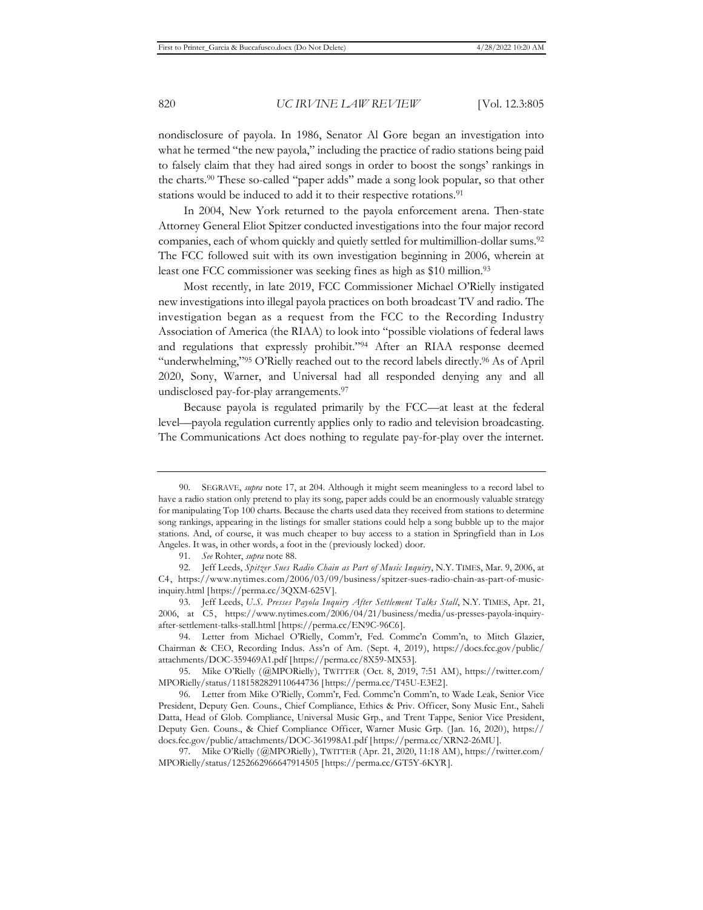nondisclosure of payola. In 1986, Senator Al Gore began an investigation into what he termed "the new payola," including the practice of radio stations being paid to falsely claim that they had aired songs in order to boost the songs' rankings in the charts.90 These so-called "paper adds" made a song look popular, so that other stations would be induced to add it to their respective rotations.<sup>91</sup>

In 2004, New York returned to the payola enforcement arena. Then-state Attorney General Eliot Spitzer conducted investigations into the four major record companies, each of whom quickly and quietly settled for multimillion-dollar sums.<sup>92</sup> The FCC followed suit with its own investigation beginning in 2006, wherein at least one FCC commissioner was seeking fines as high as \$10 million.<sup>93</sup>

Most recently, in late 2019, FCC Commissioner Michael O'Rielly instigated new investigations into illegal payola practices on both broadcast TV and radio. The investigation began as a request from the FCC to the Recording Industry Association of America (the RIAA) to look into "possible violations of federal laws and regulations that expressly prohibit."94 After an RIAA response deemed "underwhelming,"95 O'Rielly reached out to the record labels directly.<sup>96</sup> As of April 2020, Sony, Warner, and Universal had all responded denying any and all undisclosed pay-for-play arrangements.97

Because payola is regulated primarily by the FCC—at least at the federal level—payola regulation currently applies only to radio and television broadcasting. The Communications Act does nothing to regulate pay-for-play over the internet.

<sup>90.</sup> SEGRAVE, *supra* note 17, at 204. Although it might seem meaningless to a record label to have a radio station only pretend to play its song, paper adds could be an enormously valuable strategy for manipulating Top 100 charts. Because the charts used data they received from stations to determine song rankings, appearing in the listings for smaller stations could help a song bubble up to the major stations. And, of course, it was much cheaper to buy access to a station in Springfield than in Los Angeles. It was, in other words, a foot in the (previously locked) door.

<sup>91.</sup> *See* Rohter, *supra* note 88.

<sup>92.</sup> Jeff Leeds, *Spitzer Sues Radio Chain as Part of Music Inquiry*, N.Y. TIMES, Mar. 9, 2006, at C4, https://www.nytimes.com/2006/03/09/business/spitzer-sues-radio-chain-as-part-of-musicinquiry.html [https://perma.cc/3QXM-625V].

<sup>93.</sup> Jeff Leeds, *U.S. Presses Payola Inquiry After Settlement Talks Stall*, N.Y. TIMES, Apr. 21, 2006, at C5, https://www.nytimes.com/2006/04/21/business/media/us-presses-payola-inquiryafter-settlement-talks-stall.html [https://perma.cc/EN9C-96C6].

<sup>94.</sup> Letter from Michael O'Rielly, Comm'r, Fed. Commc'n Comm'n, to Mitch Glazier, Chairman & CEO, Recording Indus. Ass'n of Am. (Sept. 4, 2019), https://docs.fcc.gov/public/ attachments/DOC-359469A1.pdf [https://perma.cc/8X59-MX53].

<sup>95.</sup> Mike O'Rielly (@MPORielly), TWITTER (Oct. 8, 2019, 7:51 AM), https://twitter.com/ MPORielly/status/1181582829110644736 [https://perma.cc/T45U-E3E2].

<sup>96.</sup> Letter from Mike O'Rielly, Comm'r, Fed. Commc'n Comm'n, to Wade Leak, Senior Vice President, Deputy Gen. Couns., Chief Compliance, Ethics & Priv. Officer, Sony Music Ent., Saheli Datta, Head of Glob. Compliance, Universal Music Grp., and Trent Tappe, Senior Vice President, Deputy Gen. Couns., & Chief Compliance Officer, Warner Music Grp. (Jan. 16, 2020), https:// docs.fcc.gov/public/attachments/DOC-361998A1.pdf [https://perma.cc/XRN2-26MU].

<sup>97.</sup> Mike O'Rielly (@MPORielly), TWITTER (Apr. 21, 2020, 11:18 AM), https://twitter.com/ MPORielly/status/1252662966647914505 [https://perma.cc/GT5Y-6KYR].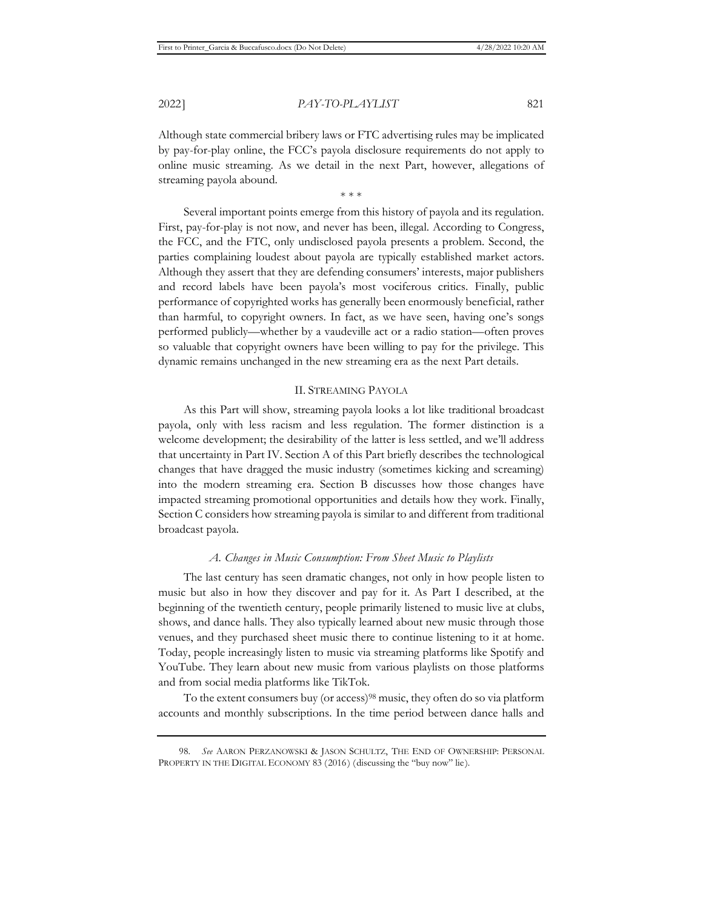Although state commercial bribery laws or FTC advertising rules may be implicated by pay-for-play online, the FCC's payola disclosure requirements do not apply to online music streaming. As we detail in the next Part, however, allegations of streaming payola abound.

\* \* \*

Several important points emerge from this history of payola and its regulation. First, pay-for-play is not now, and never has been, illegal. According to Congress, the FCC, and the FTC, only undisclosed payola presents a problem. Second, the parties complaining loudest about payola are typically established market actors. Although they assert that they are defending consumers' interests, major publishers and record labels have been payola's most vociferous critics. Finally, public performance of copyrighted works has generally been enormously beneficial, rather than harmful, to copyright owners. In fact, as we have seen, having one's songs performed publicly—whether by a vaudeville act or a radio station—often proves so valuable that copyright owners have been willing to pay for the privilege. This dynamic remains unchanged in the new streaming era as the next Part details.

#### II. STREAMING PAYOLA

As this Part will show, streaming payola looks a lot like traditional broadcast payola, only with less racism and less regulation. The former distinction is a welcome development; the desirability of the latter is less settled, and we'll address that uncertainty in Part IV. Section A of this Part briefly describes the technological changes that have dragged the music industry (sometimes kicking and screaming) into the modern streaming era. Section B discusses how those changes have impacted streaming promotional opportunities and details how they work. Finally, Section C considers how streaming payola is similar to and different from traditional broadcast payola.

#### *A. Changes in Music Consumption: From Sheet Music to Playlists*

The last century has seen dramatic changes, not only in how people listen to music but also in how they discover and pay for it. As Part I described, at the beginning of the twentieth century, people primarily listened to music live at clubs, shows, and dance halls. They also typically learned about new music through those venues, and they purchased sheet music there to continue listening to it at home. Today, people increasingly listen to music via streaming platforms like Spotify and YouTube. They learn about new music from various playlists on those platforms and from social media platforms like TikTok.

To the extent consumers buy (or access)<sup>98</sup> music, they often do so via platform accounts and monthly subscriptions. In the time period between dance halls and

<sup>98.</sup> *See* AARON PERZANOWSKI & JASON SCHULTZ, THE END OF OWNERSHIP: PERSONAL PROPERTY IN THE DIGITAL ECONOMY 83 (2016) (discussing the "buy now" lie).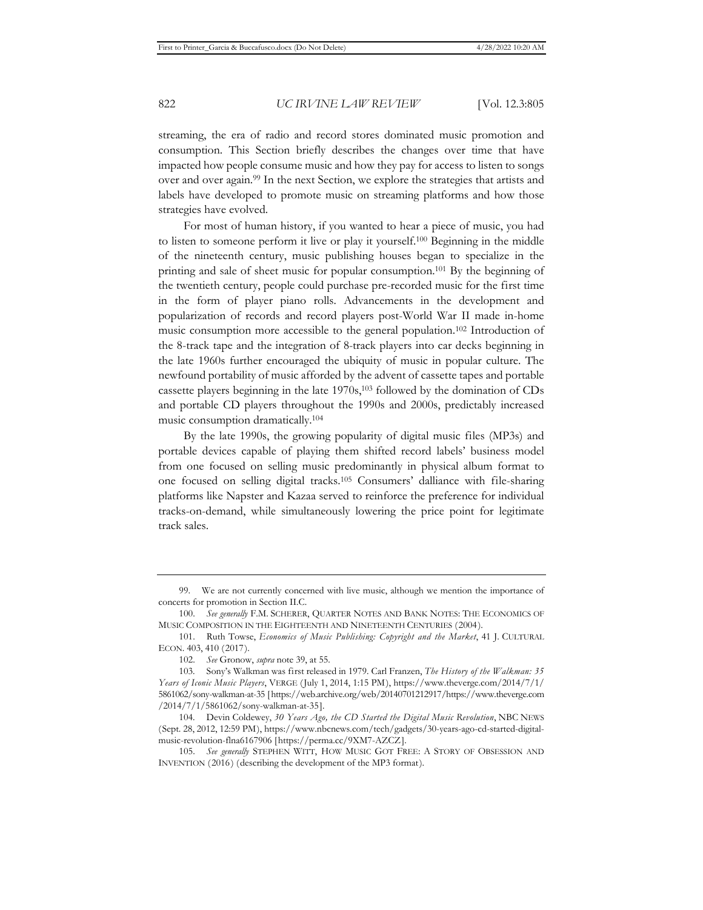streaming, the era of radio and record stores dominated music promotion and consumption. This Section briefly describes the changes over time that have impacted how people consume music and how they pay for access to listen to songs over and over again.99 In the next Section, we explore the strategies that artists and labels have developed to promote music on streaming platforms and how those strategies have evolved.

For most of human history, if you wanted to hear a piece of music, you had to listen to someone perform it live or play it yourself.100 Beginning in the middle of the nineteenth century, music publishing houses began to specialize in the printing and sale of sheet music for popular consumption.101 By the beginning of the twentieth century, people could purchase pre-recorded music for the first time in the form of player piano rolls. Advancements in the development and popularization of records and record players post-World War II made in-home music consumption more accessible to the general population.102 Introduction of the 8-track tape and the integration of 8-track players into car decks beginning in the late 1960s further encouraged the ubiquity of music in popular culture. The newfound portability of music afforded by the advent of cassette tapes and portable cassette players beginning in the late 1970s,103 followed by the domination of CDs and portable CD players throughout the 1990s and 2000s, predictably increased music consumption dramatically.104

By the late 1990s, the growing popularity of digital music files (MP3s) and portable devices capable of playing them shifted record labels' business model from one focused on selling music predominantly in physical album format to one focused on selling digital tracks.105 Consumers' dalliance with file-sharing platforms like Napster and Kazaa served to reinforce the preference for individual tracks-on-demand, while simultaneously lowering the price point for legitimate track sales.

<sup>99.</sup> We are not currently concerned with live music, although we mention the importance of concerts for promotion in Section II.C.

<sup>100.</sup> *See generally* F.M. SCHERER, QUARTER NOTES AND BANK NOTES: THE ECONOMICS OF MUSIC COMPOSITION IN THE EIGHTEENTH AND NINETEENTH CENTURIES (2004).

<sup>101.</sup> Ruth Towse, *Economics of Music Publishing: Copyright and the Market*, 41 J. CULTURAL ECON. 403, 410 (2017).

<sup>102.</sup> *See* Gronow, *supra* note 39, at 55.

<sup>103.</sup> Sony's Walkman was first released in 1979. Carl Franzen, *The History of the Walkman: 35 Years of Iconic Music Players*, VERGE (July 1, 2014, 1:15 PM), https://www.theverge.com/2014/7/1/ 5861062/sony-walkman-at-35 [https://web.archive.org/web/20140701212917/https://www.theverge.com /2014/7/1/5861062/sony-walkman-at-35].

<sup>104.</sup> Devin Coldewey, *30 Years Ago, the CD Started the Digital Music Revolution*, NBC NEWS (Sept. 28, 2012, 12:59 PM), https://www.nbcnews.com/tech/gadgets/30-years-ago-cd-started-digitalmusic-revolution-flna6167906 [https://perma.cc/9XM7-AZCZ].

<sup>105.</sup> *See generally* STEPHEN WITT, HOW MUSIC GOT FREE: A STORY OF OBSESSION AND INVENTION (2016) (describing the development of the MP3 format).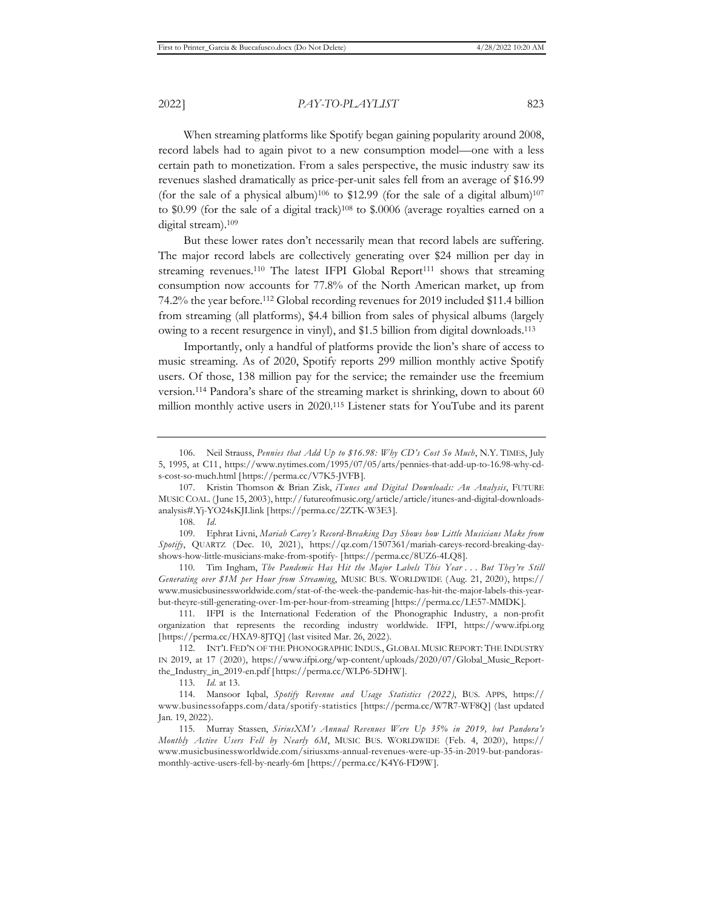When streaming platforms like Spotify began gaining popularity around 2008, record labels had to again pivot to a new consumption model—one with a less certain path to monetization. From a sales perspective, the music industry saw its revenues slashed dramatically as price-per-unit sales fell from an average of \$16.99 (for the sale of a physical album)<sup>106</sup> to \$12.99 (for the sale of a digital album)<sup>107</sup> to \$0.99 (for the sale of a digital track)<sup>108</sup> to \$.0006 (average royalties earned on a digital stream).109

But these lower rates don't necessarily mean that record labels are suffering. The major record labels are collectively generating over \$24 million per day in streaming revenues.<sup>110</sup> The latest IFPI Global Report<sup>111</sup> shows that streaming consumption now accounts for 77.8% of the North American market, up from 74.2% the year before.112 Global recording revenues for 2019 included \$11.4 billion from streaming (all platforms), \$4.4 billion from sales of physical albums (largely owing to a recent resurgence in vinyl), and \$1.5 billion from digital downloads.113

Importantly, only a handful of platforms provide the lion's share of access to music streaming. As of 2020, Spotify reports 299 million monthly active Spotify users. Of those, 138 million pay for the service; the remainder use the freemium version.114 Pandora's share of the streaming market is shrinking, down to about 60 million monthly active users in 2020.115 Listener stats for YouTube and its parent

110. Tim Ingham, *The Pandemic Has Hit the Major Labels This Year . . . But They're Still Generating over \$1M per Hour from Streaming*, MUSIC BUS. WORLDWIDE (Aug. 21, 2020), https:// www.musicbusinessworldwide.com/stat-of-the-week-the-pandemic-has-hit-the-major-labels-this-yearbut-theyre-still-generating-over-1m-per-hour-from-streaming [https://perma.cc/LE57-MMDK].

<sup>106.</sup> Neil Strauss, *Pennies that Add Up to \$16.98: Why CD's Cost So Much*, N.Y. TIMES, July 5, 1995, at C11, https://www.nytimes.com/1995/07/05/arts/pennies-that-add-up-to-16.98-why-cds-cost-so-much.html [https://perma.cc/V7K5-JVFB].

<sup>107.</sup> Kristin Thomson & Brian Zisk, *iTunes and Digital Downloads: An Analysis*, FUTURE MUSIC COAL. (June 15, 2003), http://futureofmusic.org/article/article/itunes-and-digital-downloadsanalysis#.Yj-YO24sKJI.link [https://perma.cc/2ZTK-W3E3].

<sup>108.</sup> *Id.*

<sup>109.</sup> Ephrat Livni, *Mariah Carey's Record-Breaking Day Shows how Little Musicians Make from Spotify*, QUARTZ (Dec. 10, 2021), https://qz.com/1507361/mariah-careys-record-breaking-dayshows-how-little-musicians-make-from-spotify- [https://perma.cc/8UZ6-4LQ8].

<sup>111.</sup> IFPI is the International Federation of the Phonographic Industry, a non-profit organization that represents the recording industry worldwide. IFPI, https://www.ifpi.org [https://perma.cc/HXA9-8]TQ] (last visited Mar. 26, 2022).

<sup>112.</sup> INT'L FED'N OF THE PHONOGRAPHIC INDUS., GLOBAL MUSIC REPORT: THE INDUSTRY IN 2019, at 17 (2020), https://www.ifpi.org/wp-content/uploads/2020/07/Global\_Music\_Reportthe\_Industry\_in\_2019-en.pdf [https://perma.cc/WLP6-5DHW].

<sup>113.</sup> *Id.* at 13.

<sup>114.</sup> Mansoor Iqbal, *Spotify Revenue and Usage Statistics (2022)*, BUS. APPS, https:// www.businessofapps.com/data/spotify-statistics [https://perma.cc/W7R7-WF8Q] (last updated Jan. 19, 2022).

<sup>115.</sup> Murray Stassen, *SiriusXM's Annual Revenues Were Up 35% in 2019, but Pandora's Monthly Active Users Fell by Nearly 6M*, MUSIC BUS. WORLDWIDE (Feb. 4, 2020), https:// www.musicbusinessworldwide.com/siriusxms-annual-revenues-were-up-35-in-2019-but-pandorasmonthly-active-users-fell-by-nearly-6m [https://perma.cc/K4Y6-FD9W].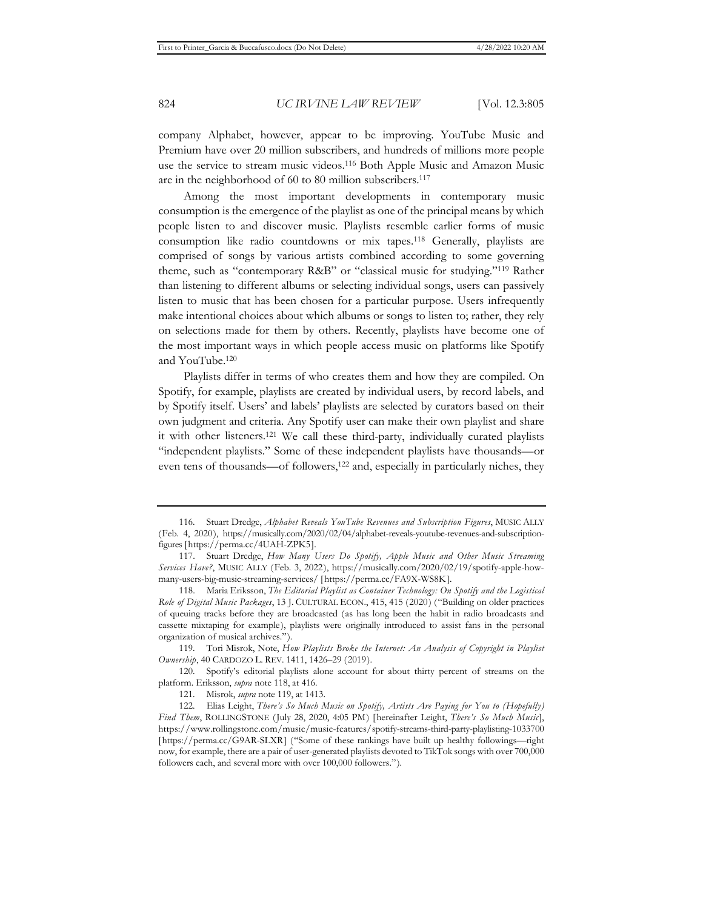company Alphabet, however, appear to be improving. YouTube Music and Premium have over 20 million subscribers, and hundreds of millions more people use the service to stream music videos.116 Both Apple Music and Amazon Music are in the neighborhood of 60 to 80 million subscribers.117

Among the most important developments in contemporary music consumption is the emergence of the playlist as one of the principal means by which people listen to and discover music. Playlists resemble earlier forms of music consumption like radio countdowns or mix tapes.118 Generally, playlists are comprised of songs by various artists combined according to some governing theme, such as "contemporary R&B" or "classical music for studying."119 Rather than listening to different albums or selecting individual songs, users can passively listen to music that has been chosen for a particular purpose. Users infrequently make intentional choices about which albums or songs to listen to; rather, they rely on selections made for them by others. Recently, playlists have become one of the most important ways in which people access music on platforms like Spotify and YouTube.120

Playlists differ in terms of who creates them and how they are compiled. On Spotify, for example, playlists are created by individual users, by record labels, and by Spotify itself. Users' and labels' playlists are selected by curators based on their own judgment and criteria. Any Spotify user can make their own playlist and share it with other listeners.121 We call these third-party, individually curated playlists "independent playlists." Some of these independent playlists have thousands—or even tens of thousands—of followers,<sup>122</sup> and, especially in particularly niches, they

<sup>116.</sup> Stuart Dredge, *Alphabet Reveals YouTube Revenues and Subscription Figures*, MUSIC ALLY (Feb. 4, 2020), https://musically.com/2020/02/04/alphabet-reveals-youtube-revenues-and-subscriptionfigures [https://perma.cc/4UAH-ZPK5].

<sup>117.</sup> Stuart Dredge, *How Many Users Do Spotify, Apple Music and Other Music Streaming Services Have?*, MUSIC ALLY (Feb. 3, 2022), https://musically.com/2020/02/19/spotify-apple-howmany-users-big-music-streaming-services/ [https://perma.cc/FA9X-WS8K].

<sup>118.</sup> Maria Eriksson, *The Editorial Playlist as Container Technology: On Spotify and the Logistical Role of Digital Music Packages*, 13 J. CULTURAL ECON., 415, 415 (2020) ("Building on older practices of queuing tracks before they are broadcasted (as has long been the habit in radio broadcasts and cassette mixtaping for example), playlists were originally introduced to assist fans in the personal organization of musical archives.").

<sup>119.</sup> Tori Misrok, Note, *How Playlists Broke the Internet: An Analysis of Copyright in Playlist Ownership*, 40 CARDOZO L. REV. 1411, 1426–29 (2019).

<sup>120.</sup> Spotify's editorial playlists alone account for about thirty percent of streams on the platform. Eriksson, *supra* note 118, at 416.

<sup>121.</sup> Misrok, *supra* note 119, at 1413.

<sup>122.</sup> Elias Leight, *There's So Much Music on Spotify, Artists Are Paying for You to (Hopefully) Find Them*, ROLLINGSTONE (July 28, 2020, 4:05 PM) [hereinafter Leight, *There's So Much Music*], https://www.rollingstone.com/music/music-features/spotify-streams-third-party-playlisting-1033700 [https://perma.cc/G9AR-SLXR] ("Some of these rankings have built up healthy followings—right now, for example, there are a pair of user-generated playlists devoted to TikTok songs with over 700,000 followers each, and several more with over 100,000 followers.").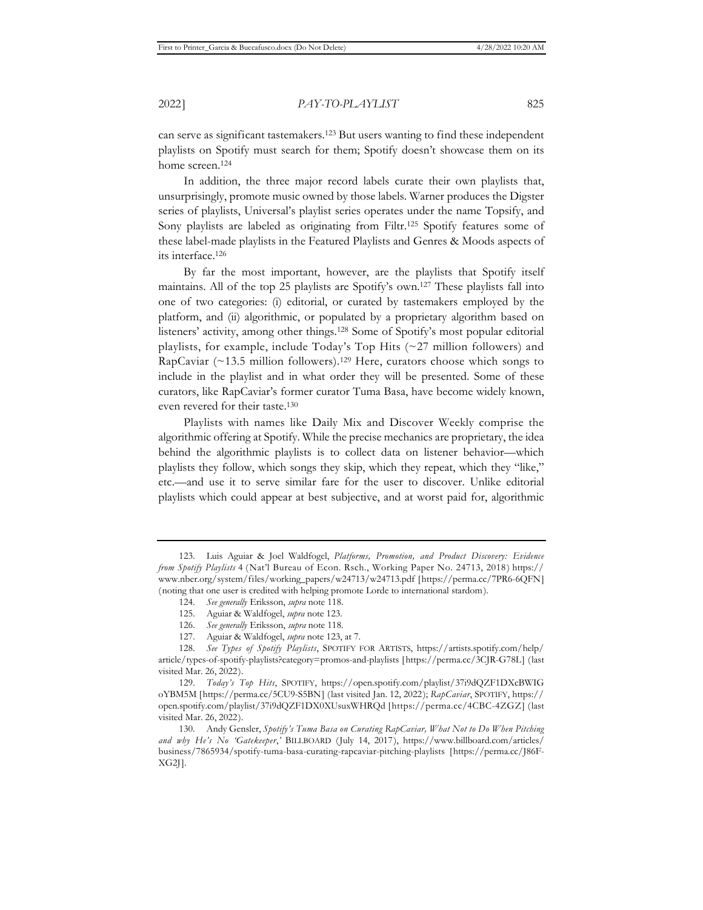can serve as significant tastemakers.123 But users wanting to find these independent playlists on Spotify must search for them; Spotify doesn't showcase them on its home screen.124

In addition, the three major record labels curate their own playlists that, unsurprisingly, promote music owned by those labels. Warner produces the Digster series of playlists, Universal's playlist series operates under the name Topsify, and Sony playlists are labeled as originating from Filtr.<sup>125</sup> Spotify features some of these label-made playlists in the Featured Playlists and Genres & Moods aspects of its interface.126

By far the most important, however, are the playlists that Spotify itself maintains. All of the top 25 playlists are Spotify's own.127 These playlists fall into one of two categories: (i) editorial, or curated by tastemakers employed by the platform, and (ii) algorithmic, or populated by a proprietary algorithm based on listeners' activity, among other things.128 Some of Spotify's most popular editorial playlists, for example, include Today's Top Hits (~27 million followers) and RapCaviar  $(\sim 13.5 \text{ million follows})$ .<sup>129</sup> Here, curators choose which songs to include in the playlist and in what order they will be presented. Some of these curators, like RapCaviar's former curator Tuma Basa, have become widely known, even revered for their taste.130

Playlists with names like Daily Mix and Discover Weekly comprise the algorithmic offering at Spotify. While the precise mechanics are proprietary, the idea behind the algorithmic playlists is to collect data on listener behavior—which playlists they follow, which songs they skip, which they repeat, which they "like," etc.—and use it to serve similar fare for the user to discover. Unlike editorial playlists which could appear at best subjective, and at worst paid for, algorithmic

<sup>123.</sup> Luis Aguiar & Joel Waldfogel, *Platforms, Promotion, and Product Discovery: Evidence from Spotify Playlists* 4 (Nat'l Bureau of Econ. Rsch., Working Paper No. 24713, 2018) https:// www.nber.org/system/files/working\_papers/w24713/w24713.pdf [https://perma.cc/7PR6-6QFN] (noting that one user is credited with helping promote Lorde to international stardom).

<sup>124.</sup> *See generally* Eriksson, *supra* note 118.

<sup>125.</sup> Aguiar & Waldfogel, *supra* note 123.

<sup>126.</sup> *See generally* Eriksson, *supra* note 118.

<sup>127.</sup> Aguiar & Waldfogel, *supra* note 123, at 7.

<sup>128.</sup> *See Types of Spotify Playlists*, SPOTIFY FOR ARTISTS, https://artists.spotify.com/help/ article/types-of-spotify-playlists?category=promos-and-playlists [https://perma.cc/3CJR-G78L] (last visited Mar. 26, 2022).

<sup>129.</sup> *Today's Top Hits*, SPOTIFY, https://open.spotify.com/playlist/37i9dQZF1DXcBWIG oYBM5M [https://perma.cc/5CU9-S5BN] (last visited Jan. 12, 2022); *RapCaviar*, SPOTIFY, https:// open.spotify.com/playlist/37i9dQZF1DX0XUsuxWHRQd [https://perma.cc/4CBC-4ZGZ] (last visited Mar. 26, 2022).

<sup>130.</sup> Andy Gensler, *Spotify's Tuma Basa on Curating RapCaviar, What Not to Do When Pitching and why He's No 'Gatekeeper*,*'* BILLBOARD (July 14, 2017), https://www.billboard.com/articles/ business/7865934/spotify-tuma-basa-curating-rapcaviar-pitching-playlists [https://perma.cc/J86F-XG2J].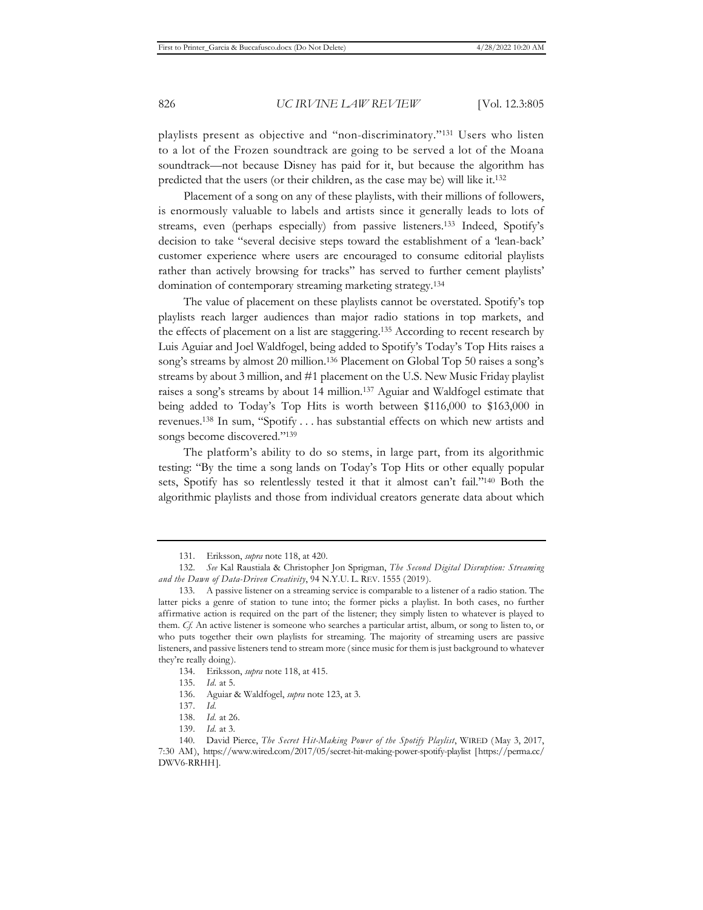playlists present as objective and "non-discriminatory."131 Users who listen to a lot of the Frozen soundtrack are going to be served a lot of the Moana soundtrack—not because Disney has paid for it, but because the algorithm has predicted that the users (or their children, as the case may be) will like it.132

Placement of a song on any of these playlists, with their millions of followers, is enormously valuable to labels and artists since it generally leads to lots of streams, even (perhaps especially) from passive listeners.133 Indeed, Spotify's decision to take "several decisive steps toward the establishment of a 'lean-back' customer experience where users are encouraged to consume editorial playlists rather than actively browsing for tracks" has served to further cement playlists' domination of contemporary streaming marketing strategy.134

The value of placement on these playlists cannot be overstated. Spotify's top playlists reach larger audiences than major radio stations in top markets, and the effects of placement on a list are staggering.135 According to recent research by Luis Aguiar and Joel Waldfogel, being added to Spotify's Today's Top Hits raises a song's streams by almost 20 million.136 Placement on Global Top 50 raises a song's streams by about 3 million, and #1 placement on the U.S. New Music Friday playlist raises a song's streams by about 14 million.137 Aguiar and Waldfogel estimate that being added to Today's Top Hits is worth between \$116,000 to \$163,000 in revenues.138 In sum, "Spotify . . . has substantial effects on which new artists and songs become discovered."139

The platform's ability to do so stems, in large part, from its algorithmic testing: "By the time a song lands on Today's Top Hits or other equally popular sets, Spotify has so relentlessly tested it that it almost can't fail."140 Both the algorithmic playlists and those from individual creators generate data about which

<sup>131.</sup> Eriksson, *supra* note 118, at 420.

<sup>132.</sup> *See* Kal Raustiala & Christopher Jon Sprigman, *The Second Digital Disruption: Streaming and the Dawn of Data-Driven Creativity*, 94 N.Y.U. L. REV. 1555 (2019).

<sup>133.</sup> A passive listener on a streaming service is comparable to a listener of a radio station. The latter picks a genre of station to tune into; the former picks a playlist. In both cases, no further affirmative action is required on the part of the listener; they simply listen to whatever is played to them. *Cf.* An active listener is someone who searches a particular artist, album, or song to listen to, or who puts together their own playlists for streaming. The majority of streaming users are passive listeners, and passive listeners tend to stream more (since music for them is just background to whatever they're really doing).

<sup>134.</sup> Eriksson, *supra* note 118, at 415.

<sup>135.</sup> *Id.* at 5.

<sup>136.</sup> Aguiar & Waldfogel, *supra* note 123, at 3.

<sup>137.</sup> *Id.*

<sup>138.</sup> *Id.* at 26.

<sup>139.</sup> *Id.* at 3.

<sup>140.</sup> David Pierce, *The Secret Hit-Making Power of the Spotify Playlist*, WIRED (May 3, 2017, 7:30 AM), https://www.wired.com/2017/05/secret-hit-making-power-spotify-playlist [https://perma.cc/ DWV6-RRHH].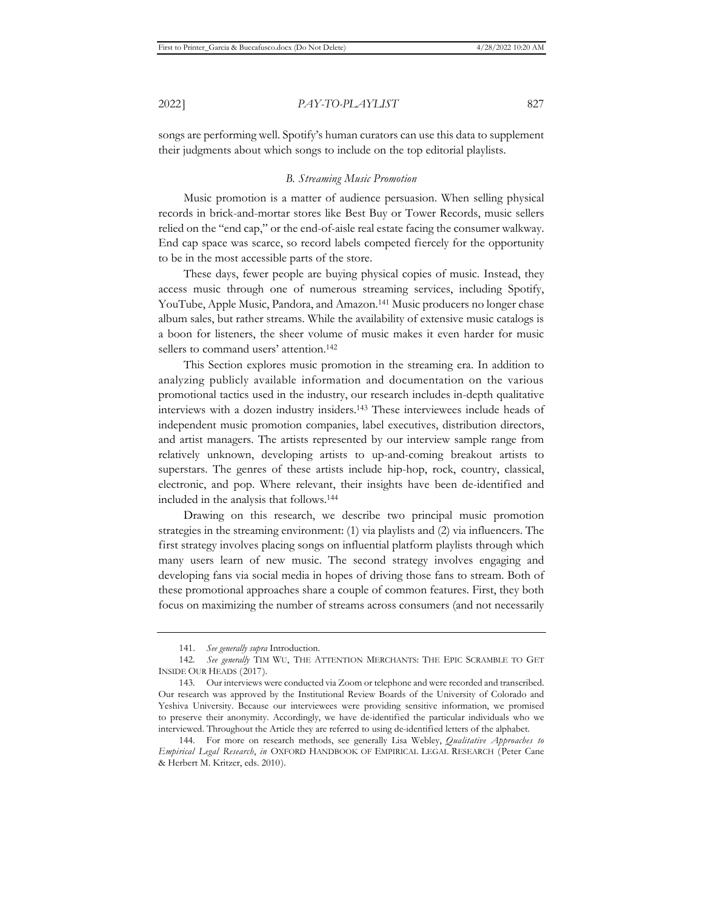songs are performing well. Spotify's human curators can use this data to supplement their judgments about which songs to include on the top editorial playlists.

#### *B. Streaming Music Promotion*

Music promotion is a matter of audience persuasion. When selling physical records in brick-and-mortar stores like Best Buy or Tower Records, music sellers relied on the "end cap," or the end-of-aisle real estate facing the consumer walkway. End cap space was scarce, so record labels competed fiercely for the opportunity to be in the most accessible parts of the store.

These days, fewer people are buying physical copies of music. Instead, they access music through one of numerous streaming services, including Spotify, YouTube, Apple Music, Pandora, and Amazon.141 Music producers no longer chase album sales, but rather streams. While the availability of extensive music catalogs is a boon for listeners, the sheer volume of music makes it even harder for music sellers to command users' attention.<sup>142</sup>

This Section explores music promotion in the streaming era. In addition to analyzing publicly available information and documentation on the various promotional tactics used in the industry, our research includes in-depth qualitative interviews with a dozen industry insiders.143 These interviewees include heads of independent music promotion companies, label executives, distribution directors, and artist managers. The artists represented by our interview sample range from relatively unknown, developing artists to up-and-coming breakout artists to superstars. The genres of these artists include hip-hop, rock, country, classical, electronic, and pop. Where relevant, their insights have been de-identified and included in the analysis that follows.144

Drawing on this research, we describe two principal music promotion strategies in the streaming environment: (1) via playlists and (2) via influencers. The first strategy involves placing songs on influential platform playlists through which many users learn of new music. The second strategy involves engaging and developing fans via social media in hopes of driving those fans to stream. Both of these promotional approaches share a couple of common features. First, they both focus on maximizing the number of streams across consumers (and not necessarily

<sup>141.</sup> *See generally supra* Introduction.

<sup>142</sup>*. See generally* TIM WU, THE ATTENTION MERCHANTS: THE EPIC SCRAMBLE TO GET INSIDE OUR HEADS (2017).

<sup>143.</sup> Our interviews were conducted via Zoom or telephone and were recorded and transcribed. Our research was approved by the Institutional Review Boards of the University of Colorado and Yeshiva University. Because our interviewees were providing sensitive information, we promised to preserve their anonymity. Accordingly, we have de-identified the particular individuals who we interviewed. Throughout the Article they are referred to using de-identified letters of the alphabet.

<sup>144.</sup> For more on research methods, see generally Lisa Webley, *Qualitative Approaches to Empirical Legal Research*, *in* OXFORD HANDBOOK OF EMPIRICAL LEGAL RESEARCH (Peter Cane & Herbert M. Kritzer, eds. 2010).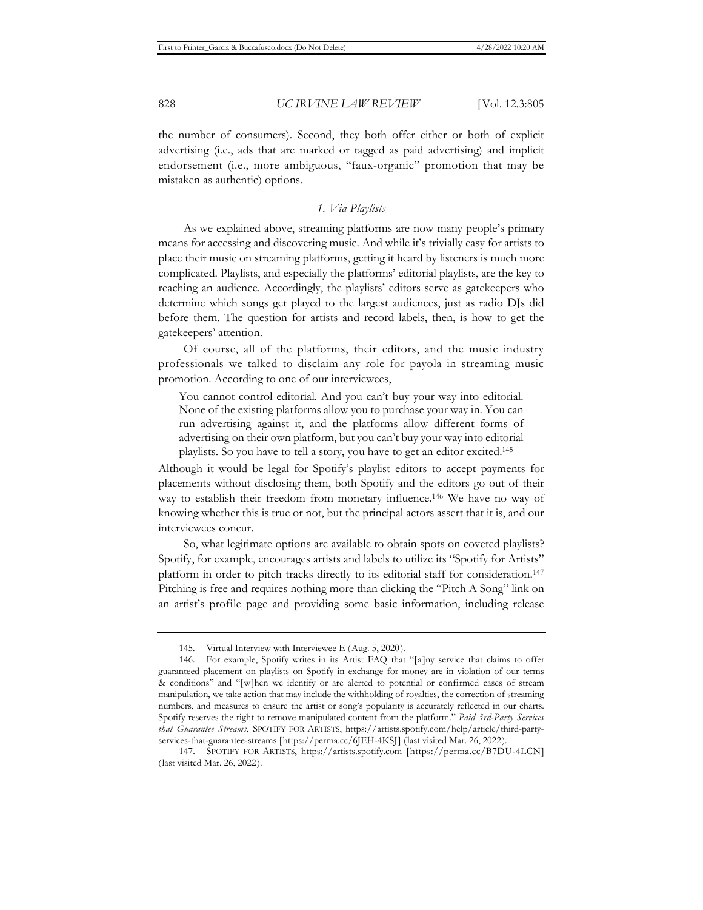the number of consumers). Second, they both offer either or both of explicit advertising (i.e., ads that are marked or tagged as paid advertising) and implicit endorsement (i.e., more ambiguous, "faux-organic" promotion that may be mistaken as authentic) options.

# *1. Via Playlists*

As we explained above, streaming platforms are now many people's primary means for accessing and discovering music. And while it's trivially easy for artists to place their music on streaming platforms, getting it heard by listeners is much more complicated. Playlists, and especially the platforms' editorial playlists, are the key to reaching an audience. Accordingly, the playlists' editors serve as gatekeepers who determine which songs get played to the largest audiences, just as radio DJs did before them. The question for artists and record labels, then, is how to get the gatekeepers' attention.

Of course, all of the platforms, their editors, and the music industry professionals we talked to disclaim any role for payola in streaming music promotion. According to one of our interviewees,

You cannot control editorial. And you can't buy your way into editorial. None of the existing platforms allow you to purchase your way in. You can run advertising against it, and the platforms allow different forms of advertising on their own platform, but you can't buy your way into editorial playlists. So you have to tell a story, you have to get an editor excited.145

Although it would be legal for Spotify's playlist editors to accept payments for placements without disclosing them, both Spotify and the editors go out of their way to establish their freedom from monetary influence.146 We have no way of knowing whether this is true or not, but the principal actors assert that it is, and our interviewees concur.

So, what legitimate options are available to obtain spots on coveted playlists? Spotify, for example, encourages artists and labels to utilize its "Spotify for Artists" platform in order to pitch tracks directly to its editorial staff for consideration.<sup>147</sup> Pitching is free and requires nothing more than clicking the "Pitch A Song" link on an artist's profile page and providing some basic information, including release

<sup>145.</sup> Virtual Interview with Interviewee E (Aug. 5, 2020).

<sup>146.</sup> For example, Spotify writes in its Artist FAQ that "[a]ny service that claims to offer guaranteed placement on playlists on Spotify in exchange for money are in violation of our terms & conditions" and "[w]hen we identify or are alerted to potential or confirmed cases of stream manipulation, we take action that may include the withholding of royalties, the correction of streaming numbers, and measures to ensure the artist or song's popularity is accurately reflected in our charts. Spotify reserves the right to remove manipulated content from the platform." *Paid 3rd-Party Services that Guarantee Streams*, SPOTIFY FOR ARTISTS, https://artists.spotify.com/help/article/third-partyservices-that-guarantee-streams [https://perma.cc/6JEH-4KSJ] (last visited Mar. 26, 2022).

<sup>147.</sup> SPOTIFY FOR ARTISTS, https://artists.spotify.com [https://perma.cc/B7DU-4LCN] (last visited Mar. 26, 2022).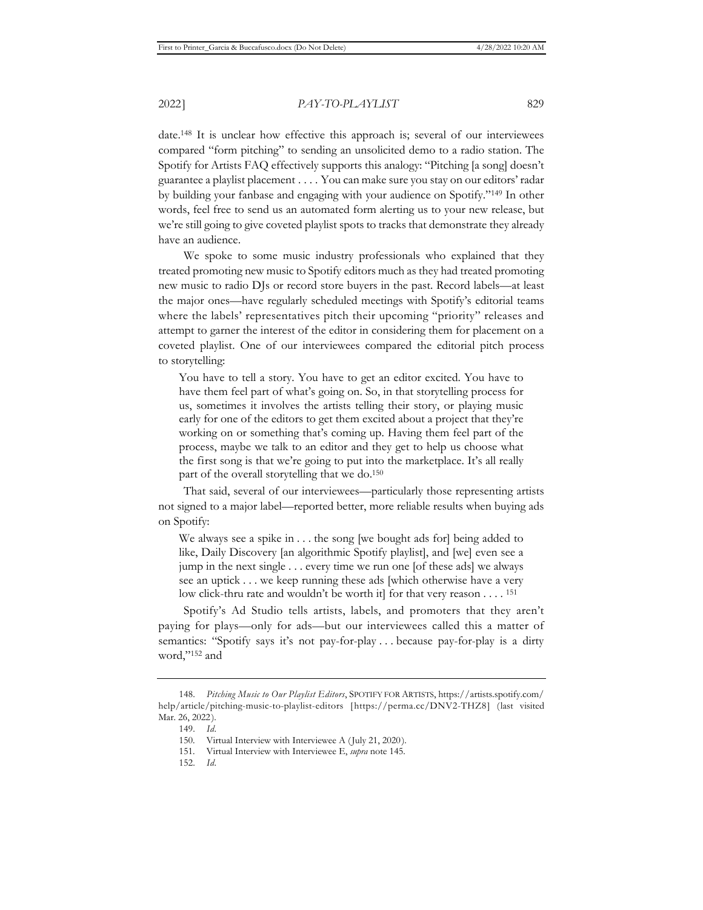date.148 It is unclear how effective this approach is; several of our interviewees compared "form pitching" to sending an unsolicited demo to a radio station. The Spotify for Artists FAQ effectively supports this analogy: "Pitching [a song] doesn't guarantee a playlist placement . . . . You can make sure you stay on our editors' radar by building your fanbase and engaging with your audience on Spotify."149 In other words, feel free to send us an automated form alerting us to your new release, but we're still going to give coveted playlist spots to tracks that demonstrate they already have an audience.

We spoke to some music industry professionals who explained that they treated promoting new music to Spotify editors much as they had treated promoting new music to radio DJs or record store buyers in the past. Record labels—at least the major ones—have regularly scheduled meetings with Spotify's editorial teams where the labels' representatives pitch their upcoming "priority" releases and attempt to garner the interest of the editor in considering them for placement on a coveted playlist. One of our interviewees compared the editorial pitch process to storytelling:

You have to tell a story. You have to get an editor excited. You have to have them feel part of what's going on. So, in that storytelling process for us, sometimes it involves the artists telling their story, or playing music early for one of the editors to get them excited about a project that they're working on or something that's coming up. Having them feel part of the process, maybe we talk to an editor and they get to help us choose what the first song is that we're going to put into the marketplace. It's all really part of the overall storytelling that we do.150

That said, several of our interviewees—particularly those representing artists not signed to a major label—reported better, more reliable results when buying ads on Spotify:

We always see a spike in . . . the song [we bought ads for] being added to like, Daily Discovery [an algorithmic Spotify playlist], and [we] even see a jump in the next single . . . every time we run one [of these ads] we always see an uptick . . . we keep running these ads [which otherwise have a very low click-thru rate and wouldn't be worth it] for that very reason  $\dots$ . <sup>151</sup>

Spotify's Ad Studio tells artists, labels, and promoters that they aren't paying for plays—only for ads—but our interviewees called this a matter of semantics: "Spotify says it's not pay-for-play . . . because pay-for-play is a dirty word,"152 and

<sup>148.</sup> *Pitching Music to Our Playlist Editors*, SPOTIFY FOR ARTISTS, https://artists.spotify.com/ help/article/pitching-music-to-playlist-editors [https://perma.cc/DNV2-THZ8] (last visited Mar. 26, 2022).

<sup>149.</sup> *Id.*

<sup>150.</sup> Virtual Interview with Interviewee A (July 21, 2020).

<sup>151.</sup> Virtual Interview with Interviewee E, *supra* note 145.

<sup>152.</sup> *Id.*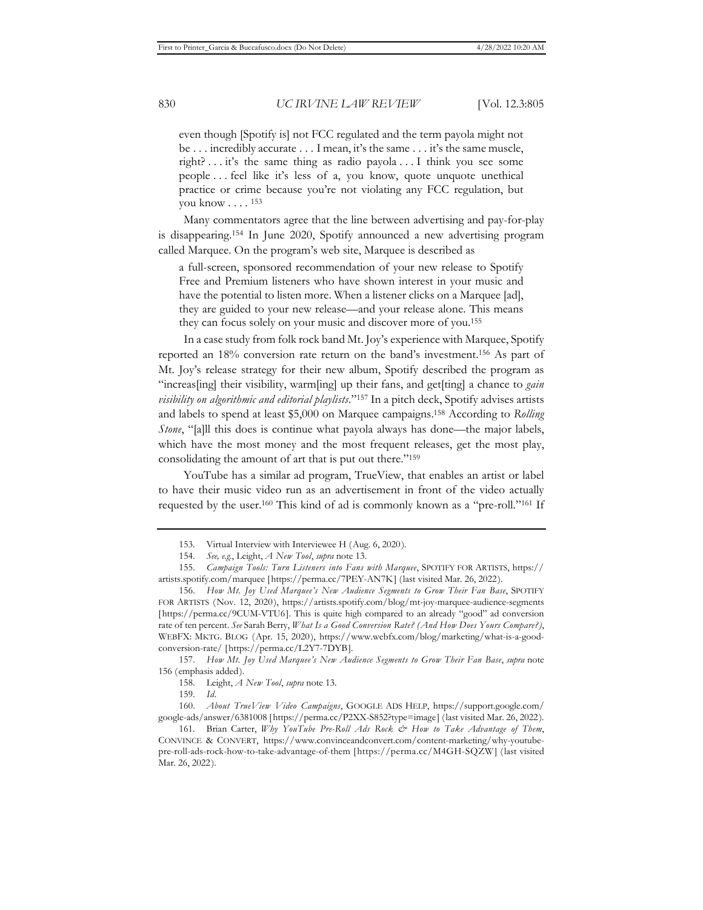even though [Spotify is] not FCC regulated and the term payola might not be . . . incredibly accurate . . . I mean, it's the same . . . it's the same muscle, right? . . . it's the same thing as radio payola . . . I think you see some people . . . feel like it's less of a, you know, quote unquote unethical practice or crime because you're not violating any FCC regulation, but you know . . . . 153

Many commentators agree that the line between advertising and pay-for-play is disappearing.154 In June 2020, Spotify announced a new advertising program called Marquee. On the program's web site, Marquee is described as

a full-screen, sponsored recommendation of your new release to Spotify Free and Premium listeners who have shown interest in your music and have the potential to listen more. When a listener clicks on a Marquee [ad], they are guided to your new release—and your release alone. This means they can focus solely on your music and discover more of you.155

In a case study from folk rock band Mt. Joy's experience with Marquee, Spotify reported an 18% conversion rate return on the band's investment.156 As part of Mt. Joy's release strategy for their new album, Spotify described the program as "increas[ing] their visibility, warm[ing] up their fans, and get[ting] a chance to *gain visibility on algorithmic and editorial playlists*."157 In a pitch deck, Spotify advises artists and labels to spend at least \$5,000 on Marquee campaigns.158 According to *Rolling Stone*, "[a]ll this does is continue what payola always has done—the major labels, which have the most money and the most frequent releases, get the most play, consolidating the amount of art that is put out there."159

YouTube has a similar ad program, TrueView, that enables an artist or label to have their music video run as an advertisement in front of the video actually requested by the user.160 This kind of ad is commonly known as a "pre-roll."161 If

<sup>153.</sup> Virtual Interview with Interviewee H (Aug. 6, 2020).

<sup>154.</sup> *See, e.g.*, Leight, *A New Tool*, *supra* note 13.

<sup>155.</sup> *Campaign Tools: Turn Listeners into Fans with Marquee*, SPOTIFY FOR ARTISTS, https:// artists.spotify.com/marquee [https://perma.cc/7PEY-AN7K] (last visited Mar. 26, 2022).

<sup>156.</sup> *How Mt. Joy Used Marquee's New Audience Segments to Grow Their Fan Base*, SPOTIFY FOR ARTISTS (Nov. 12, 2020), https://artists.spotify.com/blog/mt-joy-marquee-audience-segments [https://perma.cc/9CUM-VTU6]. This is quite high compared to an already "good" ad conversion rate of ten percent. *See* Sarah Berry, *What Is a Good Conversion Rate? (And How Does Yours Compare?)*, WEBFX: MKTG. BLOG (Apr. 15, 2020), https://www.webfx.com/blog/marketing/what-is-a-goodconversion-rate/ [https://perma.cc/L2Y7-7DYB].

<sup>157.</sup> *How Mt. Joy Used Marquee's New Audience Segments to Grow Their Fan Base*, *supra* note 156 (emphasis added).

<sup>158.</sup> Leight, *A New Tool*, *supra* note 13.

<sup>159.</sup> *Id.*

<sup>160.</sup> *About TrueView Video Campaigns*, GOOGLE ADS HELP, https://support.google.com/ google-ads/answer/6381008 [https://perma.cc/P2XX-S852?type=image] (last visited Mar. 26, 2022).

<sup>161.</sup> Brian Carter, *Why YouTube Pre-Roll Ads Rock & How to Take Advantage of Them*, CONVINCE & CONVERT, https://www.convinceandconvert.com/content-marketing/why-youtubepre-roll-ads-rock-how-to-take-advantage-of-them [https://perma.cc/M4GH-SQZW] (last visited Mar. 26, 2022).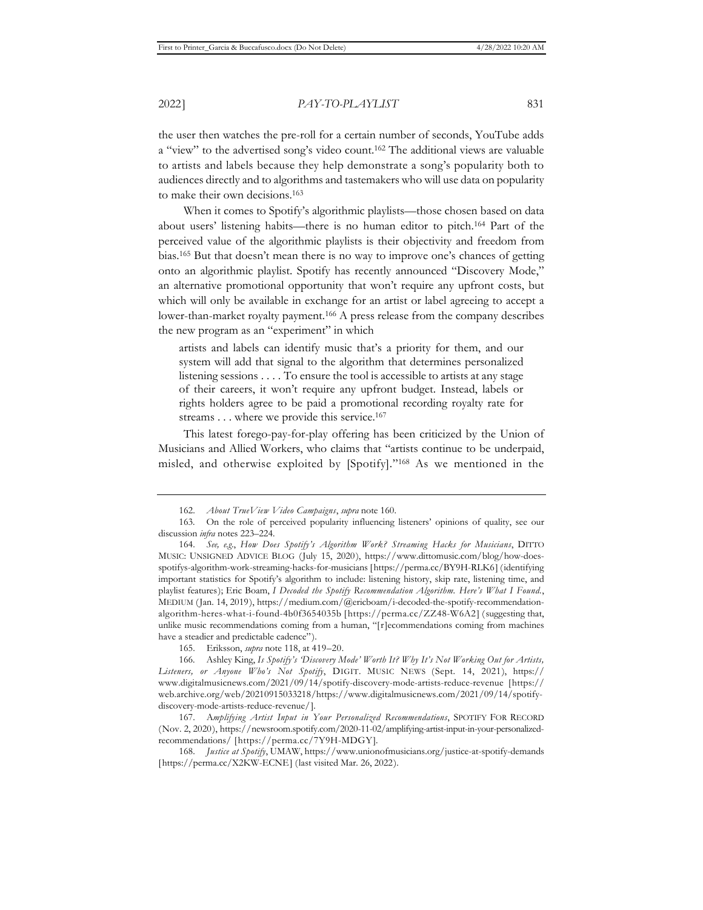the user then watches the pre-roll for a certain number of seconds, YouTube adds a "view" to the advertised song's video count.162 The additional views are valuable to artists and labels because they help demonstrate a song's popularity both to audiences directly and to algorithms and tastemakers who will use data on popularity to make their own decisions.163

When it comes to Spotify's algorithmic playlists—those chosen based on data about users' listening habits—there is no human editor to pitch.164 Part of the perceived value of the algorithmic playlists is their objectivity and freedom from bias.165 But that doesn't mean there is no way to improve one's chances of getting onto an algorithmic playlist. Spotify has recently announced "Discovery Mode," an alternative promotional opportunity that won't require any upfront costs, but which will only be available in exchange for an artist or label agreeing to accept a lower-than-market royalty payment.166 A press release from the company describes the new program as an "experiment" in which

artists and labels can identify music that's a priority for them, and our system will add that signal to the algorithm that determines personalized listening sessions . . . . To ensure the tool is accessible to artists at any stage of their careers, it won't require any upfront budget. Instead, labels or rights holders agree to be paid a promotional recording royalty rate for streams . . . where we provide this service.<sup>167</sup>

This latest forego-pay-for-play offering has been criticized by the Union of Musicians and Allied Workers, who claims that "artists continue to be underpaid, misled, and otherwise exploited by [Spotify]."168 As we mentioned in the

<sup>162.</sup> *About TrueView Video Campaigns*, *supra* note 160.

<sup>163.</sup> On the role of perceived popularity influencing listeners' opinions of quality, see our discussion *infra* notes 223–224.

<sup>164.</sup> *See, e.g*., *How Does Spotify's Algorithm Work? Streaming Hacks for Musicians*, DITTO MUSIC: UNSIGNED ADVICE BLOG (July 15, 2020), https://www.dittomusic.com/blog/how-doesspotifys-algorithm-work-streaming-hacks-for-musicians [https://perma.cc/BY9H-RLK6] (identifying important statistics for Spotify's algorithm to include: listening history, skip rate, listening time, and playlist features); Eric Boam, *I Decoded the Spotify Recommendation Algorithm. Here's What I Found.*, MEDIUM (Jan. 14, 2019), https://medium.com/@ericboam/i-decoded-the-spotify-recommendationalgorithm-heres-what-i-found-4b0f3654035b [https://perma.cc/ZZ48-W6A2] (suggesting that, unlike music recommendations coming from a human, "[r]ecommendations coming from machines have a steadier and predictable cadence").

<sup>165.</sup> Eriksson, *supra* note 118, at 419–20.

<sup>166.</sup> Ashley King, *Is Spotify's 'Discovery Mode' Worth It? Why It's Not Working Out for Artists, Listeners, or Anyone Who's Not Spotify*, DIGIT. MUSIC NEWS (Sept. 14, 2021), https:// www.digitalmusicnews.com/2021/09/14/spotify-discovery-mode-artists-reduce-revenue [https:// web.archive.org/web/20210915033218/https://www.digitalmusicnews.com/2021/09/14/spotifydiscovery-mode-artists-reduce-revenue/].

<sup>167.</sup> A*mplifying Artist Input in Your Personalized Recommendations*, SPOTIFY FOR RECORD (Nov. 2, 2020), https://newsroom.spotify.com/2020-11-02/amplifying-artist-input-in-your-personalizedrecommendations/ [https://perma.cc/7Y9H-MDGY].

<sup>168.</sup> *Justice at Spotify*, UMAW, https://www.unionofmusicians.org/justice-at-spotify-demands [https://perma.cc/X2KW-ECNE] (last visited Mar. 26, 2022).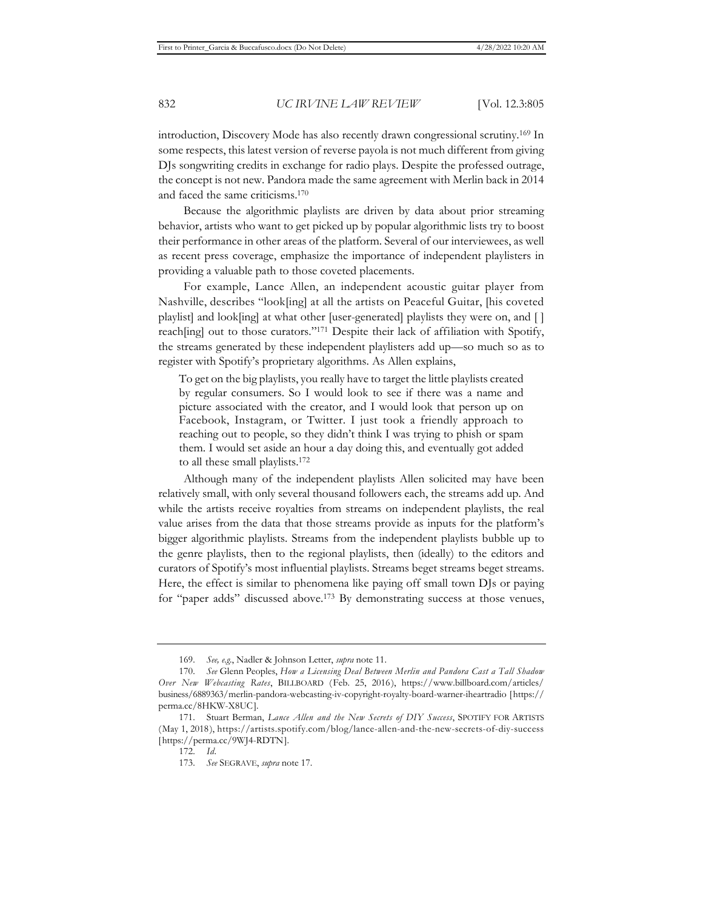introduction, Discovery Mode has also recently drawn congressional scrutiny.169 In some respects, this latest version of reverse payola is not much different from giving DJs songwriting credits in exchange for radio plays. Despite the professed outrage, the concept is not new. Pandora made the same agreement with Merlin back in 2014 and faced the same criticisms.170

Because the algorithmic playlists are driven by data about prior streaming behavior, artists who want to get picked up by popular algorithmic lists try to boost their performance in other areas of the platform. Several of our interviewees, as well as recent press coverage, emphasize the importance of independent playlisters in providing a valuable path to those coveted placements.

For example, Lance Allen, an independent acoustic guitar player from Nashville, describes "look[ing] at all the artists on Peaceful Guitar, [his coveted playlist] and look[ing] at what other [user-generated] playlists they were on, and [ ] reach[ing] out to those curators."<sup>171</sup> Despite their lack of affiliation with Spotify, the streams generated by these independent playlisters add up—so much so as to register with Spotify's proprietary algorithms. As Allen explains,

To get on the big playlists, you really have to target the little playlists created by regular consumers. So I would look to see if there was a name and picture associated with the creator, and I would look that person up on Facebook, Instagram, or Twitter. I just took a friendly approach to reaching out to people, so they didn't think I was trying to phish or spam them. I would set aside an hour a day doing this, and eventually got added to all these small playlists.172

Although many of the independent playlists Allen solicited may have been relatively small, with only several thousand followers each, the streams add up. And while the artists receive royalties from streams on independent playlists, the real value arises from the data that those streams provide as inputs for the platform's bigger algorithmic playlists. Streams from the independent playlists bubble up to the genre playlists, then to the regional playlists, then (ideally) to the editors and curators of Spotify's most influential playlists. Streams beget streams beget streams. Here, the effect is similar to phenomena like paying off small town DJs or paying for "paper adds" discussed above.173 By demonstrating success at those venues,

<sup>169.</sup> *See, e.g.*, Nadler & Johnson Letter, *supra* note 11.

<sup>170.</sup> *See* Glenn Peoples, *How a Licensing Deal Between Merlin and Pandora Cast a Tall Shadow Over New Webcasting Rates*, BILLBOARD (Feb. 25, 2016), https://www.billboard.com/articles/ business/6889363/merlin-pandora-webcasting-iv-copyright-royalty-board-warner-iheartradio [https:// perma.cc/8HKW-X8UC].

<sup>171.</sup> Stuart Berman, *Lance Allen and the New Secrets of DIY Success*, SPOTIFY FOR ARTISTS (May 1, 2018), https://artists.spotify.com/blog/lance-allen-and-the-new-secrets-of-diy-success [https://perma.cc/9WJ4-RDTN].

<sup>172.</sup> *Id.*

<sup>173.</sup> *See* SEGRAVE, *supra* note 17.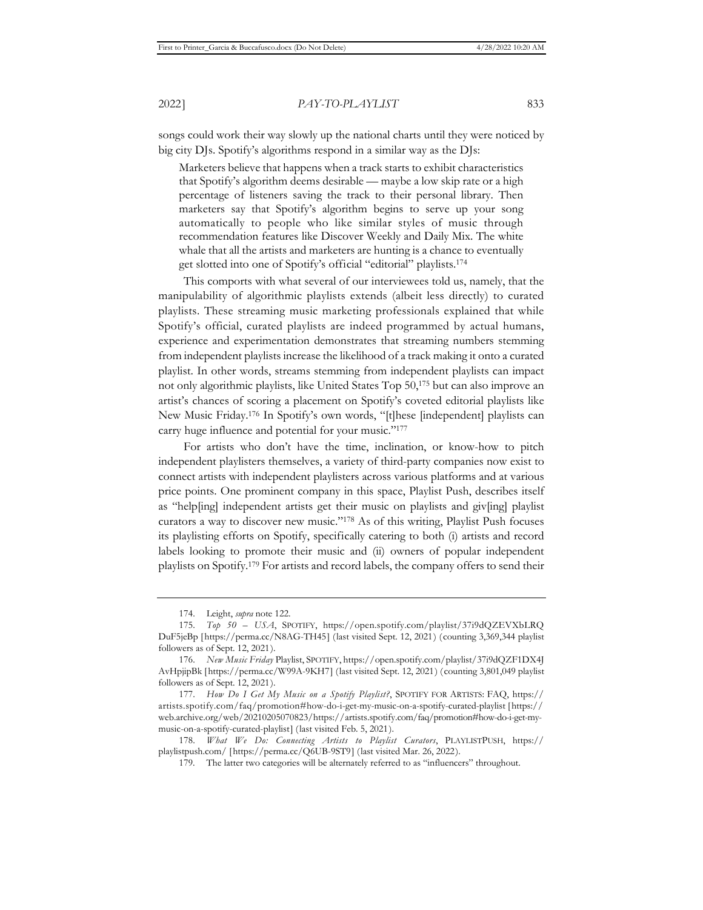songs could work their way slowly up the national charts until they were noticed by big city DJs. Spotify's algorithms respond in a similar way as the DJs:

Marketers believe that happens when a track starts to exhibit characteristics that Spotify's algorithm deems desirable — maybe a low skip rate or a high percentage of listeners saving the track to their personal library. Then marketers say that Spotify's algorithm begins to serve up your song automatically to people who like similar styles of music through recommendation features like Discover Weekly and Daily Mix. The white whale that all the artists and marketers are hunting is a chance to eventually get slotted into one of Spotify's official "editorial" playlists.174

This comports with what several of our interviewees told us, namely, that the manipulability of algorithmic playlists extends (albeit less directly) to curated playlists. These streaming music marketing professionals explained that while Spotify's official, curated playlists are indeed programmed by actual humans, experience and experimentation demonstrates that streaming numbers stemming from independent playlists increase the likelihood of a track making it onto a curated playlist. In other words, streams stemming from independent playlists can impact not only algorithmic playlists, like United States Top 50,175 but can also improve an artist's chances of scoring a placement on Spotify's coveted editorial playlists like New Music Friday.176 In Spotify's own words, "[t]hese [independent] playlists can carry huge influence and potential for your music."<sup>177</sup>

For artists who don't have the time, inclination, or know-how to pitch independent playlisters themselves, a variety of third-party companies now exist to connect artists with independent playlisters across various platforms and at various price points. One prominent company in this space, Playlist Push, describes itself as "help[ing] independent artists get their music on playlists and giv[ing] playlist curators a way to discover new music."178 As of this writing, Playlist Push focuses its playlisting efforts on Spotify, specifically catering to both (i) artists and record labels looking to promote their music and (ii) owners of popular independent playlists on Spotify.179 For artists and record labels, the company offers to send their

<sup>174.</sup> Leight, *supra* note 122.

<sup>175.</sup> *Top 50 – USA*, SPOTIFY, https://open.spotify.com/playlist/37i9dQZEVXbLRQ DuF5jeBp [https://perma.cc/N8AG-TH45] (last visited Sept. 12, 2021) (counting 3,369,344 playlist followers as of Sept. 12, 2021).

<sup>176.</sup> *New Music Friday* Playlist, SPOTIFY, https://open.spotify.com/playlist/37i9dQZF1DX4J AvHpjipBk [https://perma.cc/W99A-9KH7] (last visited Sept. 12, 2021) (counting 3,801,049 playlist followers as of Sept. 12, 2021).

<sup>177.</sup> *How Do I Get My Music on a Spotify Playlist?*, SPOTIFY FOR ARTISTS: FAQ, https:// artists.spotify.com/faq/promotion#how-do-i-get-my-music-on-a-spotify-curated-playlist [https:// web.archive.org/web/20210205070823/https://artists.spotify.com/faq/promotion#how-do-i-get-mymusic-on-a-spotify-curated-playlist] (last visited Feb. 5, 2021).

<sup>178.</sup> *What We Do: Connecting Artists to Playlist Curators*, PLAYLISTPUSH, https:// playlistpush.com/ [https://perma.cc/Q6UB-9ST9] (last visited Mar. 26, 2022).

<sup>179.</sup> The latter two categories will be alternately referred to as "influencers" throughout.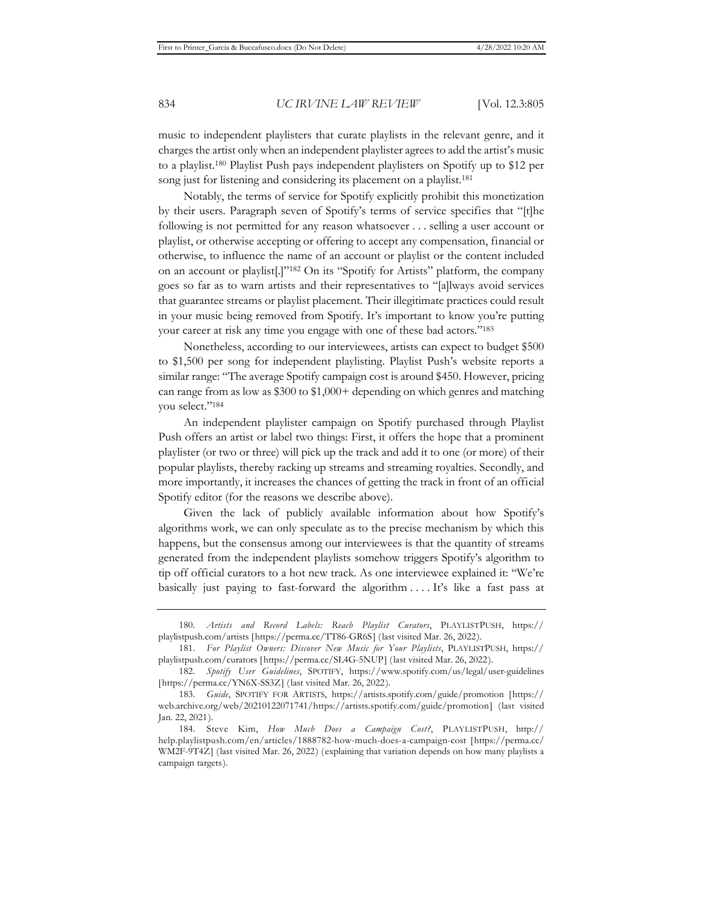music to independent playlisters that curate playlists in the relevant genre, and it charges the artist only when an independent playlister agrees to add the artist's music to a playlist.180 Playlist Push pays independent playlisters on Spotify up to \$12 per song just for listening and considering its placement on a playlist.<sup>181</sup>

Notably, the terms of service for Spotify explicitly prohibit this monetization by their users. Paragraph seven of Spotify's terms of service specifies that "[t]he following is not permitted for any reason whatsoever . . . selling a user account or playlist, or otherwise accepting or offering to accept any compensation, financial or otherwise, to influence the name of an account or playlist or the content included on an account or playlist[.]"182 On its "Spotify for Artists" platform, the company goes so far as to warn artists and their representatives to "[a]lways avoid services that guarantee streams or playlist placement. Their illegitimate practices could result in your music being removed from Spotify. It's important to know you're putting your career at risk any time you engage with one of these bad actors."183

Nonetheless, according to our interviewees, artists can expect to budget \$500 to \$1,500 per song for independent playlisting. Playlist Push's website reports a similar range: "The average Spotify campaign cost is around \$450. However, pricing can range from as low as \$300 to \$1,000+ depending on which genres and matching you select."184

An independent playlister campaign on Spotify purchased through Playlist Push offers an artist or label two things: First, it offers the hope that a prominent playlister (or two or three) will pick up the track and add it to one (or more) of their popular playlists, thereby racking up streams and streaming royalties. Secondly, and more importantly, it increases the chances of getting the track in front of an official Spotify editor (for the reasons we describe above).

Given the lack of publicly available information about how Spotify's algorithms work, we can only speculate as to the precise mechanism by which this happens, but the consensus among our interviewees is that the quantity of streams generated from the independent playlists somehow triggers Spotify's algorithm to tip off official curators to a hot new track. As one interviewee explained it: "We're basically just paying to fast-forward the algorithm . . . . It's like a fast pass at

<sup>180.</sup> *Artists and Record Labels: Reach Playlist Curators*, PLAYLISTPUSH, https:// playlistpush.com/artists [https://perma.cc/TT86-GR6S] (last visited Mar. 26, 2022).

<sup>181.</sup> *For Playlist Owners: Discover New Music for Your Playlists*, PLAYLISTPUSH, https:// playlistpush.com/curators [https://perma.cc/SL4G-5NUP] (last visited Mar. 26, 2022).

<sup>182.</sup> *Spotify User Guidelines*, SPOTIFY, https://www.spotify.com/us/legal/user-guidelines [https://perma.cc/YN6X-SS3Z] (last visited Mar. 26, 2022).

<sup>183.</sup> *Guide*, SPOTIFY FOR ARTISTS, https://artists.spotify.com/guide/promotion [https:// web.archive.org/web/20210122071741/https://artists.spotify.com/guide/promotion] (last visited Jan. 22, 2021).

<sup>184.</sup> Steve Kim, *How Much Does a Campaign Cost?*, PLAYLISTPUSH, http:// help.playlistpush.com/en/articles/1888782-how-much-does-a-campaign-cost [https://perma.cc/ WM2F-9T4Z] (last visited Mar. 26, 2022) (explaining that variation depends on how many playlists a campaign targets).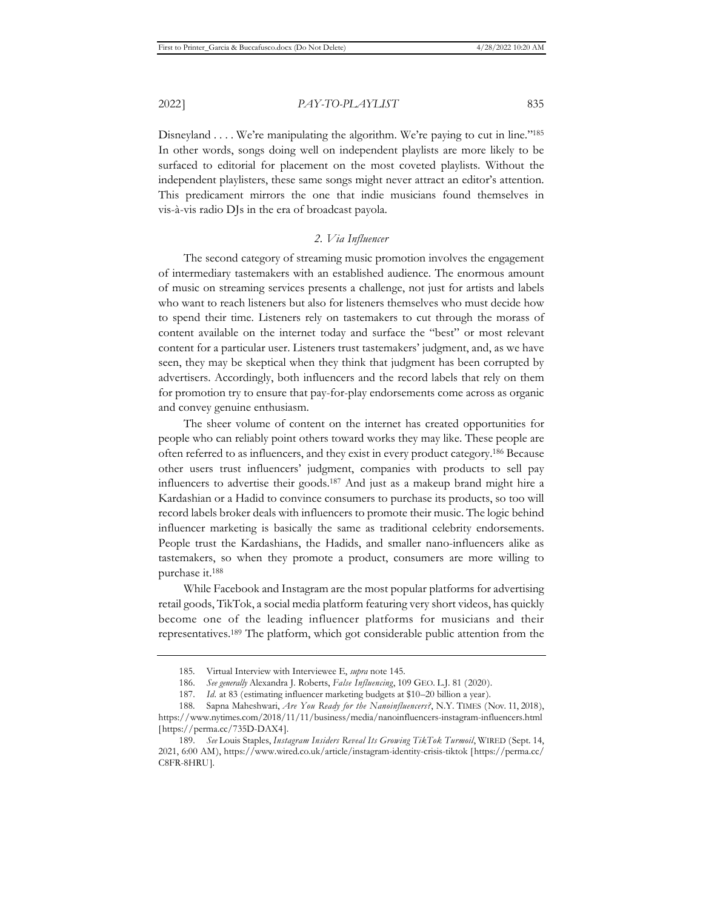Disneyland . . . . We're manipulating the algorithm. We're paying to cut in line."<sup>185</sup> In other words, songs doing well on independent playlists are more likely to be surfaced to editorial for placement on the most coveted playlists. Without the independent playlisters, these same songs might never attract an editor's attention. This predicament mirrors the one that indie musicians found themselves in vis-à-vis radio DJs in the era of broadcast payola.

# *2. Via Influencer*

The second category of streaming music promotion involves the engagement of intermediary tastemakers with an established audience. The enormous amount of music on streaming services presents a challenge, not just for artists and labels who want to reach listeners but also for listeners themselves who must decide how to spend their time. Listeners rely on tastemakers to cut through the morass of content available on the internet today and surface the "best" or most relevant content for a particular user. Listeners trust tastemakers' judgment, and, as we have seen, they may be skeptical when they think that judgment has been corrupted by advertisers. Accordingly, both influencers and the record labels that rely on them for promotion try to ensure that pay-for-play endorsements come across as organic and convey genuine enthusiasm.

The sheer volume of content on the internet has created opportunities for people who can reliably point others toward works they may like. These people are often referred to as influencers, and they exist in every product category.186 Because other users trust influencers' judgment, companies with products to sell pay influencers to advertise their goods.187 And just as a makeup brand might hire a Kardashian or a Hadid to convince consumers to purchase its products, so too will record labels broker deals with influencers to promote their music. The logic behind influencer marketing is basically the same as traditional celebrity endorsements. People trust the Kardashians, the Hadids, and smaller nano-influencers alike as tastemakers, so when they promote a product, consumers are more willing to purchase it.188

While Facebook and Instagram are the most popular platforms for advertising retail goods, TikTok, a social media platform featuring very short videos, has quickly become one of the leading influencer platforms for musicians and their representatives.189 The platform, which got considerable public attention from the

<sup>185.</sup> Virtual Interview with Interviewee E, *supra* note 145.

<sup>186.</sup> *See generally* Alexandra J. Roberts, *False Influencing*, 109 GEO. L.J. 81 (2020).

<sup>187.</sup> *Id.* at 83 (estimating influencer marketing budgets at \$10–20 billion a year).

<sup>188.</sup> Sapna Maheshwari, *Are You Ready for the Nanoinfluencers?*, N.Y. TIMES (Nov. 11, 2018),

https://www.nytimes.com/2018/11/11/business/media/nanoinfluencers-instagram-influencers.html [https://perma.cc/735D-DAX4].

<sup>189.</sup> *See* Louis Staples, *Instagram Insiders Reveal Its Growing TikTok Turmoil*, WIRED (Sept. 14, 2021, 6:00 AM), https://www.wired.co.uk/article/instagram-identity-crisis-tiktok [https://perma.cc/ C8FR-8HRU].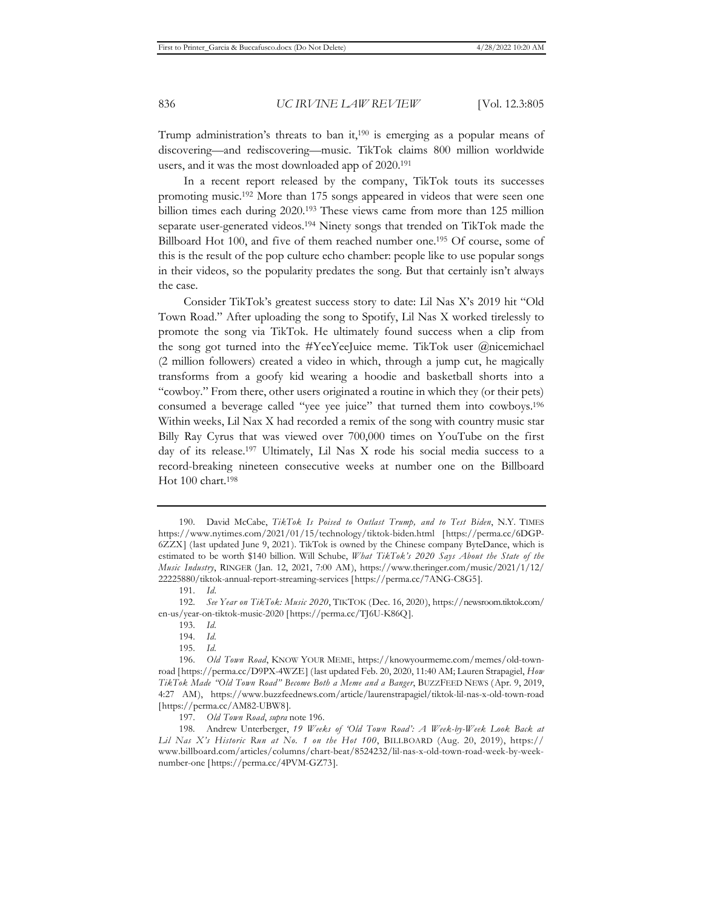Trump administration's threats to ban it,<sup>190</sup> is emerging as a popular means of discovering—and rediscovering—music. TikTok claims 800 million worldwide users, and it was the most downloaded app of 2020.191

In a recent report released by the company, TikTok touts its successes promoting music.192 More than 175 songs appeared in videos that were seen one billion times each during 2020.193 These views came from more than 125 million separate user-generated videos.<sup>194</sup> Ninety songs that trended on TikTok made the Billboard Hot 100, and five of them reached number one.195 Of course, some of this is the result of the pop culture echo chamber: people like to use popular songs in their videos, so the popularity predates the song. But that certainly isn't always the case.

Consider TikTok's greatest success story to date: Lil Nas X's 2019 hit "Old Town Road." After uploading the song to Spotify, Lil Nas X worked tirelessly to promote the song via TikTok. He ultimately found success when a clip from the song got turned into the #YeeYeeJuice meme. TikTok user @nicemichael (2 million followers) created a video in which, through a jump cut, he magically transforms from a goofy kid wearing a hoodie and basketball shorts into a "cowboy." From there, other users originated a routine in which they (or their pets) consumed a beverage called "yee yee juice" that turned them into cowboys.196 Within weeks, Lil Nax X had recorded a remix of the song with country music star Billy Ray Cyrus that was viewed over 700,000 times on YouTube on the first day of its release.197 Ultimately, Lil Nas X rode his social media success to a record-breaking nineteen consecutive weeks at number one on the Billboard Hot 100 chart.<sup>198</sup>

<sup>190.</sup> David McCabe, *TikTok Is Poised to Outlast Trump, and to Test Biden*, N.Y. TIMES https://www.nytimes.com/2021/01/15/technology/tiktok-biden.html [https://perma.cc/6DGP-6ZZX] (last updated June 9, 2021). TikTok is owned by the Chinese company ByteDance, which is estimated to be worth \$140 billion. Will Schube, *What TikTok's 2020 Says About the State of the Music Industry*, RINGER (Jan. 12, 2021, 7:00 AM), https://www.theringer.com/music/2021/1/12/ 22225880/tiktok-annual-report-streaming-services [https://perma.cc/7ANG-C8G5].

<sup>191.</sup> *Id.*

<sup>192.</sup> *See Year on TikTok: Music 2020*, TIKTOK (Dec. 16, 2020), https://newsroom.tiktok.com/ en-us/year-on-tiktok-music-2020 [https://perma.cc/TJ6U-K86Q].

<sup>193.</sup> *Id.*

<sup>194.</sup> *Id.*

<sup>195.</sup> *Id.*

<sup>196.</sup> *Old Town Road*, KNOW YOUR MEME, https://knowyourmeme.com/memes/old-townroad [https://perma.cc/D9PX-4WZE] (last updated Feb. 20, 2020, 11:40 AM; Lauren Strapagiel, *How TikTok Made "Old Town Road" Become Both a Meme and a Banger*, BUZZFEED NEWS (Apr. 9, 2019, 4:27 AM), https://www.buzzfeednews.com/article/laurenstrapagiel/tiktok-lil-nas-x-old-town-road [https://perma.cc/AM82-UBW8].

<sup>197.</sup> *Old Town Road*, *supra* note 196.

<sup>198.</sup> Andrew Unterberger, *19 Weeks of 'Old Town Road': A Week-by-Week Look Back at Lil Nas X's Historic Run at No. 1 on the Hot 100*, BILLBOARD (Aug. 20, 2019), https:// www.billboard.com/articles/columns/chart-beat/8524232/lil-nas-x-old-town-road-week-by-weeknumber-one [https://perma.cc/4PVM-GZ73].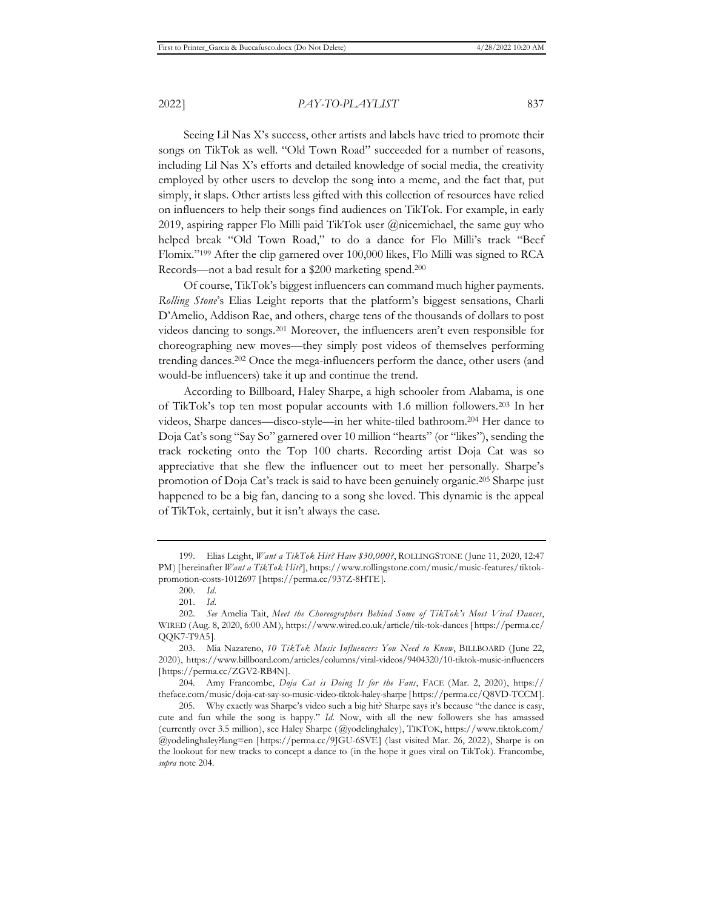Seeing Lil Nas X's success, other artists and labels have tried to promote their songs on TikTok as well. "Old Town Road" succeeded for a number of reasons, including Lil Nas X's efforts and detailed knowledge of social media, the creativity employed by other users to develop the song into a meme, and the fact that, put simply, it slaps. Other artists less gifted with this collection of resources have relied on influencers to help their songs find audiences on TikTok. For example, in early 2019, aspiring rapper Flo Milli paid TikTok user @nicemichael, the same guy who helped break "Old Town Road," to do a dance for Flo Milli's track "Beef Flomix."199 After the clip garnered over 100,000 likes, Flo Milli was signed to RCA Records—not a bad result for a \$200 marketing spend.200

Of course, TikTok's biggest influencers can command much higher payments. *Rolling Stone*'s Elias Leight reports that the platform's biggest sensations, Charli D'Amelio, Addison Rae, and others, charge tens of the thousands of dollars to post videos dancing to songs.201 Moreover, the influencers aren't even responsible for choreographing new moves—they simply post videos of themselves performing trending dances.202 Once the mega-influencers perform the dance, other users (and would-be influencers) take it up and continue the trend.

According to Billboard, Haley Sharpe, a high schooler from Alabama, is one of TikTok's top ten most popular accounts with 1.6 million followers.203 In her videos, Sharpe dances—disco-style—in her white-tiled bathroom.204 Her dance to Doja Cat's song "Say So" garnered over 10 million "hearts" (or "likes"), sending the track rocketing onto the Top 100 charts. Recording artist Doja Cat was so appreciative that she flew the influencer out to meet her personally. Sharpe's promotion of Doja Cat's track is said to have been genuinely organic.205 Sharpe just happened to be a big fan, dancing to a song she loved. This dynamic is the appeal of TikTok, certainly, but it isn't always the case.

204. Amy Francombe, *Doja Cat is Doing It for the Fans*, FACE (Mar. 2, 2020), https:// theface.com/music/doja-cat-say-so-music-video-tiktok-haley-sharpe [https://perma.cc/Q8VD-TCCM].

<sup>199.</sup> Elias Leight, *Want a TikTok Hit? Have \$30,000?*, ROLLINGSTONE (June 11, 2020, 12:47 PM) [hereinafter *Want a TikTok Hit?*], https://www.rollingstone.com/music/music-features/tiktokpromotion-costs-1012697 [https://perma.cc/937Z-8HTE].

<sup>200.</sup> *Id.*

<sup>201.</sup> *Id.*

<sup>202.</sup> *See* Amelia Tait, *Meet the Choreographers Behind Some of TikTok's Most Viral Dances*, WIRED (Aug. 8, 2020, 6:00 AM), https://www.wired.co.uk/article/tik-tok-dances [https://perma.cc/ QQK7-T9A5].

<sup>203.</sup> Mia Nazareno, *10 TikTok Music Influencers You Need to Know*, BILLBOARD (June 22, 2020), https://www.billboard.com/articles/columns/viral-videos/9404320/10-tiktok-music-influencers [https://perma.cc/ZGV2-RB4N].

<sup>205.</sup> Why exactly was Sharpe's video such a big hit? Sharpe says it's because "the dance is easy, cute and fun while the song is happy." *Id.* Now, with all the new followers she has amassed (currently over 3.5 million), see Haley Sharpe (@yodelinghaley), TIKTOK, https://www.tiktok.com/ @yodelinghaley?lang=en [https://perma.cc/9JGU-6SVE] (last visited Mar. 26, 2022), Sharpe is on the lookout for new tracks to concept a dance to (in the hope it goes viral on TikTok). Francombe, *supra* note 204.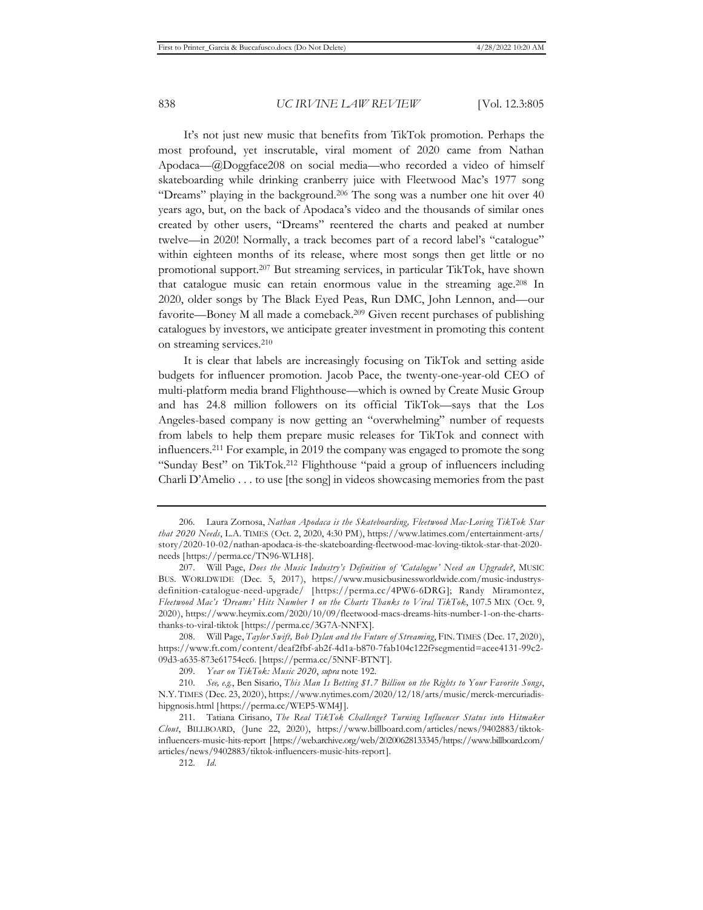It's not just new music that benefits from TikTok promotion. Perhaps the most profound, yet inscrutable, viral moment of 2020 came from Nathan Apodaca—@Doggface208 on social media—who recorded a video of himself skateboarding while drinking cranberry juice with Fleetwood Mac's 1977 song "Dreams" playing in the background.<sup>206</sup> The song was a number one hit over 40 years ago, but, on the back of Apodaca's video and the thousands of similar ones created by other users, "Dreams" reentered the charts and peaked at number twelve—in 2020! Normally, a track becomes part of a record label's "catalogue" within eighteen months of its release, where most songs then get little or no promotional support.207 But streaming services, in particular TikTok, have shown that catalogue music can retain enormous value in the streaming age.208 In 2020, older songs by The Black Eyed Peas, Run DMC, John Lennon, and—our favorite—Boney M all made a comeback.209 Given recent purchases of publishing catalogues by investors, we anticipate greater investment in promoting this content on streaming services.210

It is clear that labels are increasingly focusing on TikTok and setting aside budgets for influencer promotion. Jacob Pace, the twenty-one-year-old CEO of multi-platform media brand Flighthouse—which is owned by Create Music Group and has 24.8 million followers on its official TikTok—says that the Los Angeles-based company is now getting an "overwhelming" number of requests from labels to help them prepare music releases for TikTok and connect with influencers.211 For example, in 2019 the company was engaged to promote the song "Sunday Best" on TikTok.212 Flighthouse "paid a group of influencers including Charli D'Amelio . . . to use [the song] in videos showcasing memories from the past

212. *Id.*

<sup>206.</sup> Laura Zornosa, *Nathan Apodaca is the Skateboarding, Fleetwood Mac-Loving TikTok Star that 2020 Needs*, L.A. TIMES (Oct. 2, 2020, 4:30 PM), https://www.latimes.com/entertainment-arts/ story/2020-10-02/nathan-apodaca-is-the-skateboarding-fleetwood-mac-loving-tiktok-star-that-2020 needs [https://perma.cc/TN96-WLH8].

<sup>207.</sup> Will Page, *Does the Music Industry's Definition of 'Catalogue' Need an Upgrade?*, MUSIC BUS. WORLDWIDE (Dec. 5, 2017), https://www.musicbusinessworldwide.com/music-industrysdefinition-catalogue-need-upgrade/ [https://perma.cc/4PW6-6DRG]; Randy Miramontez, *Fleetwood Mac's 'Dreams' Hits Number 1 on the Charts Thanks to Viral TikTok*, 107.5 MIX (Oct. 9, 2020), https://www.heymix.com/2020/10/09/fleetwood-macs-dreams-hits-number-1-on-the-chartsthanks-to-viral-tiktok [https://perma.cc/3G7A-NNFX].

<sup>208.</sup> Will Page, *Taylor Swift, Bob Dylan and the Future of Streaming*, FIN. TIMES (Dec. 17, 2020), https://www.ft.com/content/deaf2fbf-ab2f-4d1a-b870-7fab104c122f?segmentid=acee4131-99c2- 09d3-a635-873e61754ec6. [https://perma.cc/5NNF-BTNT].

<sup>209.</sup> *Year on TikTok: Music 2020*, *supra* note 192.

<sup>210.</sup> *See, e.g.*, Ben Sisario, *This Man Is Betting \$1.7 Billion on the Rights to Your Favorite Songs*, N.Y. TIMES (Dec. 23, 2020), https://www.nytimes.com/2020/12/18/arts/music/merck-mercuriadishipgnosis.html [https://perma.cc/WEP5-WM4J].

<sup>211.</sup> Tatiana Cirisano, *The Real TikTok Challenge? Turning Influencer Status into Hitmaker Clout*, BILLBOARD, (June 22, 2020), https://www.billboard.com/articles/news/9402883/tiktokinfluencers-music-hits-report [https://web.archive.org/web/20200628133345/https://www.billboard.com/ articles/news/9402883/tiktok-influencers-music-hits-report].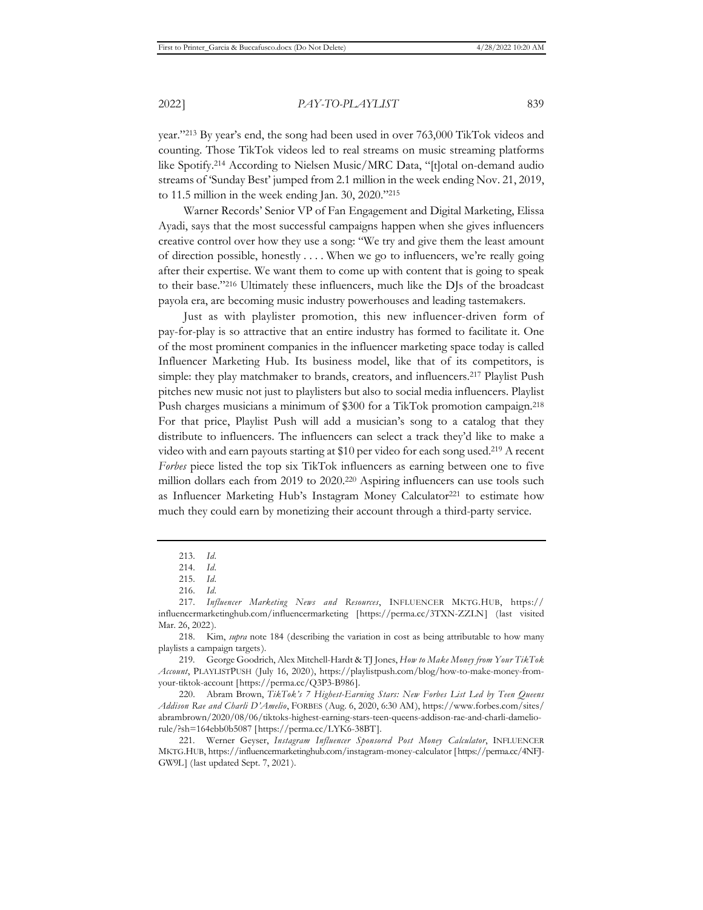year."213 By year's end, the song had been used in over 763,000 TikTok videos and counting. Those TikTok videos led to real streams on music streaming platforms like Spotify.214 According to Nielsen Music/MRC Data, "[t]otal on-demand audio streams of 'Sunday Best' jumped from 2.1 million in the week ending Nov. 21, 2019, to 11.5 million in the week ending Jan. 30, 2020."215

Warner Records' Senior VP of Fan Engagement and Digital Marketing, Elissa Ayadi, says that the most successful campaigns happen when she gives influencers creative control over how they use a song: "We try and give them the least amount of direction possible, honestly . . . . When we go to influencers, we're really going after their expertise. We want them to come up with content that is going to speak to their base."216 Ultimately these influencers, much like the DJs of the broadcast payola era, are becoming music industry powerhouses and leading tastemakers.

Just as with playlister promotion, this new influencer-driven form of pay-for-play is so attractive that an entire industry has formed to facilitate it. One of the most prominent companies in the influencer marketing space today is called Influencer Marketing Hub. Its business model, like that of its competitors, is simple: they play matchmaker to brands, creators, and influencers.217 Playlist Push pitches new music not just to playlisters but also to social media influencers. Playlist Push charges musicians a minimum of \$300 for a TikTok promotion campaign.218 For that price, Playlist Push will add a musician's song to a catalog that they distribute to influencers. The influencers can select a track they'd like to make a video with and earn payouts starting at \$10 per video for each song used.219 A recent *Forbes* piece listed the top six TikTok influencers as earning between one to five million dollars each from 2019 to 2020.<sup>220</sup> Aspiring influencers can use tools such as Influencer Marketing Hub's Instagram Money Calculator<sup>221</sup> to estimate how much they could earn by monetizing their account through a third-party service.

<sup>213.</sup> *Id.*

<sup>214.</sup> *Id.*

<sup>215.</sup> *Id.*

<sup>216.</sup> *Id.*

<sup>217.</sup> *Influencer Marketing News and Resources*, INFLUENCER MKTG.HUB, https:// influencermarketinghub.com/influencermarketing [https://perma.cc/3TXN-ZZLN] (last visited Mar. 26, 2022).

<sup>218.</sup> Kim, *supra* note 184 (describing the variation in cost as being attributable to how many playlists a campaign targets).

<sup>219.</sup> George Goodrich, Alex Mitchell-Hardt & TJ Jones, *How to Make Money from Your TikTok Account*, PLAYLISTPUSH (July 16, 2020), https://playlistpush.com/blog/how-to-make-money-fromyour-tiktok-account [https://perma.cc/Q3P3-B986].

<sup>220.</sup> Abram Brown, *TikTok's 7 Highest-Earning Stars: New Forbes List Led by Teen Queens Addison Rae and Charli D'Amelio*, FORBES (Aug. 6, 2020, 6:30 AM), https://www.forbes.com/sites/ abrambrown/2020/08/06/tiktoks-highest-earning-stars-teen-queens-addison-rae-and-charli-dameliorule/?sh=164ebb0b5087 [https://perma.cc/LYK6-38BT].

<sup>221.</sup> Werner Geyser, *Instagram Influencer Sponsored Post Money Calculator*, INFLUENCER MKTG.HUB, https://influencermarketinghub.com/instagram-money-calculator [https://perma.cc/4NFJ-GW9L] (last updated Sept. 7, 2021).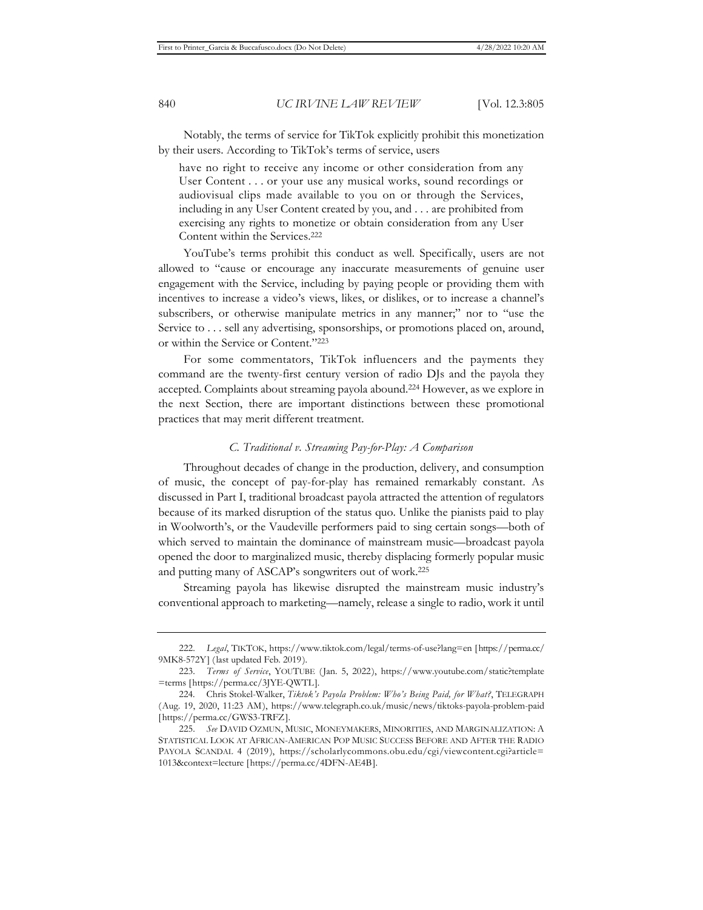Notably, the terms of service for TikTok explicitly prohibit this monetization by their users. According to TikTok's terms of service, users

have no right to receive any income or other consideration from any User Content . . . or your use any musical works, sound recordings or audiovisual clips made available to you on or through the Services, including in any User Content created by you, and . . . are prohibited from exercising any rights to monetize or obtain consideration from any User Content within the Services.222

YouTube's terms prohibit this conduct as well. Specifically, users are not allowed to "cause or encourage any inaccurate measurements of genuine user engagement with the Service, including by paying people or providing them with incentives to increase a video's views, likes, or dislikes, or to increase a channel's subscribers, or otherwise manipulate metrics in any manner;" nor to "use the Service to . . . sell any advertising, sponsorships, or promotions placed on, around, or within the Service or Content."223

For some commentators, TikTok influencers and the payments they command are the twenty-first century version of radio DJs and the payola they accepted. Complaints about streaming payola abound.224 However, as we explore in the next Section, there are important distinctions between these promotional practices that may merit different treatment.

### *C. Traditional v. Streaming Pay-for-Play: A Comparison*

Throughout decades of change in the production, delivery, and consumption of music, the concept of pay-for-play has remained remarkably constant. As discussed in Part I, traditional broadcast payola attracted the attention of regulators because of its marked disruption of the status quo. Unlike the pianists paid to play in Woolworth's, or the Vaudeville performers paid to sing certain songs—both of which served to maintain the dominance of mainstream music—broadcast payola opened the door to marginalized music, thereby displacing formerly popular music and putting many of ASCAP's songwriters out of work.225

Streaming payola has likewise disrupted the mainstream music industry's conventional approach to marketing—namely, release a single to radio, work it until

<sup>222.</sup> *Legal*, TIKTOK, https://www.tiktok.com/legal/terms-of-use?lang=en [https://perma.cc/ 9MK8-572Y] (last updated Feb. 2019).

<sup>223.</sup> *Terms of Service*, YOUTUBE (Jan. 5, 2022), https://www.youtube.com/static?template =terms [https://perma.cc/3JYE-QWTL].

<sup>224.</sup> Chris Stokel-Walker, *Tiktok's Payola Problem: Who's Being Paid, for What?*, TELEGRAPH (Aug. 19, 2020, 11:23 AM), https://www.telegraph.co.uk/music/news/tiktoks-payola-problem-paid [https://perma.cc/GWS3-TRFZ].

<sup>225.</sup> *See* DAVID OZMUN, MUSIC, MONEYMAKERS, MINORITIES, AND MARGINALIZATION: A STATISTICAL LOOK AT AFRICAN-AMERICAN POP MUSIC SUCCESS BEFORE AND AFTER THE RADIO PAYOLA SCANDAL 4 (2019), https://scholarlycommons.obu.edu/cgi/viewcontent.cgi?article= 1013&context=lecture [https://perma.cc/4DFN-AE4B].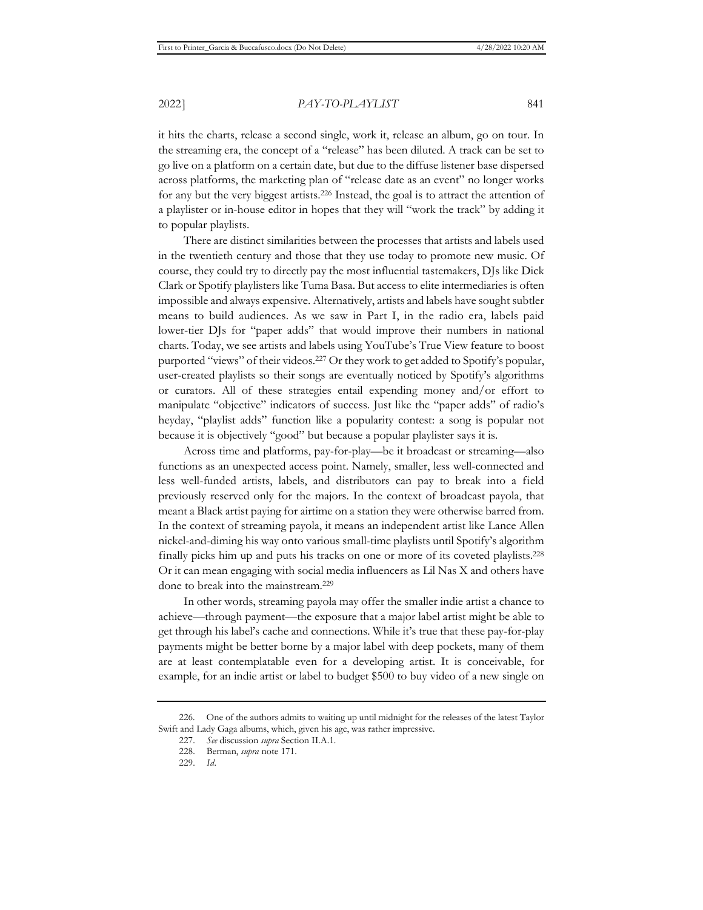it hits the charts, release a second single, work it, release an album, go on tour. In the streaming era, the concept of a "release" has been diluted. A track can be set to go live on a platform on a certain date, but due to the diffuse listener base dispersed across platforms, the marketing plan of "release date as an event" no longer works for any but the very biggest artists.226 Instead, the goal is to attract the attention of a playlister or in-house editor in hopes that they will "work the track" by adding it to popular playlists.

There are distinct similarities between the processes that artists and labels used in the twentieth century and those that they use today to promote new music. Of course, they could try to directly pay the most influential tastemakers, DJs like Dick Clark or Spotify playlisters like Tuma Basa. But access to elite intermediaries is often impossible and always expensive. Alternatively, artists and labels have sought subtler means to build audiences. As we saw in Part I, in the radio era, labels paid lower-tier DJs for "paper adds" that would improve their numbers in national charts. Today, we see artists and labels using YouTube's True View feature to boost purported "views" of their videos.227 Or they work to get added to Spotify's popular, user-created playlists so their songs are eventually noticed by Spotify's algorithms or curators. All of these strategies entail expending money and/or effort to manipulate "objective" indicators of success. Just like the "paper adds" of radio's heyday, "playlist adds" function like a popularity contest: a song is popular not because it is objectively "good" but because a popular playlister says it is.

Across time and platforms, pay-for-play—be it broadcast or streaming—also functions as an unexpected access point. Namely, smaller, less well-connected and less well-funded artists, labels, and distributors can pay to break into a field previously reserved only for the majors. In the context of broadcast payola, that meant a Black artist paying for airtime on a station they were otherwise barred from. In the context of streaming payola, it means an independent artist like Lance Allen nickel-and-diming his way onto various small-time playlists until Spotify's algorithm finally picks him up and puts his tracks on one or more of its coveted playlists.228 Or it can mean engaging with social media influencers as Lil Nas X and others have done to break into the mainstream.<sup>229</sup>

In other words, streaming payola may offer the smaller indie artist a chance to achieve—through payment—the exposure that a major label artist might be able to get through his label's cache and connections. While it's true that these pay-for-play payments might be better borne by a major label with deep pockets, many of them are at least contemplatable even for a developing artist. It is conceivable, for example, for an indie artist or label to budget \$500 to buy video of a new single on

<sup>226.</sup> One of the authors admits to waiting up until midnight for the releases of the latest Taylor Swift and Lady Gaga albums, which, given his age, was rather impressive.

<sup>227.</sup> *See* discussion *supra* Section II.A.1.

<sup>228.</sup> Berman, *supra* note 171.

<sup>229.</sup> *Id.*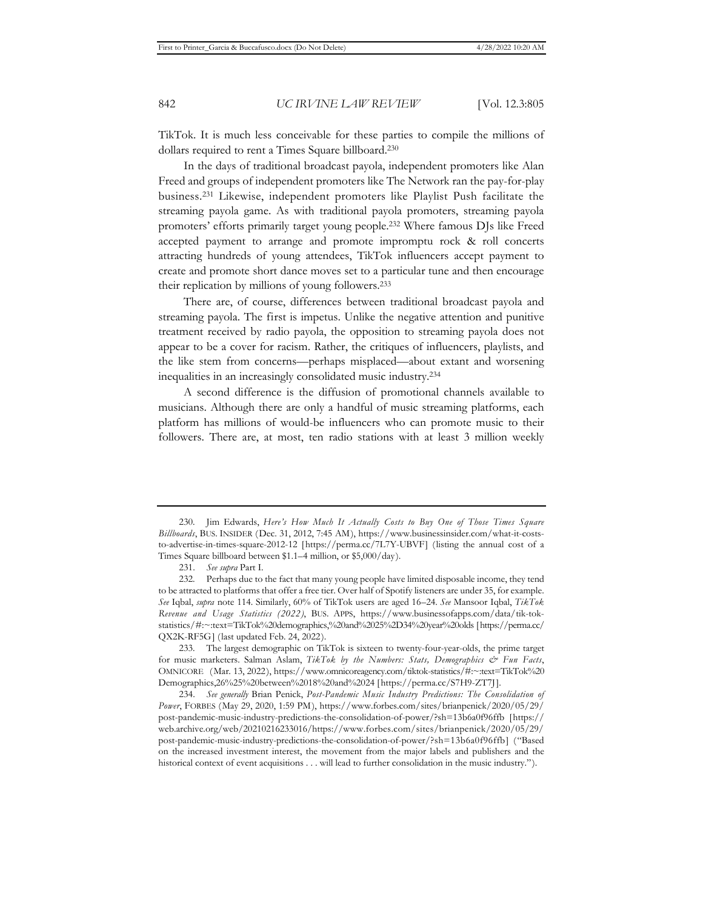TikTok. It is much less conceivable for these parties to compile the millions of dollars required to rent a Times Square billboard.230

In the days of traditional broadcast payola, independent promoters like Alan Freed and groups of independent promoters like The Network ran the pay-for-play business.231 Likewise, independent promoters like Playlist Push facilitate the streaming payola game. As with traditional payola promoters, streaming payola promoters' efforts primarily target young people.232 Where famous DJs like Freed accepted payment to arrange and promote impromptu rock & roll concerts attracting hundreds of young attendees, TikTok influencers accept payment to create and promote short dance moves set to a particular tune and then encourage their replication by millions of young followers.233

There are, of course, differences between traditional broadcast payola and streaming payola. The first is impetus. Unlike the negative attention and punitive treatment received by radio payola, the opposition to streaming payola does not appear to be a cover for racism. Rather, the critiques of influencers, playlists, and the like stem from concerns—perhaps misplaced—about extant and worsening inequalities in an increasingly consolidated music industry.234

A second difference is the diffusion of promotional channels available to musicians. Although there are only a handful of music streaming platforms, each platform has millions of would-be influencers who can promote music to their followers. There are, at most, ten radio stations with at least 3 million weekly

233. The largest demographic on TikTok is sixteen to twenty-four-year-olds, the prime target for music marketers. Salman Aslam, *TikTok by the Numbers: Stats, Demographics & Fun Facts*, OMNICORE (Mar. 13, 2022), https://www.omnicoreagency.com/tiktok-statistics/#:~:text=TikTok%20 Demographics,26%25%20between%2018%20and%2024 [https://perma.cc/S7H9-ZT7J].

<sup>230.</sup> Jim Edwards, *Here's How Much It Actually Costs to Buy One of Those Times Square Billboards*, BUS. INSIDER (Dec. 31, 2012, 7:45 AM), https://www.businessinsider.com/what-it-coststo-advertise-in-times-square-2012-12 [https://perma.cc/7L7Y-UBVF] (listing the annual cost of a Times Square billboard between \$1.1–4 million, or \$5,000/day).

<sup>231.</sup> *See supra* Part I.

<sup>232.</sup> Perhaps due to the fact that many young people have limited disposable income, they tend to be attracted to platforms that offer a free tier. Over half of Spotify listeners are under 35, for example. *See* Iqbal, *supra* note 114. Similarly, 60% of TikTok users are aged 16–24. *See* Mansoor Iqbal, *TikTok Revenue and Usage Statistics (2022)*, BUS. APPS, https://www.businessofapps.com/data/tik-tokstatistics/#:~:text=TikTok%20demographics,%20and%2025%2D34%20year%20olds [https://perma.cc/ QX2K-RF5G] (last updated Feb. 24, 2022).

<sup>234.</sup> *See generally* Brian Penick, *Post-Pandemic Music Industry Predictions: The Consolidation of Power*, FORBES (May 29, 2020, 1:59 PM), https://www.forbes.com/sites/brianpenick/2020/05/29/ post-pandemic-music-industry-predictions-the-consolidation-of-power/?sh=13b6a0f96ffb [https:// web.archive.org/web/20210216233016/https://www.forbes.com/sites/brianpenick/2020/05/29/ post-pandemic-music-industry-predictions-the-consolidation-of-power/?sh=13b6a0f96ffb] ("Based on the increased investment interest, the movement from the major labels and publishers and the historical context of event acquisitions . . . will lead to further consolidation in the music industry.").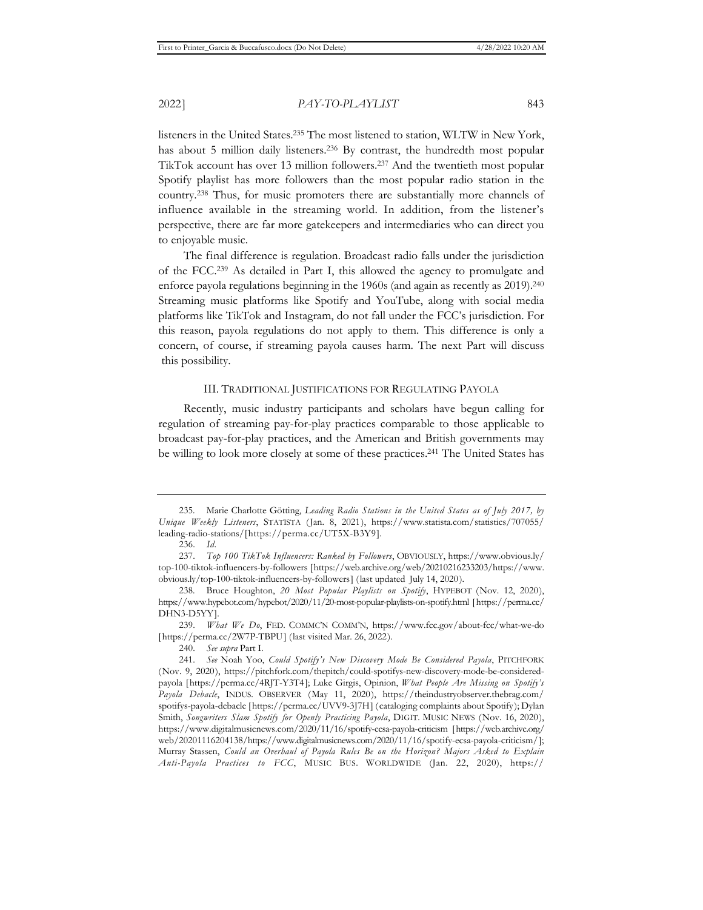listeners in the United States.235 The most listened to station, WLTW in New York, has about 5 million daily listeners.<sup>236</sup> By contrast, the hundredth most popular TikTok account has over 13 million followers.237 And the twentieth most popular Spotify playlist has more followers than the most popular radio station in the country.238 Thus, for music promoters there are substantially more channels of influence available in the streaming world. In addition, from the listener's perspective, there are far more gatekeepers and intermediaries who can direct you to enjoyable music.

The final difference is regulation. Broadcast radio falls under the jurisdiction of the FCC.239 As detailed in Part I, this allowed the agency to promulgate and enforce payola regulations beginning in the 1960s (and again as recently as 2019).<sup>240</sup> Streaming music platforms like Spotify and YouTube, along with social media platforms like TikTok and Instagram, do not fall under the FCC's jurisdiction. For this reason, payola regulations do not apply to them. This difference is only a concern, of course, if streaming payola causes harm. The next Part will discuss this possibility.

#### III. TRADITIONAL JUSTIFICATIONS FOR REGULATING PAYOLA

Recently, music industry participants and scholars have begun calling for regulation of streaming pay-for-play practices comparable to those applicable to broadcast pay-for-play practices, and the American and British governments may be willing to look more closely at some of these practices.241 The United States has

<sup>235.</sup> Marie Charlotte Götting, *Leading Radio Stations in the United States as of July 2017, by Unique Weekly Listeners*, STATISTA (Jan. 8, 2021), https://www.statista.com/statistics/707055/ leading-radio-stations/[https://perma.cc/UT5X-B3Y9].

<sup>236.</sup> *Id.*

<sup>237.</sup> *Top 100 TikTok Influencers: Ranked by Followers*, OBVIOUSLY, https://www.obvious.ly/ top-100-tiktok-influencers-by-followers [https://web.archive.org/web/20210216233203/https://www. obvious.ly/top-100-tiktok-influencers-by-followers] (last updated July 14, 2020).

<sup>238.</sup> Bruce Houghton, *20 Most Popular Playlists on Spotify*, HYPEBOT (Nov. 12, 2020), https://www.hypebot.com/hypebot/2020/11/20-most-popular-playlists-on-spotify.html [https://perma.cc/ DHN3-D5YY].

<sup>239.</sup> *What We Do*, FED. COMMC'N COMM'N, https://www.fcc.gov/about-fcc/what-we-do [https://perma.cc/2W7P-TBPU] (last visited Mar. 26, 2022).

<sup>240.</sup> *See supra* Part I.

<sup>241.</sup> *See* Noah Yoo, *Could Spotify's New Discovery Mode Be Considered Payola*, PITCHFORK (Nov. 9, 2020), https://pitchfork.com/thepitch/could-spotifys-new-discovery-mode-be-consideredpayola [https://perma.cc/4RJT-Y3T4]; Luke Girgis, Opinion, *What People Are Missing on Spotify's Payola Debacle*, INDUS. OBSERVER (May 11, 2020), https://theindustryobserver.thebrag.com/ spotifys-payola-debacle [https://perma.cc/UVV9-3J7H] (cataloging complaints about Spotify); Dylan Smith, *Songwriters Slam Spotify for Openly Practicing Payola*, DIGIT. MUSIC NEWS (Nov. 16, 2020), https://www.digitalmusicnews.com/2020/11/16/spotify-ecsa-payola-criticism [https://web.archive.org/ web/20201116204138/https://www.digitalmusicnews.com/2020/11/16/spotify-ecsa-payola-criticism/]; Murray Stassen, *Could an Overhaul of Payola Rules Be on the Horizon? Majors Asked to Explain Anti-Payola Practices to FCC*, MUSIC BUS. WORLDWIDE (Jan. 22, 2020), https://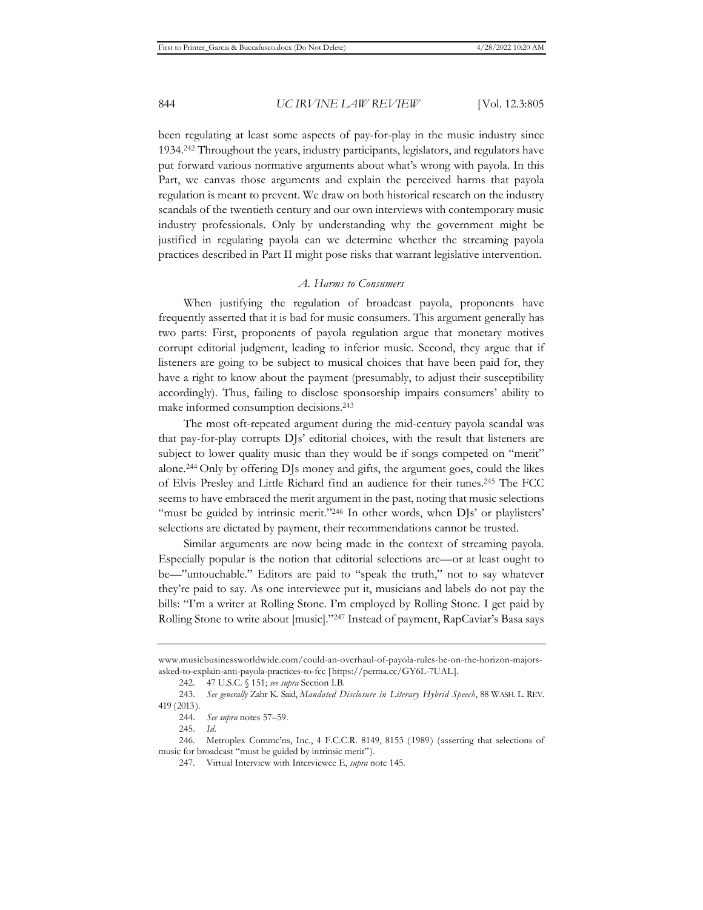been regulating at least some aspects of pay-for-play in the music industry since 1934.242 Throughout the years, industry participants, legislators, and regulators have put forward various normative arguments about what's wrong with payola. In this Part, we canvas those arguments and explain the perceived harms that payola regulation is meant to prevent. We draw on both historical research on the industry scandals of the twentieth century and our own interviews with contemporary music industry professionals. Only by understanding why the government might be justified in regulating payola can we determine whether the streaming payola practices described in Part II might pose risks that warrant legislative intervention.

### *A. Harms to Consumers*

When justifying the regulation of broadcast payola, proponents have frequently asserted that it is bad for music consumers. This argument generally has two parts: First, proponents of payola regulation argue that monetary motives corrupt editorial judgment, leading to inferior music. Second, they argue that if listeners are going to be subject to musical choices that have been paid for, they have a right to know about the payment (presumably, to adjust their susceptibility accordingly). Thus, failing to disclose sponsorship impairs consumers' ability to make informed consumption decisions.243

The most oft-repeated argument during the mid-century payola scandal was that pay-for-play corrupts DJs' editorial choices, with the result that listeners are subject to lower quality music than they would be if songs competed on "merit" alone.244 Only by offering DJs money and gifts, the argument goes, could the likes of Elvis Presley and Little Richard find an audience for their tunes.245 The FCC seems to have embraced the merit argument in the past, noting that music selections "must be guided by intrinsic merit."<sup>246</sup> In other words, when DJs' or playlisters' selections are dictated by payment, their recommendations cannot be trusted.

Similar arguments are now being made in the context of streaming payola. Especially popular is the notion that editorial selections are—or at least ought to be—"untouchable." Editors are paid to "speak the truth," not to say whatever they're paid to say. As one interviewee put it, musicians and labels do not pay the bills: "I'm a writer at Rolling Stone. I'm employed by Rolling Stone. I get paid by Rolling Stone to write about [music]."247 Instead of payment, RapCaviar's Basa says

www.musicbusinessworldwide.com/could-an-overhaul-of-payola-rules-be-on-the-horizon-majorsasked-to-explain-anti-payola-practices-to-fcc [https://perma.cc/GY6L-7UAL].

<sup>242. 47</sup> U.S.C. § 151; *see supra* Section I.B.

<sup>243.</sup> *See generally* Zahr K. Said, *Mandated Disclosure in Literary Hybrid Speech*, 88 WASH. L. REV. 419 (2013).

<sup>244.</sup> *See supra* notes 57–59.

<sup>245.</sup> *Id.*

<sup>246.</sup> Metroplex Commc'ns, Inc., 4 F.C.C.R. 8149, 8153 (1989) (asserting that selections of music for broadcast "must be guided by intrinsic merit").

<sup>247.</sup> Virtual Interview with Interviewee E, *supra* note 145.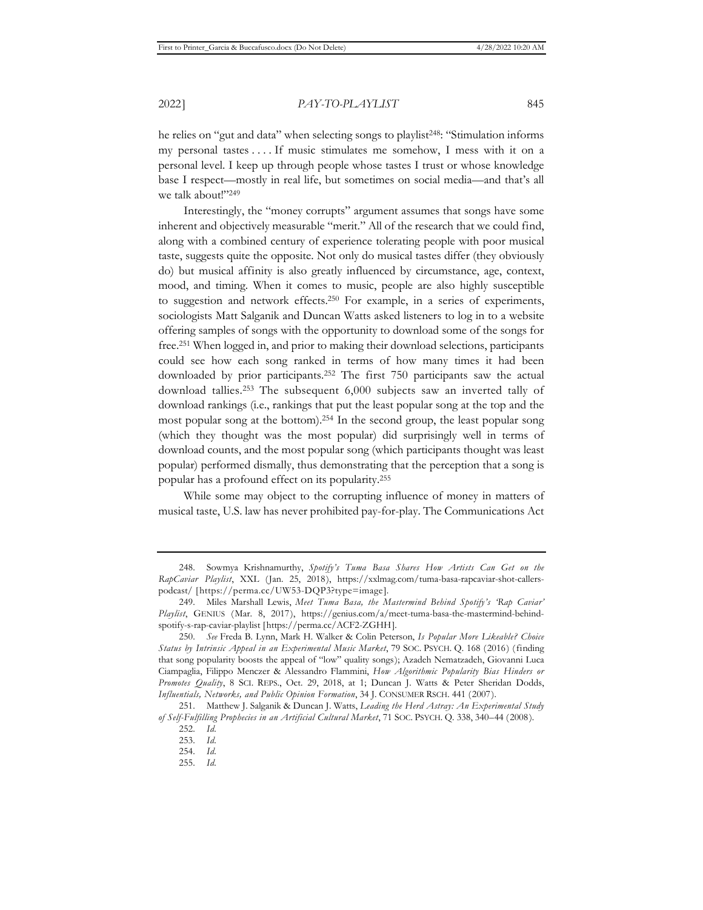he relies on "gut and data" when selecting songs to playlist<sup>248</sup>: "Stimulation informs my personal tastes . . . . If music stimulates me somehow, I mess with it on a personal level. I keep up through people whose tastes I trust or whose knowledge base I respect—mostly in real life, but sometimes on social media—and that's all we talk about!"249

Interestingly, the "money corrupts" argument assumes that songs have some inherent and objectively measurable "merit." All of the research that we could find, along with a combined century of experience tolerating people with poor musical taste, suggests quite the opposite. Not only do musical tastes differ (they obviously do) but musical affinity is also greatly influenced by circumstance, age, context, mood, and timing. When it comes to music, people are also highly susceptible to suggestion and network effects.250 For example, in a series of experiments, sociologists Matt Salganik and Duncan Watts asked listeners to log in to a website offering samples of songs with the opportunity to download some of the songs for free.251 When logged in, and prior to making their download selections, participants could see how each song ranked in terms of how many times it had been downloaded by prior participants.252 The first 750 participants saw the actual download tallies.253 The subsequent 6,000 subjects saw an inverted tally of download rankings (i.e., rankings that put the least popular song at the top and the most popular song at the bottom).254 In the second group, the least popular song (which they thought was the most popular) did surprisingly well in terms of download counts, and the most popular song (which participants thought was least popular) performed dismally, thus demonstrating that the perception that a song is popular has a profound effect on its popularity.255

While some may object to the corrupting influence of money in matters of musical taste, U.S. law has never prohibited pay-for-play. The Communications Act

<sup>248.</sup> Sowmya Krishnamurthy, *Spotify's Tuma Basa Shares How Artists Can Get on the RapCaviar Playlist*, XXL (Jan. 25, 2018), https://xxlmag.com/tuma-basa-rapcaviar-shot-callerspodcast/ [https://perma.cc/UW53-DQP3?type=image].

<sup>249.</sup> Miles Marshall Lewis, *Meet Tuma Basa, the Mastermind Behind Spotify's 'Rap Caviar' Playlist*, GENIUS (Mar. 8, 2017), https://genius.com/a/meet-tuma-basa-the-mastermind-behindspotify-s-rap-caviar-playlist [https://perma.cc/ACF2-ZGHH].

<sup>250.</sup> *See* Freda B. Lynn, Mark H. Walker & Colin Peterson, *Is Popular More Likeable? Choice Status by Intrinsic Appeal in an Experimental Music Market*, 79 SOC. PSYCH. Q. 168 (2016) (finding that song popularity boosts the appeal of "low" quality songs); Azadeh Nematzadeh, Giovanni Luca Ciampaglia, Filippo Menczer & Alessandro Flammini, *How Algorithmic Popularity Bias Hinders or Promotes Quality*, 8 SCI. REPS., Oct. 29, 2018, at 1; Duncan J. Watts & Peter Sheridan Dodds, *Influentials, Networks, and Public Opinion Formation*, 34 J. CONSUMER RSCH. 441 (2007).

<sup>251.</sup> Matthew J. Salganik & Duncan J. Watts, *Leading the Herd Astray: An Experimental Study of Self-Fulfilling Prophecies in an Artificial Cultural Market*, 71 SOC. PSYCH. Q. 338, 340–44 (2008). 252. *Id.*

<sup>253.</sup> *Id.*

<sup>254.</sup> *Id.*

<sup>255.</sup> *Id.*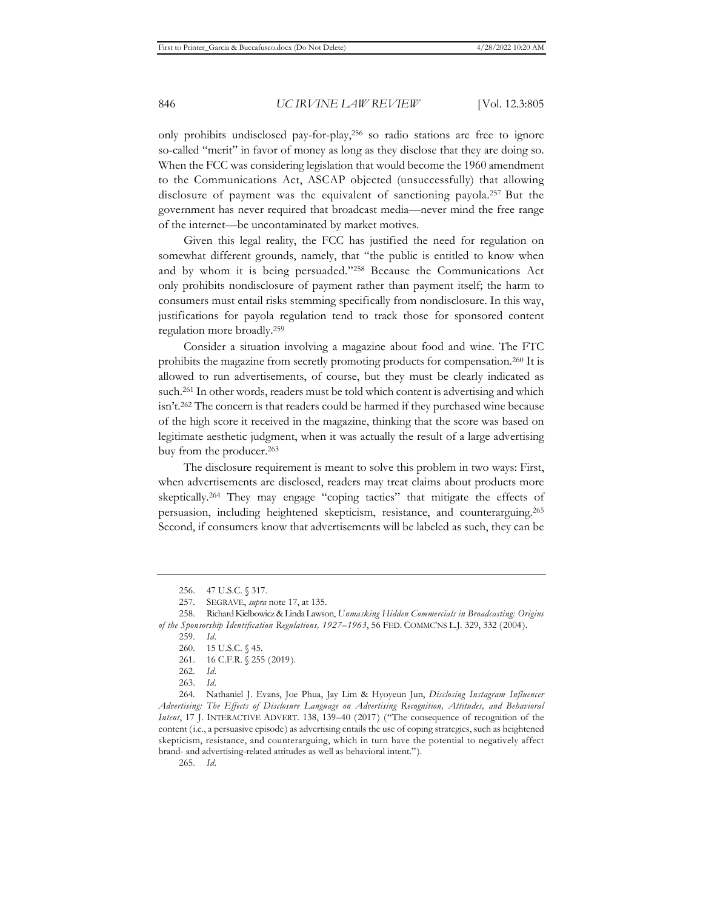only prohibits undisclosed pay-for-play,256 so radio stations are free to ignore so-called "merit" in favor of money as long as they disclose that they are doing so. When the FCC was considering legislation that would become the 1960 amendment to the Communications Act, ASCAP objected (unsuccessfully) that allowing disclosure of payment was the equivalent of sanctioning payola.257 But the government has never required that broadcast media—never mind the free range of the internet—be uncontaminated by market motives.

Given this legal reality, the FCC has justified the need for regulation on somewhat different grounds, namely, that "the public is entitled to know when and by whom it is being persuaded."258 Because the Communications Act only prohibits nondisclosure of payment rather than payment itself; the harm to consumers must entail risks stemming specifically from nondisclosure. In this way, justifications for payola regulation tend to track those for sponsored content regulation more broadly.259

Consider a situation involving a magazine about food and wine. The FTC prohibits the magazine from secretly promoting products for compensation.260 It is allowed to run advertisements, of course, but they must be clearly indicated as such.261 In other words, readers must be told which content is advertising and which isn't.262 The concern is that readers could be harmed if they purchased wine because of the high score it received in the magazine, thinking that the score was based on legitimate aesthetic judgment, when it was actually the result of a large advertising buy from the producer.263

The disclosure requirement is meant to solve this problem in two ways: First, when advertisements are disclosed, readers may treat claims about products more skeptically.264 They may engage "coping tactics" that mitigate the effects of persuasion, including heightened skepticism, resistance, and counterarguing.265 Second, if consumers know that advertisements will be labeled as such, they can be

265. *Id.*

<sup>256. 47</sup> U.S.C. § 317.

<sup>257.</sup> SEGRAVE, *supra* note 17, at 135.

<sup>258.</sup> Richard Kielbowicz & Linda Lawson, *Unmasking Hidden Commercials in Broadcasting: Origins of the Sponsorship Identification Regulations, 1927–1963*, 56 FED. COMMC'NS L.J. 329, 332 (2004).

<sup>259.</sup> *Id.*

<sup>260. 15</sup> U.S.C. § 45.

<sup>261. 16</sup> C.F.R. § 255 (2019).

<sup>262.</sup> *Id.*

<sup>263.</sup> *Id.*

<sup>264.</sup> Nathaniel J. Evans, Joe Phua, Jay Lim & Hyoyeun Jun, *Disclosing Instagram Influencer Advertising: The Effects of Disclosure Language on Advertising Recognition, Attitudes, and Behavioral Intent*, 17 J. INTERACTIVE ADVERT. 138, 139–40 (2017) ("The consequence of recognition of the content (i.e., a persuasive episode) as advertising entails the use of coping strategies, such as heightened skepticism, resistance, and counterarguing, which in turn have the potential to negatively affect brand- and advertising-related attitudes as well as behavioral intent.").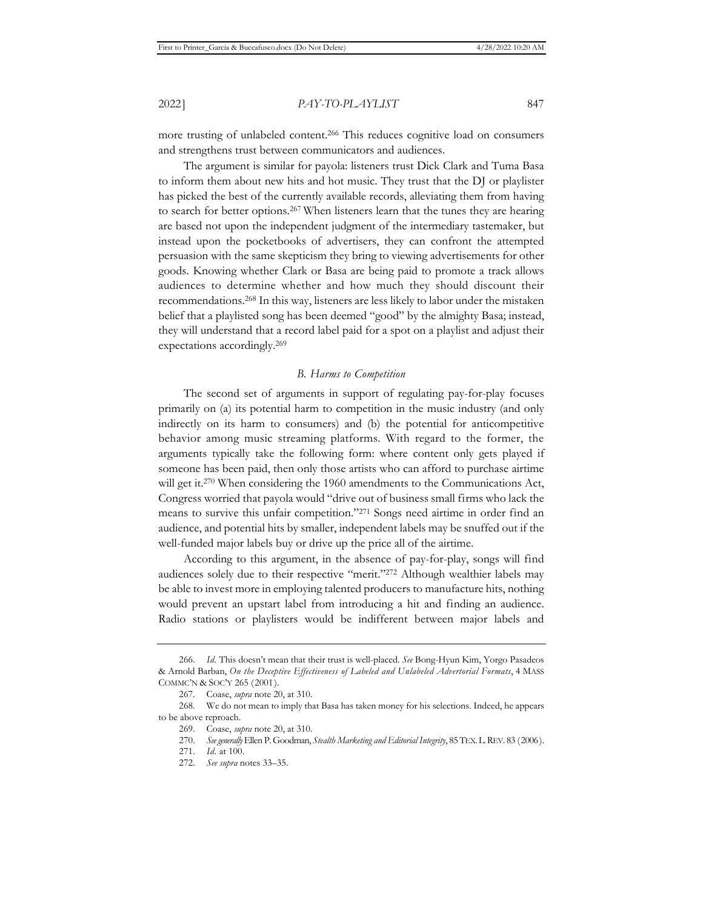more trusting of unlabeled content.266 This reduces cognitive load on consumers and strengthens trust between communicators and audiences.

The argument is similar for payola: listeners trust Dick Clark and Tuma Basa to inform them about new hits and hot music. They trust that the DJ or playlister has picked the best of the currently available records, alleviating them from having to search for better options.267 When listeners learn that the tunes they are hearing are based not upon the independent judgment of the intermediary tastemaker, but instead upon the pocketbooks of advertisers, they can confront the attempted persuasion with the same skepticism they bring to viewing advertisements for other goods. Knowing whether Clark or Basa are being paid to promote a track allows audiences to determine whether and how much they should discount their recommendations.268 In this way, listeners are less likely to labor under the mistaken belief that a playlisted song has been deemed "good" by the almighty Basa; instead, they will understand that a record label paid for a spot on a playlist and adjust their expectations accordingly.269

### *B. Harms to Competition*

The second set of arguments in support of regulating pay-for-play focuses primarily on (a) its potential harm to competition in the music industry (and only indirectly on its harm to consumers) and (b) the potential for anticompetitive behavior among music streaming platforms. With regard to the former, the arguments typically take the following form: where content only gets played if someone has been paid, then only those artists who can afford to purchase airtime will get it.<sup>270</sup> When considering the 1960 amendments to the Communications Act, Congress worried that payola would "drive out of business small firms who lack the means to survive this unfair competition."271 Songs need airtime in order find an audience, and potential hits by smaller, independent labels may be snuffed out if the well-funded major labels buy or drive up the price all of the airtime.

According to this argument, in the absence of pay-for-play, songs will find audiences solely due to their respective "merit."272 Although wealthier labels may be able to invest more in employing talented producers to manufacture hits, nothing would prevent an upstart label from introducing a hit and finding an audience. Radio stations or playlisters would be indifferent between major labels and

<sup>266.</sup> *Id.* This doesn't mean that their trust is well-placed. *See* Bong-Hyun Kim, Yorgo Pasadeos & Arnold Barban, *On the Deceptive Effectiveness of Labeled and Unlabeled Advertorial Formats*, 4 MASS COMMC'N & SOC'Y 265 (2001).

<sup>267.</sup> Coase, *supra* note 20, at 310.

<sup>268.</sup> We do not mean to imply that Basa has taken money for his selections. Indeed, he appears to be above reproach.

<sup>269.</sup> Coase, *supra* note 20, at 310.

<sup>270.</sup> *See generally* Ellen P. Goodman, *Stealth Marketing and Editorial Integrity*, 85 TEX.L.REV. 83 (2006).

<sup>271.</sup> *Id.* at 100.

<sup>272.</sup> *See supra* notes 33–35.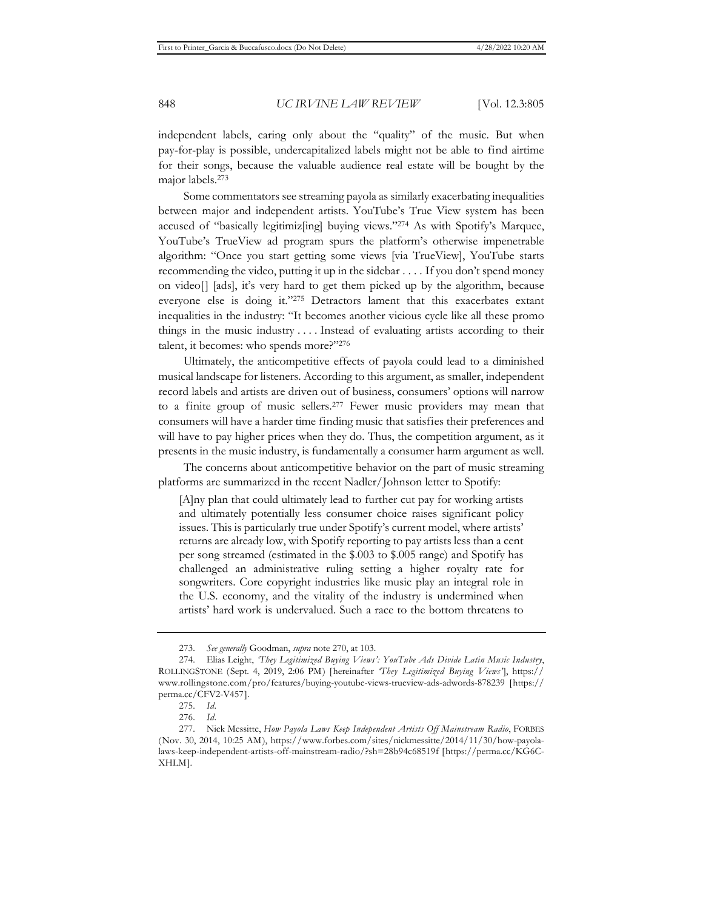independent labels, caring only about the "quality" of the music. But when pay-for-play is possible, undercapitalized labels might not be able to find airtime for their songs, because the valuable audience real estate will be bought by the major labels.273

Some commentators see streaming payola as similarly exacerbating inequalities between major and independent artists. YouTube's True View system has been accused of "basically legitimiz[ing] buying views."274 As with Spotify's Marquee, YouTube's TrueView ad program spurs the platform's otherwise impenetrable algorithm: "Once you start getting some views [via TrueView], YouTube starts recommending the video, putting it up in the sidebar . . . . If you don't spend money on video[] [ads], it's very hard to get them picked up by the algorithm, because everyone else is doing it."275 Detractors lament that this exacerbates extant inequalities in the industry: "It becomes another vicious cycle like all these promo things in the music industry . . . . Instead of evaluating artists according to their talent, it becomes: who spends more?"276

Ultimately, the anticompetitive effects of payola could lead to a diminished musical landscape for listeners. According to this argument, as smaller, independent record labels and artists are driven out of business, consumers' options will narrow to a finite group of music sellers.277 Fewer music providers may mean that consumers will have a harder time finding music that satisfies their preferences and will have to pay higher prices when they do. Thus, the competition argument, as it presents in the music industry, is fundamentally a consumer harm argument as well.

The concerns about anticompetitive behavior on the part of music streaming platforms are summarized in the recent Nadler/Johnson letter to Spotify:

[A]ny plan that could ultimately lead to further cut pay for working artists and ultimately potentially less consumer choice raises significant policy issues. This is particularly true under Spotify's current model, where artists' returns are already low, with Spotify reporting to pay artists less than a cent per song streamed (estimated in the \$.003 to \$.005 range) and Spotify has challenged an administrative ruling setting a higher royalty rate for songwriters. Core copyright industries like music play an integral role in the U.S. economy, and the vitality of the industry is undermined when artists' hard work is undervalued. Such a race to the bottom threatens to

<sup>273.</sup> *See generally* Goodman, *supra* note 270, at 103.

<sup>274.</sup> Elias Leight, *'They Legitimized Buying Views': YouTube Ads Divide Latin Music Industry*, ROLLINGSTONE (Sept. 4, 2019, 2:06 PM) [hereinafter *'They Legitimized Buying Views'*], https:// www.rollingstone.com/pro/features/buying-youtube-views-trueview-ads-adwords-878239 [https:// perma.cc/CFV2-V457].

<sup>275.</sup> *Id.*

<sup>276.</sup> *Id.*

<sup>277.</sup> Nick Messitte, *How Payola Laws Keep Independent Artists Off Mainstream Radio*, FORBES (Nov. 30, 2014, 10:25 AM), https://www.forbes.com/sites/nickmessitte/2014/11/30/how-payolalaws-keep-independent-artists-off-mainstream-radio/?sh=28b94c68519f [https://perma.cc/KG6C-XHLM].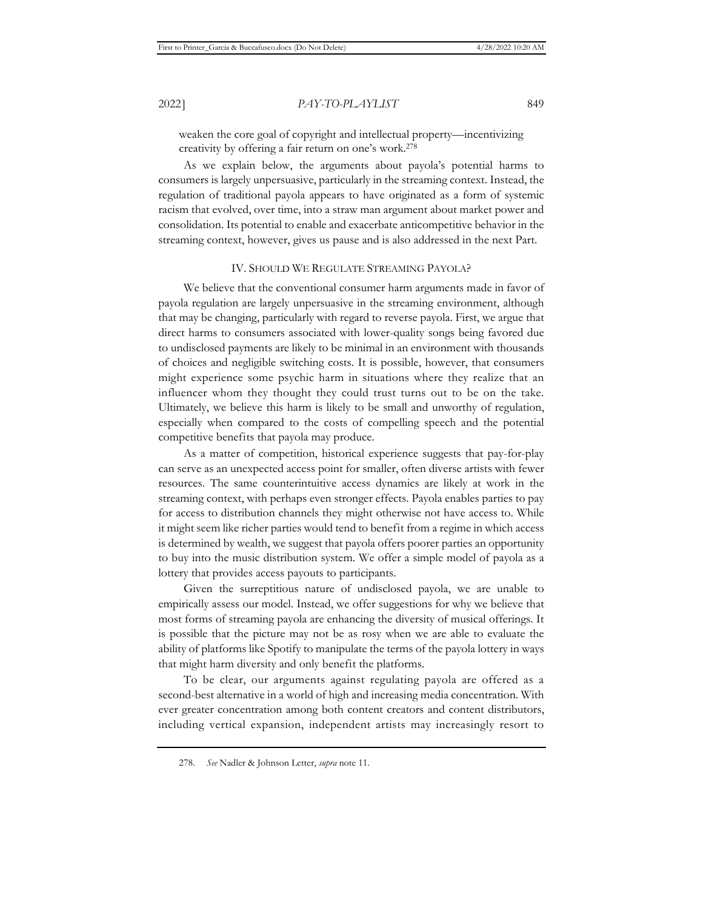weaken the core goal of copyright and intellectual property—incentivizing creativity by offering a fair return on one's work.278

As we explain below, the arguments about payola's potential harms to consumers is largely unpersuasive, particularly in the streaming context. Instead, the regulation of traditional payola appears to have originated as a form of systemic racism that evolved, over time, into a straw man argument about market power and consolidation. Its potential to enable and exacerbate anticompetitive behavior in the streaming context, however, gives us pause and is also addressed in the next Part.

#### IV. SHOULD WE REGULATE STREAMING PAYOLA?

We believe that the conventional consumer harm arguments made in favor of payola regulation are largely unpersuasive in the streaming environment, although that may be changing, particularly with regard to reverse payola. First, we argue that direct harms to consumers associated with lower-quality songs being favored due to undisclosed payments are likely to be minimal in an environment with thousands of choices and negligible switching costs. It is possible, however, that consumers might experience some psychic harm in situations where they realize that an influencer whom they thought they could trust turns out to be on the take. Ultimately, we believe this harm is likely to be small and unworthy of regulation, especially when compared to the costs of compelling speech and the potential competitive benefits that payola may produce.

As a matter of competition, historical experience suggests that pay-for-play can serve as an unexpected access point for smaller, often diverse artists with fewer resources. The same counterintuitive access dynamics are likely at work in the streaming context, with perhaps even stronger effects. Payola enables parties to pay for access to distribution channels they might otherwise not have access to. While it might seem like richer parties would tend to benefit from a regime in which access is determined by wealth, we suggest that payola offers poorer parties an opportunity to buy into the music distribution system. We offer a simple model of payola as a lottery that provides access payouts to participants.

Given the surreptitious nature of undisclosed payola, we are unable to empirically assess our model. Instead, we offer suggestions for why we believe that most forms of streaming payola are enhancing the diversity of musical offerings. It is possible that the picture may not be as rosy when we are able to evaluate the ability of platforms like Spotify to manipulate the terms of the payola lottery in ways that might harm diversity and only benefit the platforms.

To be clear, our arguments against regulating payola are offered as a second-best alternative in a world of high and increasing media concentration. With ever greater concentration among both content creators and content distributors, including vertical expansion, independent artists may increasingly resort to

<sup>278.</sup> *See* Nadler & Johnson Letter, *supra* note 11.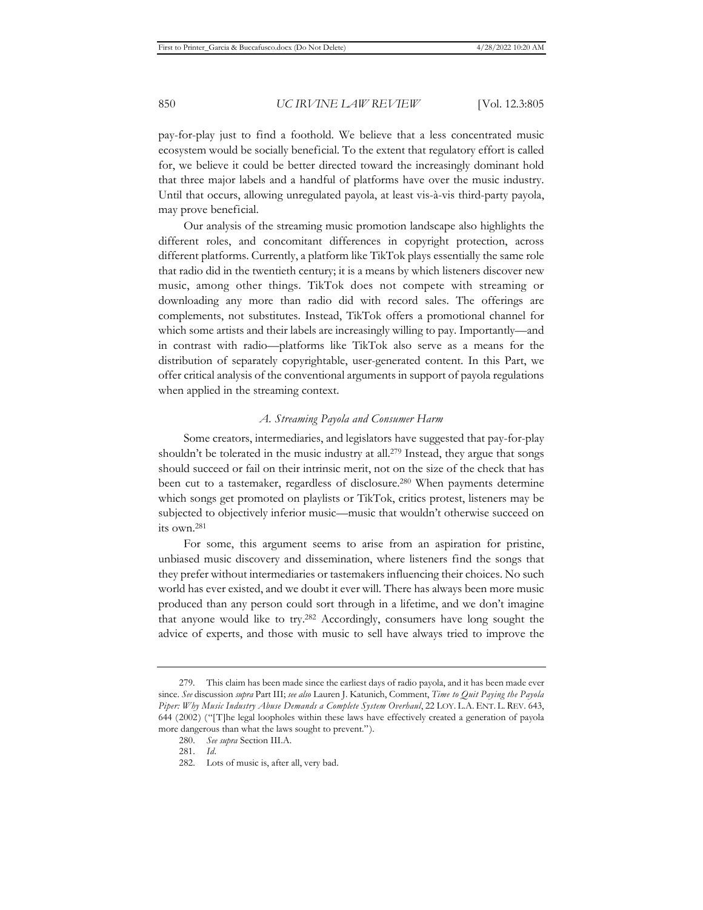pay-for-play just to find a foothold. We believe that a less concentrated music ecosystem would be socially beneficial. To the extent that regulatory effort is called for, we believe it could be better directed toward the increasingly dominant hold that three major labels and a handful of platforms have over the music industry. Until that occurs, allowing unregulated payola, at least vis-à-vis third-party payola, may prove beneficial.

Our analysis of the streaming music promotion landscape also highlights the different roles, and concomitant differences in copyright protection, across different platforms. Currently, a platform like TikTok plays essentially the same role that radio did in the twentieth century; it is a means by which listeners discover new music, among other things. TikTok does not compete with streaming or downloading any more than radio did with record sales. The offerings are complements, not substitutes. Instead, TikTok offers a promotional channel for which some artists and their labels are increasingly willing to pay. Importantly—and in contrast with radio—platforms like TikTok also serve as a means for the distribution of separately copyrightable, user-generated content. In this Part, we offer critical analysis of the conventional arguments in support of payola regulations when applied in the streaming context.

# *A. Streaming Payola and Consumer Harm*

Some creators, intermediaries, and legislators have suggested that pay-for-play shouldn't be tolerated in the music industry at all.279 Instead, they argue that songs should succeed or fail on their intrinsic merit, not on the size of the check that has been cut to a tastemaker, regardless of disclosure.280 When payments determine which songs get promoted on playlists or TikTok, critics protest, listeners may be subjected to objectively inferior music—music that wouldn't otherwise succeed on its own.281

For some, this argument seems to arise from an aspiration for pristine, unbiased music discovery and dissemination, where listeners find the songs that they prefer without intermediaries or tastemakers influencing their choices. No such world has ever existed, and we doubt it ever will. There has always been more music produced than any person could sort through in a lifetime, and we don't imagine that anyone would like to try.282 Accordingly, consumers have long sought the advice of experts, and those with music to sell have always tried to improve the

<sup>279.</sup> This claim has been made since the earliest days of radio payola, and it has been made ever since. *See* discussion *supra* Part III; *see also* Lauren J. Katunich, Comment, *Time to Quit Paying the Payola Piper: Why Music Industry Abuse Demands a Complete System Overhaul*, 22 LOY. L.A. ENT. L. REV. 643, 644 (2002) ("[T]he legal loopholes within these laws have effectively created a generation of payola more dangerous than what the laws sought to prevent.").

<sup>280.</sup> *See supra* Section III.A.

<sup>281.</sup> *Id.*

<sup>282.</sup> Lots of music is, after all, very bad.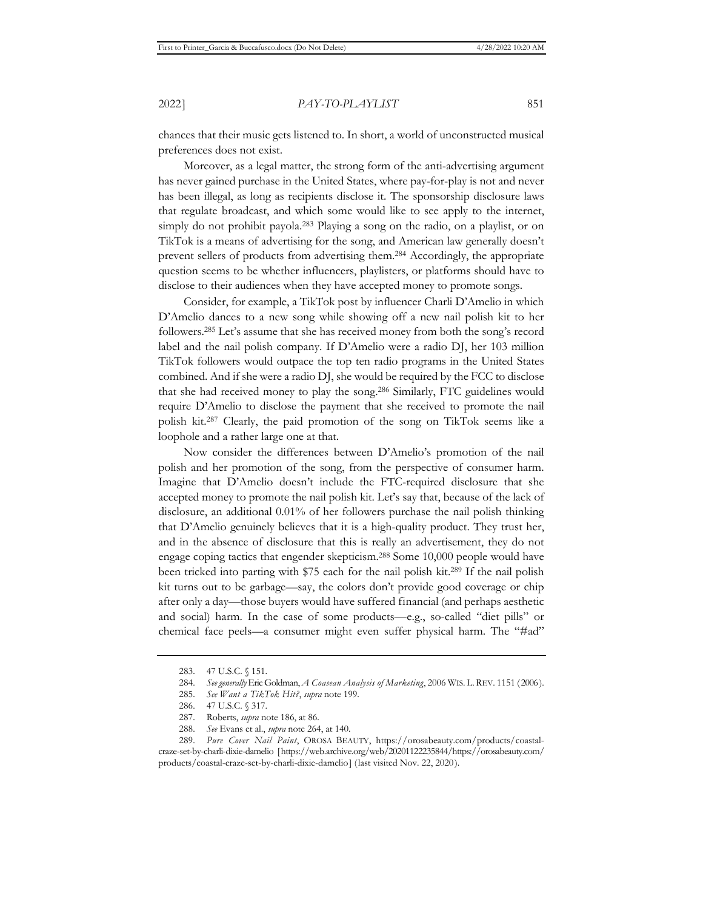chances that their music gets listened to. In short, a world of unconstructed musical preferences does not exist.

Moreover, as a legal matter, the strong form of the anti-advertising argument has never gained purchase in the United States, where pay-for-play is not and never has been illegal, as long as recipients disclose it. The sponsorship disclosure laws that regulate broadcast, and which some would like to see apply to the internet, simply do not prohibit payola.<sup>283</sup> Playing a song on the radio, on a playlist, or on TikTok is a means of advertising for the song, and American law generally doesn't prevent sellers of products from advertising them.284 Accordingly, the appropriate question seems to be whether influencers, playlisters, or platforms should have to disclose to their audiences when they have accepted money to promote songs.

Consider, for example, a TikTok post by influencer Charli D'Amelio in which D'Amelio dances to a new song while showing off a new nail polish kit to her followers.285 Let's assume that she has received money from both the song's record label and the nail polish company. If D'Amelio were a radio DJ, her 103 million TikTok followers would outpace the top ten radio programs in the United States combined. And if she were a radio DJ, she would be required by the FCC to disclose that she had received money to play the song.286 Similarly, FTC guidelines would require D'Amelio to disclose the payment that she received to promote the nail polish kit.287 Clearly, the paid promotion of the song on TikTok seems like a loophole and a rather large one at that.

Now consider the differences between D'Amelio's promotion of the nail polish and her promotion of the song, from the perspective of consumer harm. Imagine that D'Amelio doesn't include the FTC-required disclosure that she accepted money to promote the nail polish kit. Let's say that, because of the lack of disclosure, an additional 0.01% of her followers purchase the nail polish thinking that D'Amelio genuinely believes that it is a high-quality product. They trust her, and in the absence of disclosure that this is really an advertisement, they do not engage coping tactics that engender skepticism.288 Some 10,000 people would have been tricked into parting with \$75 each for the nail polish kit.289 If the nail polish kit turns out to be garbage—say, the colors don't provide good coverage or chip after only a day—those buyers would have suffered financial (and perhaps aesthetic and social) harm. In the case of some products—e.g., so-called "diet pills" or chemical face peels—a consumer might even suffer physical harm. The "#ad"

<sup>283. 47</sup> U.S.C. § 151.

<sup>284.</sup> *See generally* Eric Goldman, *A Coasean Analysis of Marketing*, 2006 WIS. L.REV. 1151 (2006).

<sup>285.</sup> *See Want a TikTok Hit?*, *supra* note 199.

<sup>286. 47</sup> U.S.C. § 317.

<sup>287.</sup> Roberts, *supra* note 186, at 86.

<sup>288.</sup> *See* Evans et al., *supra* note 264, at 140.

<sup>289.</sup> *Pure Cover Nail Paint*, OROSA BEAUTY, https://orosabeauty.com/products/coastalcraze-set-by-charli-dixie-damelio [https://web.archive.org/web/20201122235844/https://orosabeauty.com/ products/coastal-craze-set-by-charli-dixie-damelio] (last visited Nov. 22, 2020).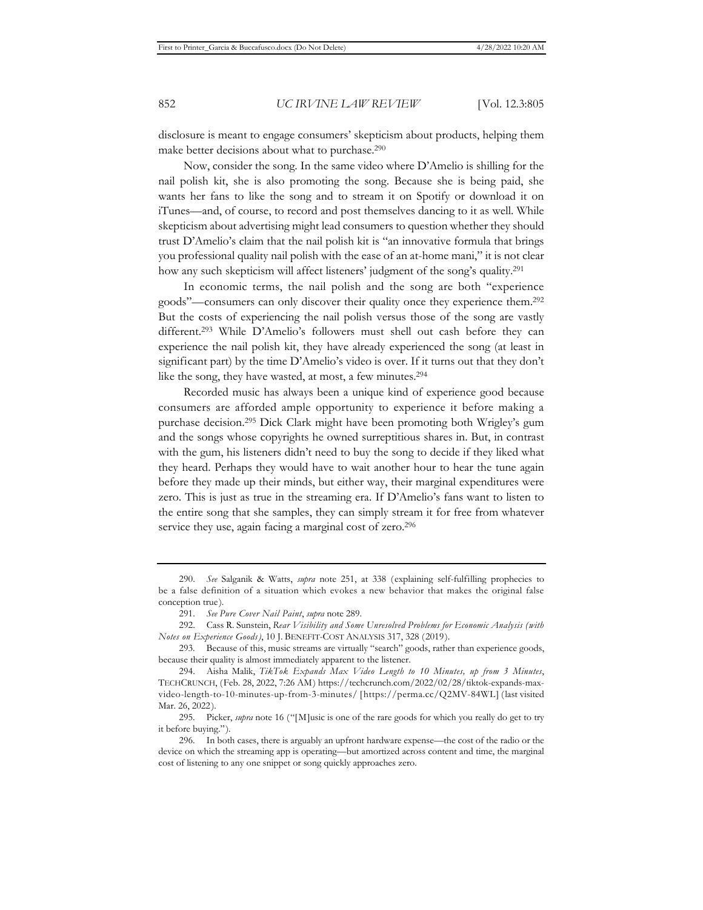disclosure is meant to engage consumers' skepticism about products, helping them make better decisions about what to purchase.290

Now, consider the song. In the same video where D'Amelio is shilling for the nail polish kit, she is also promoting the song. Because she is being paid, she wants her fans to like the song and to stream it on Spotify or download it on iTunes—and, of course, to record and post themselves dancing to it as well. While skepticism about advertising might lead consumers to question whether they should trust D'Amelio's claim that the nail polish kit is "an innovative formula that brings you professional quality nail polish with the ease of an at-home mani," it is not clear how any such skepticism will affect listeners' judgment of the song's quality.291

In economic terms, the nail polish and the song are both "experience goods"—consumers can only discover their quality once they experience them.292 But the costs of experiencing the nail polish versus those of the song are vastly different.293 While D'Amelio's followers must shell out cash before they can experience the nail polish kit, they have already experienced the song (at least in significant part) by the time D'Amelio's video is over. If it turns out that they don't like the song, they have wasted, at most, a few minutes.<sup>294</sup>

Recorded music has always been a unique kind of experience good because consumers are afforded ample opportunity to experience it before making a purchase decision.295 Dick Clark might have been promoting both Wrigley's gum and the songs whose copyrights he owned surreptitious shares in. But, in contrast with the gum, his listeners didn't need to buy the song to decide if they liked what they heard. Perhaps they would have to wait another hour to hear the tune again before they made up their minds, but either way, their marginal expenditures were zero. This is just as true in the streaming era. If D'Amelio's fans want to listen to the entire song that she samples, they can simply stream it for free from whatever service they use, again facing a marginal cost of zero.<sup>296</sup>

<sup>290.</sup> *See* Salganik & Watts, *supra* note 251, at 338 (explaining self-fulfilling prophecies to be a false definition of a situation which evokes a new behavior that makes the original false conception true).

<sup>291.</sup> *See Pure Cover Nail Paint*, *supra* note 289.

<sup>292.</sup> Cass R. Sunstein, *Rear Visibility and Some Unresolved Problems for Economic Analysis (with Notes on Experience Goods)*, 10 J. BENEFIT-COST ANALYSIS 317, 328 (2019).

<sup>293.</sup> Because of this, music streams are virtually "search" goods, rather than experience goods, because their quality is almost immediately apparent to the listener.

<sup>294.</sup> Aisha Malik, *TikTok Expands Max Video Length to 10 Minutes, up from 3 Minutes*, TECHCRUNCH, (Feb. 28, 2022, 7:26 AM) https://techcrunch.com/2022/02/28/tiktok-expands-maxvideo-length-to-10-minutes-up-from-3-minutes/ [https://perma.cc/Q2MV-84WL] (last visited Mar. 26, 2022).

<sup>295.</sup> Picker, *supra* note 16 ("[M]usic is one of the rare goods for which you really do get to try it before buying.").

<sup>296.</sup> In both cases, there is arguably an upfront hardware expense—the cost of the radio or the device on which the streaming app is operating—but amortized across content and time, the marginal cost of listening to any one snippet or song quickly approaches zero.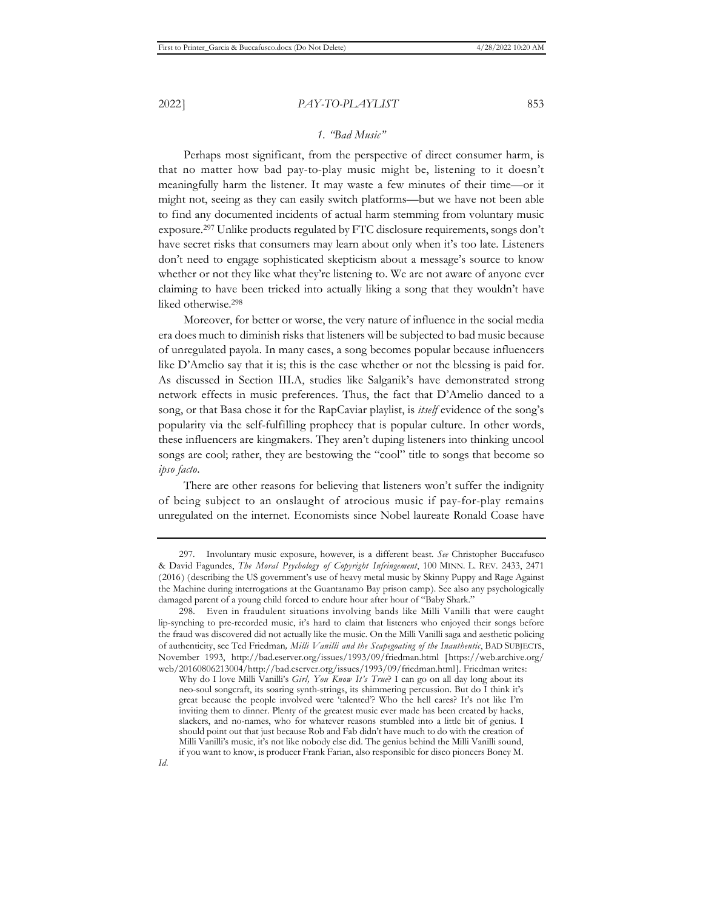# *1. "Bad Music"*

Perhaps most significant, from the perspective of direct consumer harm, is that no matter how bad pay-to-play music might be, listening to it doesn't meaningfully harm the listener. It may waste a few minutes of their time—or it might not, seeing as they can easily switch platforms—but we have not been able to find any documented incidents of actual harm stemming from voluntary music exposure.297 Unlike products regulated by FTC disclosure requirements, songs don't have secret risks that consumers may learn about only when it's too late. Listeners don't need to engage sophisticated skepticism about a message's source to know whether or not they like what they're listening to. We are not aware of anyone ever claiming to have been tricked into actually liking a song that they wouldn't have liked otherwise.298

Moreover, for better or worse, the very nature of influence in the social media era does much to diminish risks that listeners will be subjected to bad music because of unregulated payola. In many cases, a song becomes popular because influencers like D'Amelio say that it is; this is the case whether or not the blessing is paid for. As discussed in Section III.A, studies like Salganik's have demonstrated strong network effects in music preferences. Thus, the fact that D'Amelio danced to a song, or that Basa chose it for the RapCaviar playlist, is *itself* evidence of the song's popularity via the self-fulfilling prophecy that is popular culture. In other words, these influencers are kingmakers. They aren't duping listeners into thinking uncool songs are cool; rather, they are bestowing the "cool" title to songs that become so *ipso facto*.

There are other reasons for believing that listeners won't suffer the indignity of being subject to an onslaught of atrocious music if pay-for-play remains unregulated on the internet. Economists since Nobel laureate Ronald Coase have

<sup>297.</sup> Involuntary music exposure, however, is a different beast. *See* Christopher Buccafusco & David Fagundes, *The Moral Psychology of Copyright Infringement*, 100 MINN. L. REV. 2433, 2471 (2016) (describing the US government's use of heavy metal music by Skinny Puppy and Rage Against the Machine during interrogations at the Guantanamo Bay prison camp). See also any psychologically damaged parent of a young child forced to endure hour after hour of "Baby Shark."

<sup>298.</sup> Even in fraudulent situations involving bands like Milli Vanilli that were caught lip-synching to pre-recorded music, it's hard to claim that listeners who enjoyed their songs before the fraud was discovered did not actually like the music. On the Milli Vanilli saga and aesthetic policing of authenticity, see Ted Friedman*, Milli Vanilli and the Scapegoating of the Inauthentic*, BAD SUBJECTS, November 1993, http://bad.eserver.org/issues/1993/09/friedman.html [https://web.archive.org/ web/20160806213004/http://bad.eserver.org/issues/1993/09/friedman.html]. Friedman writes:

Why do I love Milli Vanilli's *Girl, You Know It's True*? I can go on all day long about its neo-soul songcraft, its soaring synth-strings, its shimmering percussion. But do I think it's great because the people involved were 'talented'? Who the hell cares? It's not like I'm inviting them to dinner. Plenty of the greatest music ever made has been created by hacks, slackers, and no-names, who for whatever reasons stumbled into a little bit of genius. I should point out that just because Rob and Fab didn't have much to do with the creation of Milli Vanilli's music, it's not like nobody else did. The genius behind the Milli Vanilli sound, if you want to know, is producer Frank Farian, also responsible for disco pioneers Boney M.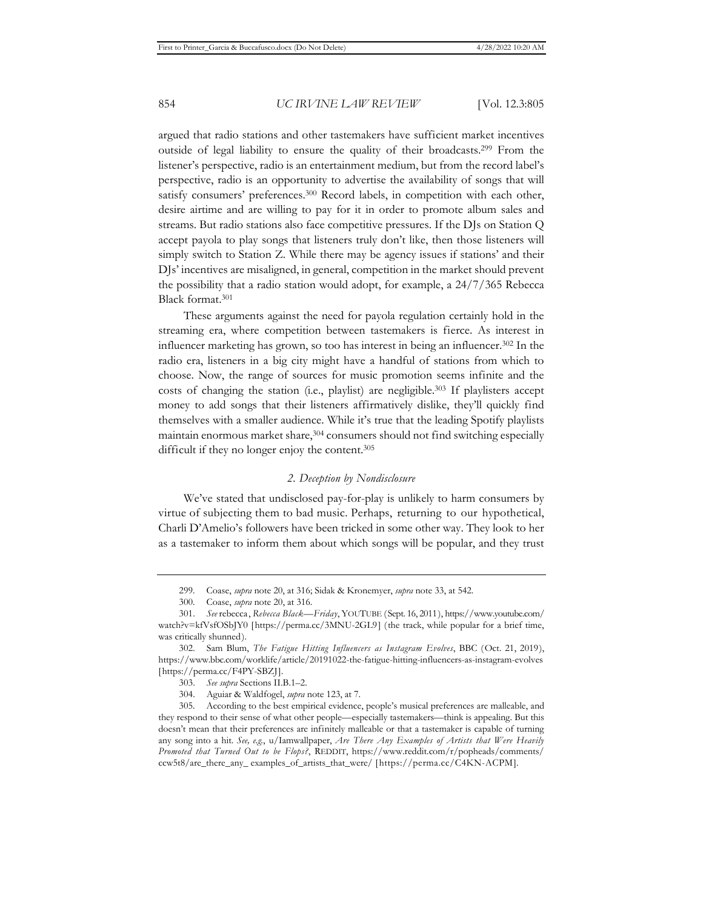argued that radio stations and other tastemakers have sufficient market incentives outside of legal liability to ensure the quality of their broadcasts.299 From the listener's perspective, radio is an entertainment medium, but from the record label's perspective, radio is an opportunity to advertise the availability of songs that will satisfy consumers' preferences.<sup>300</sup> Record labels, in competition with each other, desire airtime and are willing to pay for it in order to promote album sales and streams. But radio stations also face competitive pressures. If the DJs on Station Q accept payola to play songs that listeners truly don't like, then those listeners will simply switch to Station Z. While there may be agency issues if stations' and their DJs' incentives are misaligned, in general, competition in the market should prevent the possibility that a radio station would adopt, for example, a 24/7/365 Rebecca Black format.301

These arguments against the need for payola regulation certainly hold in the streaming era, where competition between tastemakers is fierce. As interest in influencer marketing has grown, so too has interest in being an influencer.302 In the radio era, listeners in a big city might have a handful of stations from which to choose. Now, the range of sources for music promotion seems infinite and the costs of changing the station (i.e., playlist) are negligible.<sup>303</sup> If playlisters accept money to add songs that their listeners affirmatively dislike, they'll quickly find themselves with a smaller audience. While it's true that the leading Spotify playlists maintain enormous market share,<sup>304</sup> consumers should not find switching especially difficult if they no longer enjoy the content.<sup>305</sup>

### *2. Deception by Nondisclosure*

We've stated that undisclosed pay-for-play is unlikely to harm consumers by virtue of subjecting them to bad music. Perhaps, returning to our hypothetical, Charli D'Amelio's followers have been tricked in some other way. They look to her as a tastemaker to inform them about which songs will be popular, and they trust

<sup>299.</sup> Coase, *supra* note 20, at 316; Sidak & Kronemyer, *supra* note 33, at 542.

<sup>300.</sup> Coase, *supra* note 20, at 316.

<sup>301.</sup> *See* rebecca, *Rebecca Black—Friday*, YOUTUBE (Sept. 16, 2011), https://www.youtube.com/ watch?v=kfVsfOSbJY0 [https://perma.cc/3MNU-2GL9] (the track, while popular for a brief time, was critically shunned).

<sup>302.</sup> Sam Blum, *The Fatigue Hitting Influencers as Instagram Evolves*, BBC (Oct. 21, 2019), https://www.bbc.com/worklife/article/20191022-the-fatigue-hitting-influencers-as-instagram-evolves [https://perma.cc/F4PY-SBZJ].

<sup>303.</sup> *See supra* Sections II.B.1–2.

<sup>304.</sup> Aguiar & Waldfogel, *supra* note 123, at 7.

<sup>305.</sup> According to the best empirical evidence, people's musical preferences are malleable, and they respond to their sense of what other people—especially tastemakers—think is appealing. But this doesn't mean that their preferences are infinitely malleable or that a tastemaker is capable of turning any song into a hit. *See, e.g.*, u/Iamwallpaper, *Are There Any Examples of Artists that Were Heavily Promoted that Turned Out to be Flops?*, REDDIT, https://www.reddit.com/r/popheads/comments/ ccw5t8/are\_there\_any\_ examples\_of\_artists\_that\_were/ [https://perma.cc/C4KN-ACPM].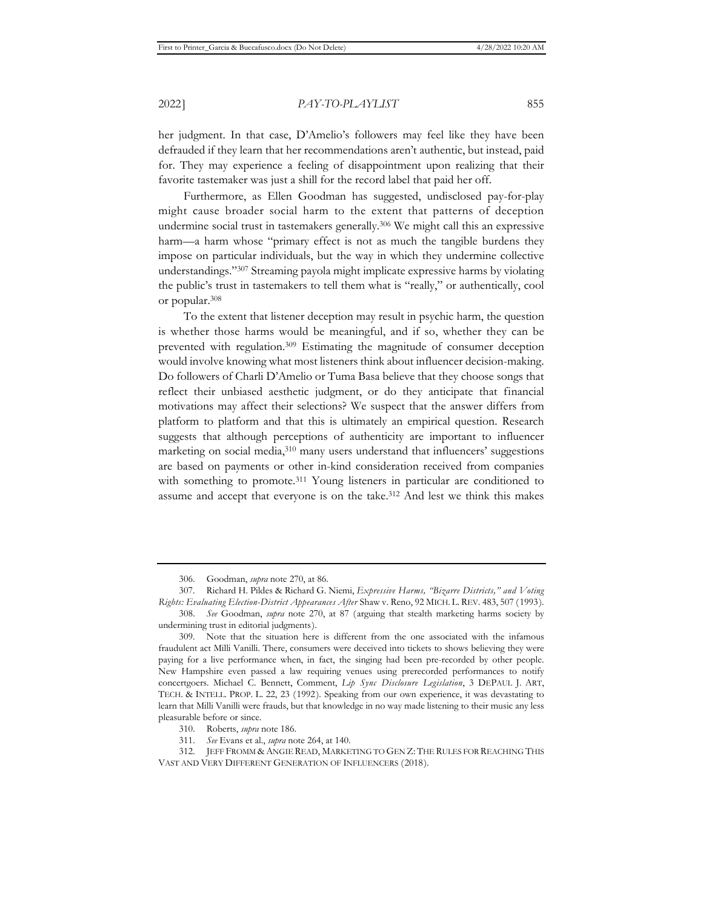her judgment. In that case, D'Amelio's followers may feel like they have been defrauded if they learn that her recommendations aren't authentic, but instead, paid for. They may experience a feeling of disappointment upon realizing that their favorite tastemaker was just a shill for the record label that paid her off.

Furthermore, as Ellen Goodman has suggested, undisclosed pay-for-play might cause broader social harm to the extent that patterns of deception undermine social trust in tastemakers generally.306 We might call this an expressive harm—a harm whose "primary effect is not as much the tangible burdens they impose on particular individuals, but the way in which they undermine collective understandings."307 Streaming payola might implicate expressive harms by violating the public's trust in tastemakers to tell them what is "really," or authentically, cool or popular.308

To the extent that listener deception may result in psychic harm, the question is whether those harms would be meaningful, and if so, whether they can be prevented with regulation.309 Estimating the magnitude of consumer deception would involve knowing what most listeners think about influencer decision-making. Do followers of Charli D'Amelio or Tuma Basa believe that they choose songs that reflect their unbiased aesthetic judgment, or do they anticipate that financial motivations may affect their selections? We suspect that the answer differs from platform to platform and that this is ultimately an empirical question. Research suggests that although perceptions of authenticity are important to influencer marketing on social media,310 many users understand that influencers' suggestions are based on payments or other in-kind consideration received from companies with something to promote.<sup>311</sup> Young listeners in particular are conditioned to assume and accept that everyone is on the take.312 And lest we think this makes

<sup>306.</sup> Goodman, *supra* note 270, at 86.

<sup>307.</sup> Richard H. Pildes & Richard G. Niemi, *Expressive Harms, "Bizarre Districts," and Voting Rights: Evaluating Election-District Appearances After* Shaw v. Reno, 92 MICH. L. REV. 483, 507 (1993).

<sup>308.</sup> *See* Goodman, *supra* note 270, at 87 (arguing that stealth marketing harms society by undermining trust in editorial judgments).

<sup>309.</sup> Note that the situation here is different from the one associated with the infamous fraudulent act Milli Vanilli. There, consumers were deceived into tickets to shows believing they were paying for a live performance when, in fact, the singing had been pre-recorded by other people. New Hampshire even passed a law requiring venues using prerecorded performances to notify concertgoers. Michael C. Bennett, Comment, *Lip Sync Disclosure Legislation*, 3 DEPAUL J. ART, TECH. & INTELL. PROP. L. 22, 23 (1992). Speaking from our own experience, it was devastating to learn that Milli Vanilli were frauds, but that knowledge in no way made listening to their music any less pleasurable before or since.

<sup>310.</sup> Roberts, *supra* note 186.

<sup>311.</sup> *See* Evans et al., *supra* note 264, at 140.

<sup>312.</sup> JEFF FROMM & ANGIE READ, MARKETING TO GEN Z: THE RULES FOR REACHING THIS VAST AND VERY DIFFERENT GENERATION OF INFLUENCERS (2018).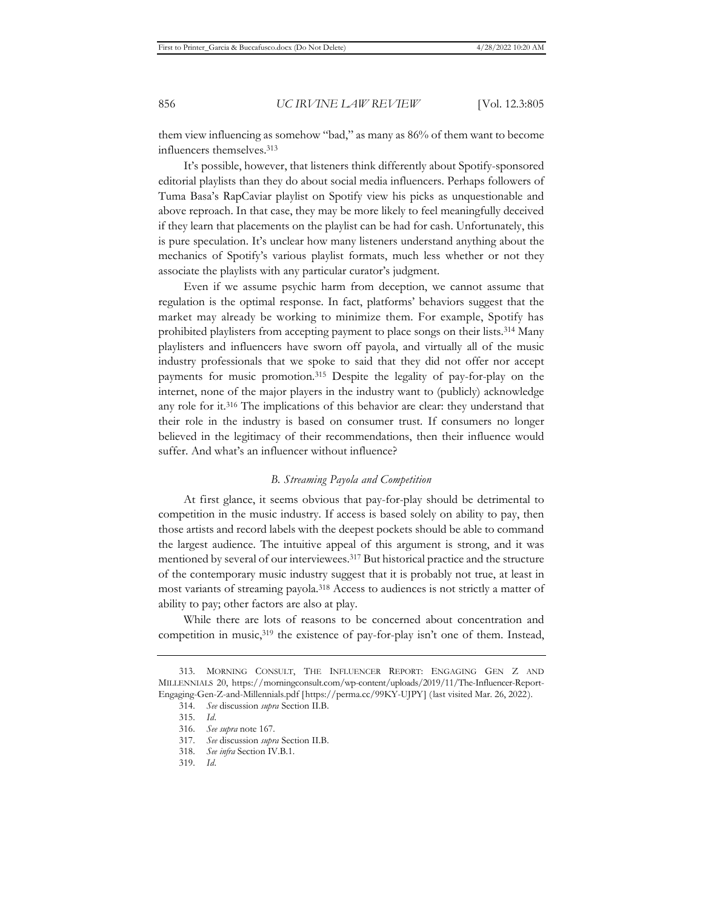them view influencing as somehow "bad," as many as 86% of them want to become influencers themselves.313

It's possible, however, that listeners think differently about Spotify-sponsored editorial playlists than they do about social media influencers. Perhaps followers of Tuma Basa's RapCaviar playlist on Spotify view his picks as unquestionable and above reproach. In that case, they may be more likely to feel meaningfully deceived if they learn that placements on the playlist can be had for cash. Unfortunately, this is pure speculation. It's unclear how many listeners understand anything about the mechanics of Spotify's various playlist formats, much less whether or not they associate the playlists with any particular curator's judgment.

Even if we assume psychic harm from deception, we cannot assume that regulation is the optimal response. In fact, platforms' behaviors suggest that the market may already be working to minimize them. For example, Spotify has prohibited playlisters from accepting payment to place songs on their lists.314 Many playlisters and influencers have sworn off payola, and virtually all of the music industry professionals that we spoke to said that they did not offer nor accept payments for music promotion.315 Despite the legality of pay-for-play on the internet, none of the major players in the industry want to (publicly) acknowledge any role for it.316 The implications of this behavior are clear: they understand that their role in the industry is based on consumer trust. If consumers no longer believed in the legitimacy of their recommendations, then their influence would suffer. And what's an influencer without influence?

### *B. Streaming Payola and Competition*

At first glance, it seems obvious that pay-for-play should be detrimental to competition in the music industry. If access is based solely on ability to pay, then those artists and record labels with the deepest pockets should be able to command the largest audience. The intuitive appeal of this argument is strong, and it was mentioned by several of our interviewees.317 But historical practice and the structure of the contemporary music industry suggest that it is probably not true, at least in most variants of streaming payola.318 Access to audiences is not strictly a matter of ability to pay; other factors are also at play.

While there are lots of reasons to be concerned about concentration and competition in music,319 the existence of pay-for-play isn't one of them. Instead,

<sup>313.</sup> MORNING CONSULT, THE INFLUENCER REPORT: ENGAGING GEN Z AND MILLENNIALS 20, https://morningconsult.com/wp-content/uploads/2019/11/The-Influencer-Report-Engaging-Gen-Z-and-Millennials.pdf [https://perma.cc/99KY-UJPY] (last visited Mar. 26, 2022).

<sup>314.</sup> *See* discussion *supra* Section II.B.

<sup>315.</sup> *Id.*

<sup>316.</sup> *See supra* note 167.

<sup>317.</sup> *See* discussion *supra* Section II.B.

<sup>318.</sup> *See infra* Section IV.B.1.

<sup>319.</sup> *Id.*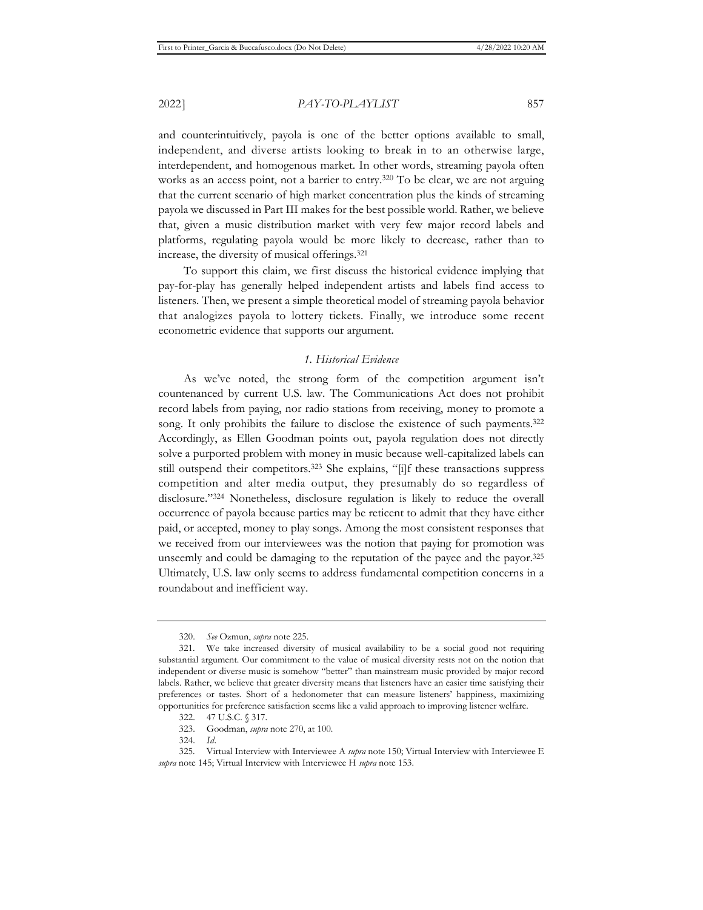and counterintuitively, payola is one of the better options available to small, independent, and diverse artists looking to break in to an otherwise large, interdependent, and homogenous market. In other words, streaming payola often works as an access point, not a barrier to entry.<sup>320</sup> To be clear, we are not arguing that the current scenario of high market concentration plus the kinds of streaming payola we discussed in Part III makes for the best possible world. Rather, we believe that, given a music distribution market with very few major record labels and platforms, regulating payola would be more likely to decrease, rather than to increase, the diversity of musical offerings.321

To support this claim, we first discuss the historical evidence implying that pay-for-play has generally helped independent artists and labels find access to listeners. Then, we present a simple theoretical model of streaming payola behavior that analogizes payola to lottery tickets. Finally, we introduce some recent econometric evidence that supports our argument.

### *1. Historical Evidence*

As we've noted, the strong form of the competition argument isn't countenanced by current U.S. law. The Communications Act does not prohibit record labels from paying, nor radio stations from receiving, money to promote a song. It only prohibits the failure to disclose the existence of such payments.<sup>322</sup> Accordingly, as Ellen Goodman points out, payola regulation does not directly solve a purported problem with money in music because well-capitalized labels can still outspend their competitors.<sup>323</sup> She explains, "[i]f these transactions suppress competition and alter media output, they presumably do so regardless of disclosure."324 Nonetheless, disclosure regulation is likely to reduce the overall occurrence of payola because parties may be reticent to admit that they have either paid, or accepted, money to play songs. Among the most consistent responses that we received from our interviewees was the notion that paying for promotion was unseemly and could be damaging to the reputation of the payee and the payor.325 Ultimately, U.S. law only seems to address fundamental competition concerns in a roundabout and inefficient way.

<sup>320.</sup> *See* Ozmun, *supra* note 225.

<sup>321.</sup> We take increased diversity of musical availability to be a social good not requiring substantial argument. Our commitment to the value of musical diversity rests not on the notion that independent or diverse music is somehow "better" than mainstream music provided by major record labels. Rather, we believe that greater diversity means that listeners have an easier time satisfying their preferences or tastes. Short of a hedonometer that can measure listeners' happiness, maximizing opportunities for preference satisfaction seems like a valid approach to improving listener welfare.

<sup>322. 47</sup> U.S.C. § 317.

<sup>323.</sup> Goodman, *supra* note 270, at 100.

<sup>324.</sup> *Id.*

<sup>325.</sup> Virtual Interview with Interviewee A *supra* note 150; Virtual Interview with Interviewee E *supra* note 145; Virtual Interview with Interviewee H *supra* note 153.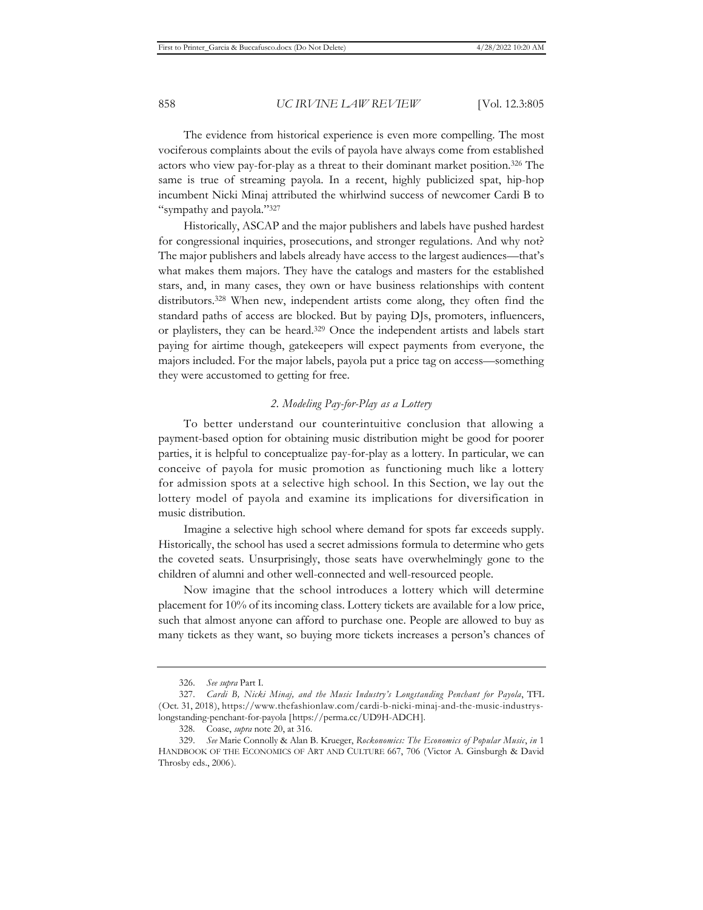The evidence from historical experience is even more compelling. The most vociferous complaints about the evils of payola have always come from established actors who view pay-for-play as a threat to their dominant market position.326 The same is true of streaming payola. In a recent, highly publicized spat, hip-hop incumbent Nicki Minaj attributed the whirlwind success of newcomer Cardi B to "sympathy and payola."327

Historically, ASCAP and the major publishers and labels have pushed hardest for congressional inquiries, prosecutions, and stronger regulations. And why not? The major publishers and labels already have access to the largest audiences—that's what makes them majors. They have the catalogs and masters for the established stars, and, in many cases, they own or have business relationships with content distributors.328 When new, independent artists come along, they often find the standard paths of access are blocked. But by paying DJs, promoters, influencers, or playlisters, they can be heard.329 Once the independent artists and labels start paying for airtime though, gatekeepers will expect payments from everyone, the majors included. For the major labels, payola put a price tag on access—something they were accustomed to getting for free.

### *2. Modeling Pay-for-Play as a Lottery*

To better understand our counterintuitive conclusion that allowing a payment-based option for obtaining music distribution might be good for poorer parties, it is helpful to conceptualize pay-for-play as a lottery. In particular, we can conceive of payola for music promotion as functioning much like a lottery for admission spots at a selective high school. In this Section, we lay out the lottery model of payola and examine its implications for diversification in music distribution.

Imagine a selective high school where demand for spots far exceeds supply. Historically, the school has used a secret admissions formula to determine who gets the coveted seats. Unsurprisingly, those seats have overwhelmingly gone to the children of alumni and other well-connected and well-resourced people.

Now imagine that the school introduces a lottery which will determine placement for 10% of its incoming class. Lottery tickets are available for a low price, such that almost anyone can afford to purchase one. People are allowed to buy as many tickets as they want, so buying more tickets increases a person's chances of

<sup>326.</sup> *See supra* Part I.

<sup>327.</sup> *Cardi B, Nicki Minaj, and the Music Industry's Longstanding Penchant for Payola*, TFL (Oct. 31, 2018), https://www.thefashionlaw.com/cardi-b-nicki-minaj-and-the-music-industryslongstanding-penchant-for-payola [https://perma.cc/UD9H-ADCH].

<sup>328.</sup> Coase, *supra* note 20, at 316.

<sup>329.</sup> *See* Marie Connolly & Alan B. Krueger, *Rockonomics: The Economics of Popular Music*, *in* 1 HANDBOOK OF THE ECONOMICS OF ART AND CULTURE 667, 706 (Victor A. Ginsburgh & David Throsby eds., 2006).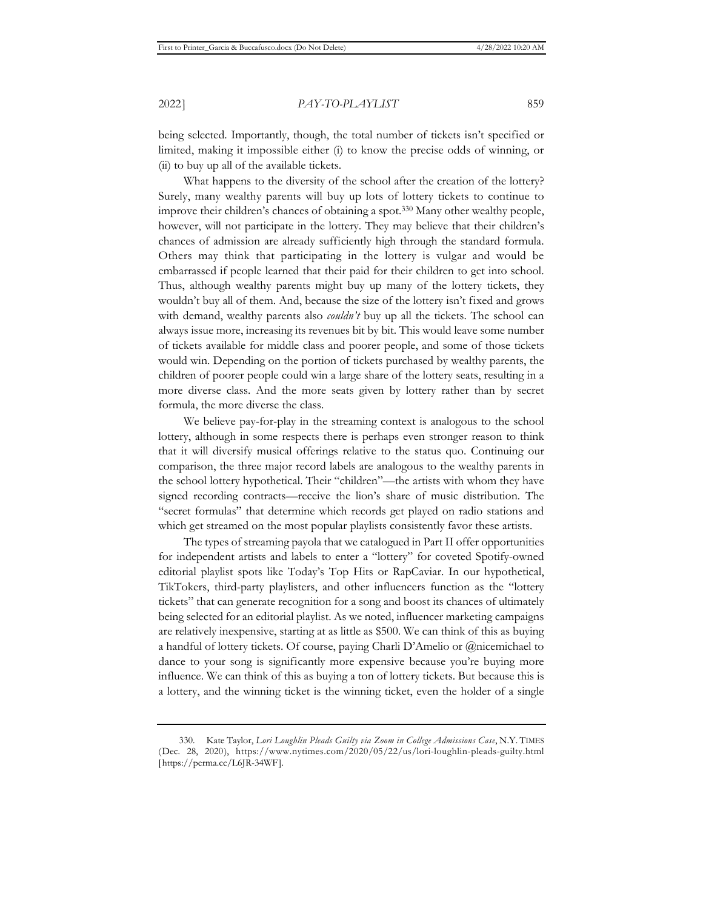being selected. Importantly, though, the total number of tickets isn't specified or limited, making it impossible either (i) to know the precise odds of winning, or (ii) to buy up all of the available tickets.

What happens to the diversity of the school after the creation of the lottery? Surely, many wealthy parents will buy up lots of lottery tickets to continue to improve their children's chances of obtaining a spot.330 Many other wealthy people, however, will not participate in the lottery. They may believe that their children's chances of admission are already sufficiently high through the standard formula. Others may think that participating in the lottery is vulgar and would be embarrassed if people learned that their paid for their children to get into school. Thus, although wealthy parents might buy up many of the lottery tickets, they wouldn't buy all of them. And, because the size of the lottery isn't fixed and grows with demand, wealthy parents also *couldn't* buy up all the tickets. The school can always issue more, increasing its revenues bit by bit. This would leave some number of tickets available for middle class and poorer people, and some of those tickets would win. Depending on the portion of tickets purchased by wealthy parents, the children of poorer people could win a large share of the lottery seats, resulting in a more diverse class. And the more seats given by lottery rather than by secret formula, the more diverse the class.

We believe pay-for-play in the streaming context is analogous to the school lottery, although in some respects there is perhaps even stronger reason to think that it will diversify musical offerings relative to the status quo. Continuing our comparison, the three major record labels are analogous to the wealthy parents in the school lottery hypothetical. Their "children"—the artists with whom they have signed recording contracts—receive the lion's share of music distribution. The "secret formulas" that determine which records get played on radio stations and which get streamed on the most popular playlists consistently favor these artists.

The types of streaming payola that we catalogued in Part II offer opportunities for independent artists and labels to enter a "lottery" for coveted Spotify-owned editorial playlist spots like Today's Top Hits or RapCaviar. In our hypothetical, TikTokers, third-party playlisters, and other influencers function as the "lottery tickets" that can generate recognition for a song and boost its chances of ultimately being selected for an editorial playlist. As we noted, influencer marketing campaigns are relatively inexpensive, starting at as little as \$500. We can think of this as buying a handful of lottery tickets. Of course, paying Charli D'Amelio or @nicemichael to dance to your song is significantly more expensive because you're buying more influence. We can think of this as buying a ton of lottery tickets. But because this is a lottery, and the winning ticket is the winning ticket, even the holder of a single

<sup>330.</sup> Kate Taylor, *Lori Loughlin Pleads Guilty via Zoom in College Admissions Case*, N.Y. TIMES (Dec. 28, 2020), https://www.nytimes.com/2020/05/22/us/lori-loughlin-pleads-guilty.html [https://perma.cc/L6JR-34WF].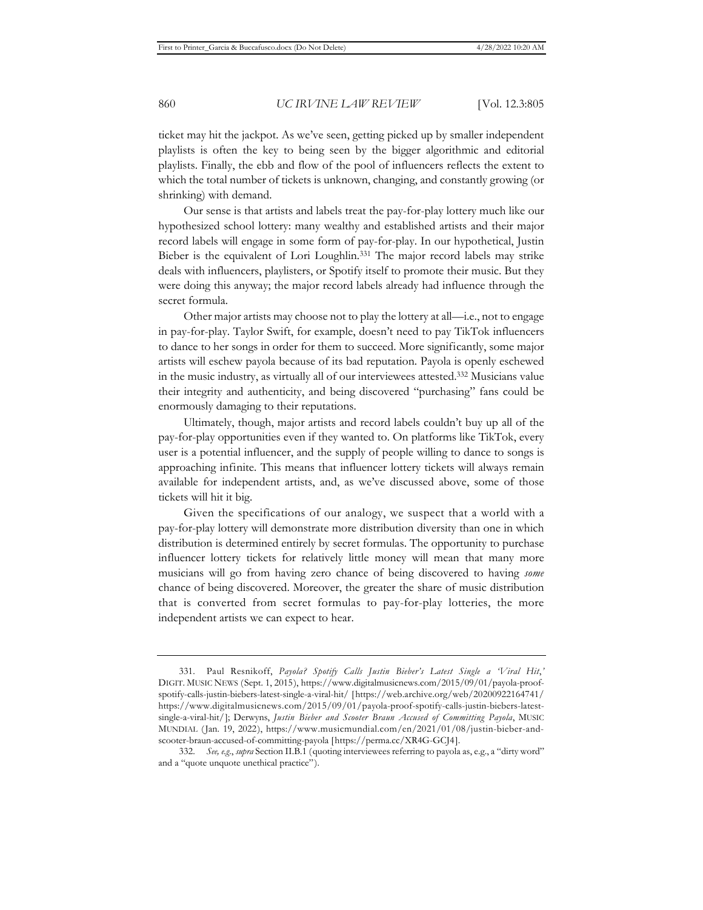ticket may hit the jackpot. As we've seen, getting picked up by smaller independent playlists is often the key to being seen by the bigger algorithmic and editorial playlists. Finally, the ebb and flow of the pool of influencers reflects the extent to which the total number of tickets is unknown, changing, and constantly growing (or shrinking) with demand.

Our sense is that artists and labels treat the pay-for-play lottery much like our hypothesized school lottery: many wealthy and established artists and their major record labels will engage in some form of pay-for-play. In our hypothetical, Justin Bieber is the equivalent of Lori Loughlin.331 The major record labels may strike deals with influencers, playlisters, or Spotify itself to promote their music. But they were doing this anyway; the major record labels already had influence through the secret formula.

Other major artists may choose not to play the lottery at all—i.e., not to engage in pay-for-play. Taylor Swift, for example, doesn't need to pay TikTok influencers to dance to her songs in order for them to succeed. More significantly, some major artists will eschew payola because of its bad reputation. Payola is openly eschewed in the music industry, as virtually all of our interviewees attested.332 Musicians value their integrity and authenticity, and being discovered "purchasing" fans could be enormously damaging to their reputations.

Ultimately, though, major artists and record labels couldn't buy up all of the pay-for-play opportunities even if they wanted to. On platforms like TikTok, every user is a potential influencer, and the supply of people willing to dance to songs is approaching infinite. This means that influencer lottery tickets will always remain available for independent artists, and, as we've discussed above, some of those tickets will hit it big.

Given the specifications of our analogy, we suspect that a world with a pay-for-play lottery will demonstrate more distribution diversity than one in which distribution is determined entirely by secret formulas. The opportunity to purchase influencer lottery tickets for relatively little money will mean that many more musicians will go from having zero chance of being discovered to having *some* chance of being discovered. Moreover, the greater the share of music distribution that is converted from secret formulas to pay-for-play lotteries, the more independent artists we can expect to hear.

<sup>331.</sup> Paul Resnikoff, *Payola? Spotify Calls Justin Bieber's Latest Single a 'Viral Hit*,*'* DIGIT. MUSIC NEWS (Sept. 1, 2015), https://www.digitalmusicnews.com/2015/09/01/payola-proofspotify-calls-justin-biebers-latest-single-a-viral-hit/ [https://web.archive.org/web/20200922164741/ https://www.digitalmusicnews.com/2015/09/01/payola-proof-spotify-calls-justin-biebers-latestsingle-a-viral-hit/]; Derwyns, *Justin Bieber and Scooter Braun Accused of Committing Payola*, MUSIC MUNDIAL (Jan. 19, 2022), https://www.musicmundial.com/en/2021/01/08/justin-bieber-andscooter-braun-accused-of-committing-payola [https://perma.cc/XR4G-GCJ4].

<sup>332.</sup> *See, e.g*., *supra* Section II.B.1 (quoting interviewees referring to payola as, e.g., a "dirty word" and a "quote unquote unethical practice").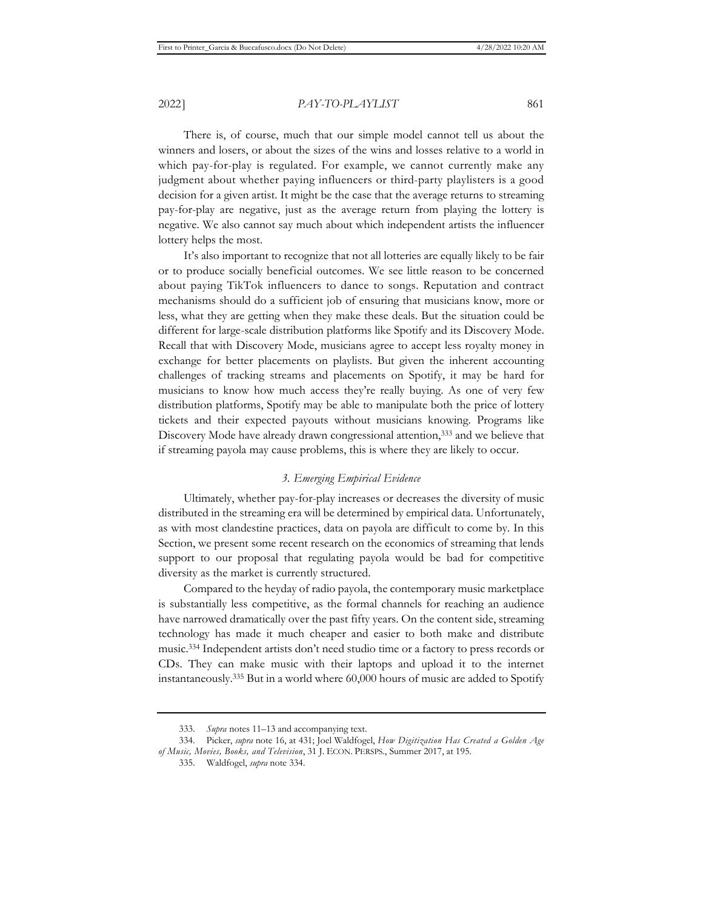There is, of course, much that our simple model cannot tell us about the winners and losers, or about the sizes of the wins and losses relative to a world in which pay-for-play is regulated. For example, we cannot currently make any judgment about whether paying influencers or third-party playlisters is a good decision for a given artist. It might be the case that the average returns to streaming pay-for-play are negative, just as the average return from playing the lottery is negative. We also cannot say much about which independent artists the influencer lottery helps the most.

It's also important to recognize that not all lotteries are equally likely to be fair or to produce socially beneficial outcomes. We see little reason to be concerned about paying TikTok influencers to dance to songs. Reputation and contract mechanisms should do a sufficient job of ensuring that musicians know, more or less, what they are getting when they make these deals. But the situation could be different for large-scale distribution platforms like Spotify and its Discovery Mode. Recall that with Discovery Mode, musicians agree to accept less royalty money in exchange for better placements on playlists. But given the inherent accounting challenges of tracking streams and placements on Spotify, it may be hard for musicians to know how much access they're really buying. As one of very few distribution platforms, Spotify may be able to manipulate both the price of lottery tickets and their expected payouts without musicians knowing. Programs like Discovery Mode have already drawn congressional attention,<sup>333</sup> and we believe that if streaming payola may cause problems, this is where they are likely to occur.

### *3. Emerging Empirical Evidence*

Ultimately, whether pay-for-play increases or decreases the diversity of music distributed in the streaming era will be determined by empirical data. Unfortunately, as with most clandestine practices, data on payola are difficult to come by. In this Section, we present some recent research on the economics of streaming that lends support to our proposal that regulating payola would be bad for competitive diversity as the market is currently structured.

Compared to the heyday of radio payola, the contemporary music marketplace is substantially less competitive, as the formal channels for reaching an audience have narrowed dramatically over the past fifty years. On the content side, streaming technology has made it much cheaper and easier to both make and distribute music.334 Independent artists don't need studio time or a factory to press records or CDs. They can make music with their laptops and upload it to the internet instantaneously.335 But in a world where 60,000 hours of music are added to Spotify

<sup>333.</sup> *Supra* notes 11–13 and accompanying text.

<sup>334.</sup> Picker, *supra* note 16, at 431; Joel Waldfogel, *How Digitization Has Created a Golden Age of Music, Movies, Books, and Television*, 31 J. ECON. PERSPS., Summer 2017, at 195.

<sup>335.</sup> Waldfogel, *supra* note 334.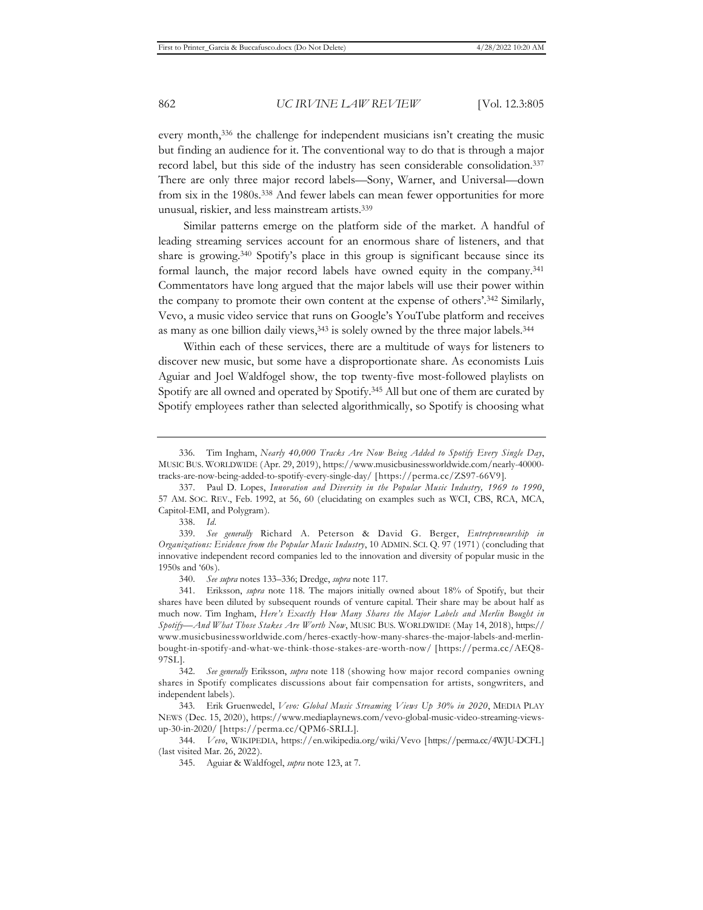every month,336 the challenge for independent musicians isn't creating the music but finding an audience for it. The conventional way to do that is through a major record label, but this side of the industry has seen considerable consolidation.337 There are only three major record labels—Sony, Warner, and Universal—down from six in the 1980s.338 And fewer labels can mean fewer opportunities for more unusual, riskier, and less mainstream artists.339

Similar patterns emerge on the platform side of the market. A handful of leading streaming services account for an enormous share of listeners, and that share is growing.340 Spotify's place in this group is significant because since its formal launch, the major record labels have owned equity in the company.341 Commentators have long argued that the major labels will use their power within the company to promote their own content at the expense of others'.342 Similarly, Vevo, a music video service that runs on Google's YouTube platform and receives as many as one billion daily views,<sup>343</sup> is solely owned by the three major labels.<sup>344</sup>

Within each of these services, there are a multitude of ways for listeners to discover new music, but some have a disproportionate share. As economists Luis Aguiar and Joel Waldfogel show, the top twenty-five most-followed playlists on Spotify are all owned and operated by Spotify.345 All but one of them are curated by Spotify employees rather than selected algorithmically, so Spotify is choosing what

340. *See supra* notes 133–336; Dredge, *supra* note 117.

341. Eriksson, *supra* note 118. The majors initially owned about 18% of Spotify, but their shares have been diluted by subsequent rounds of venture capital. Their share may be about half as much now. Tim Ingham, *Here's Exactly How Many Shares the Major Labels and Merlin Bought in Spotify—And What Those Stakes Are Worth Now*, MUSIC BUS. WORLDWIDE (May 14, 2018), https:// www.musicbusinessworldwide.com/heres-exactly-how-many-shares-the-major-labels-and-merlinbought-in-spotify-and-what-we-think-those-stakes-are-worth-now/ [https://perma.cc/AEQ8- 97SL].

342. *See generally* Eriksson, *supra* note 118 (showing how major record companies owning shares in Spotify complicates discussions about fair compensation for artists, songwriters, and independent labels).

343. Erik Gruenwedel, *Vevo: Global Music Streaming Views Up 30% in 2020*, MEDIA PLAY NEWS (Dec. 15, 2020), https://www.mediaplaynews.com/vevo-global-music-video-streaming-viewsup-30-in-2020/ [https://perma.cc/QPM6-SRLL].

344. *Vevo*, WIKIPEDIA, https://en.wikipedia.org/wiki/Vevo [https://perma.cc/4WJU-DCFL] (last visited Mar. 26, 2022).

345. Aguiar & Waldfogel, *supra* note 123, at 7.

<sup>336.</sup> Tim Ingham, *Nearly 40,000 Tracks Are Now Being Added to Spotify Every Single Day*, MUSIC BUS. WORLDWIDE (Apr. 29, 2019), https://www.musicbusinessworldwide.com/nearly-40000 tracks-are-now-being-added-to-spotify-every-single-day/ [https://perma.cc/ZS97-66V9].

<sup>337.</sup> Paul D. Lopes, *Innovation and Diversity in the Popular Music Industry, 1969 to 1990*, 57 AM. SOC. REV., Feb. 1992, at 56, 60 (elucidating on examples such as WCI, CBS, RCA, MCA, Capitol-EMI, and Polygram).

<sup>338.</sup> *Id.*

<sup>339.</sup> *See generally* Richard A. Peterson & David G. Berger, *Entrepreneurship in Organizations: Evidence from the Popular Music Industry*, 10 ADMIN. SCI. Q. 97 (1971) (concluding that innovative independent record companies led to the innovation and diversity of popular music in the 1950s and '60s).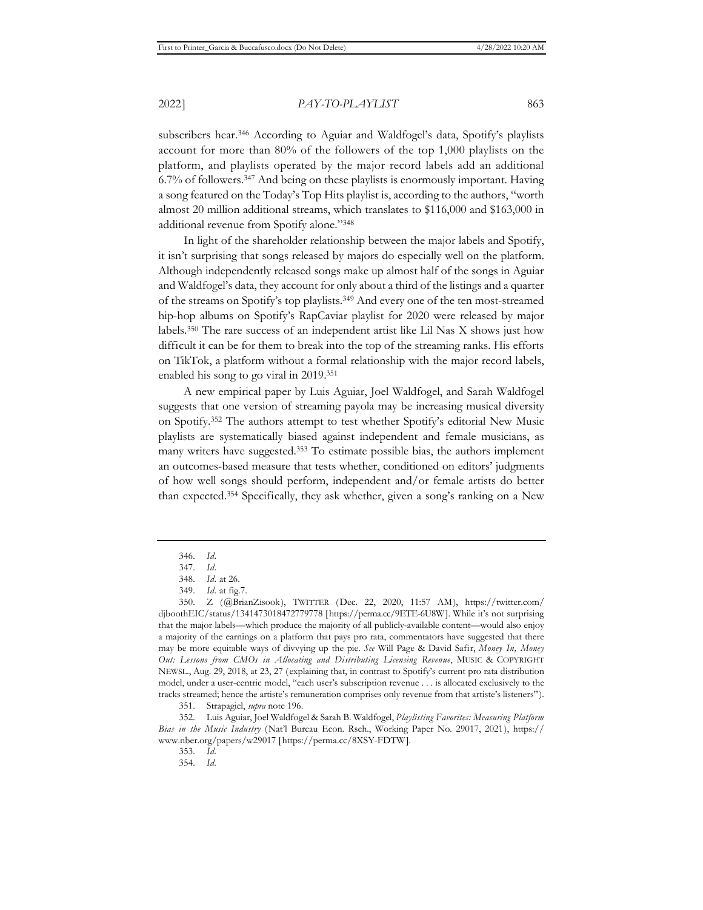subscribers hear.346 According to Aguiar and Waldfogel's data, Spotify's playlists account for more than 80% of the followers of the top 1,000 playlists on the platform, and playlists operated by the major record labels add an additional 6.7% of followers.347 And being on these playlists is enormously important. Having a song featured on the Today's Top Hits playlist is, according to the authors, "worth almost 20 million additional streams, which translates to \$116,000 and \$163,000 in additional revenue from Spotify alone."348

In light of the shareholder relationship between the major labels and Spotify, it isn't surprising that songs released by majors do especially well on the platform. Although independently released songs make up almost half of the songs in Aguiar and Waldfogel's data, they account for only about a third of the listings and a quarter of the streams on Spotify's top playlists.349 And every one of the ten most-streamed hip-hop albums on Spotify's RapCaviar playlist for 2020 were released by major labels.350 The rare success of an independent artist like Lil Nas X shows just how difficult it can be for them to break into the top of the streaming ranks. His efforts on TikTok, a platform without a formal relationship with the major record labels, enabled his song to go viral in 2019.351

A new empirical paper by Luis Aguiar, Joel Waldfogel, and Sarah Waldfogel suggests that one version of streaming payola may be increasing musical diversity on Spotify.352 The authors attempt to test whether Spotify's editorial New Music playlists are systematically biased against independent and female musicians, as many writers have suggested.353 To estimate possible bias, the authors implement an outcomes-based measure that tests whether, conditioned on editors' judgments of how well songs should perform, independent and/or female artists do better than expected.354 Specifically, they ask whether, given a song's ranking on a New

<sup>346.</sup> *Id.*

<sup>347.</sup> *Id.*

<sup>348.</sup> *Id.* at 26.

<sup>349.</sup> *Id.* at fig.7.

<sup>350.</sup> Z (@BrianZisook), TWITTER (Dec. 22, 2020, 11:57 AM), https://twitter.com/ djboothEIC/status/1341473018472779778 [https://perma.cc/9ETE-6U8W]. While it's not surprising that the major labels—which produce the majority of all publicly-available content—would also enjoy a majority of the earnings on a platform that pays pro rata, commentators have suggested that there may be more equitable ways of divvying up the pie. *See* Will Page & David Safir, *Money In, Money Out: Lessons from CMOs in Allocating and Distributing Licensing Revenue*, MUSIC & COPYRIGHT NEWSL., Aug. 29, 2018, at 23, 27 (explaining that, in contrast to Spotify's current pro rata distribution model, under a user-centric model, "each user's subscription revenue . . . is allocated exclusively to the tracks streamed; hence the artiste's remuneration comprises only revenue from that artiste's listeners").

<sup>351.</sup> Strapagiel, *supra* note 196.

<sup>352.</sup> Luis Aguiar, Joel Waldfogel & Sarah B. Waldfogel, *Playlisting Favorites: Measuring Platform Bias in the Music Industry* (Nat'l Bureau Econ. Rsch., Working Paper No. 29017, 2021), https:// www.nber.org/papers/w29017 [https://perma.cc/8XSY-FDTW].

<sup>353.</sup> *Id.*

<sup>354.</sup> *Id.*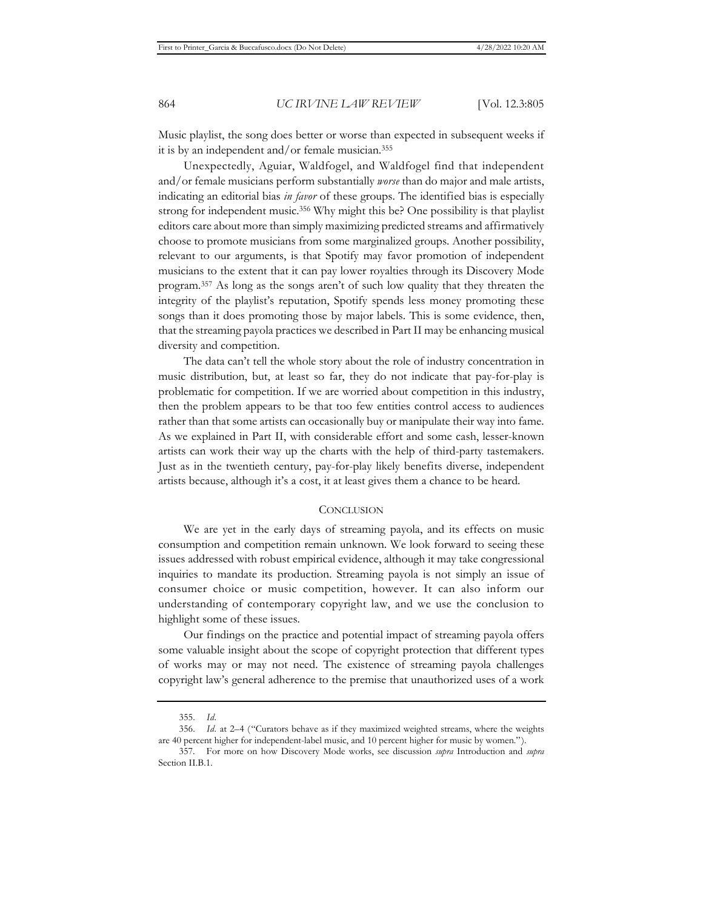Music playlist, the song does better or worse than expected in subsequent weeks if it is by an independent and/or female musician.355

Unexpectedly, Aguiar, Waldfogel, and Waldfogel find that independent and/or female musicians perform substantially *worse* than do major and male artists, indicating an editorial bias *in favor* of these groups. The identified bias is especially strong for independent music.356 Why might this be? One possibility is that playlist editors care about more than simply maximizing predicted streams and affirmatively choose to promote musicians from some marginalized groups. Another possibility, relevant to our arguments, is that Spotify may favor promotion of independent musicians to the extent that it can pay lower royalties through its Discovery Mode program.357 As long as the songs aren't of such low quality that they threaten the integrity of the playlist's reputation, Spotify spends less money promoting these songs than it does promoting those by major labels. This is some evidence, then, that the streaming payola practices we described in Part II may be enhancing musical diversity and competition.

The data can't tell the whole story about the role of industry concentration in music distribution, but, at least so far, they do not indicate that pay-for-play is problematic for competition. If we are worried about competition in this industry, then the problem appears to be that too few entities control access to audiences rather than that some artists can occasionally buy or manipulate their way into fame. As we explained in Part II, with considerable effort and some cash, lesser-known artists can work their way up the charts with the help of third-party tastemakers. Just as in the twentieth century, pay-for-play likely benefits diverse, independent artists because, although it's a cost, it at least gives them a chance to be heard.

### **CONCLUSION**

We are yet in the early days of streaming payola, and its effects on music consumption and competition remain unknown. We look forward to seeing these issues addressed with robust empirical evidence, although it may take congressional inquiries to mandate its production. Streaming payola is not simply an issue of consumer choice or music competition, however. It can also inform our understanding of contemporary copyright law, and we use the conclusion to highlight some of these issues.

Our findings on the practice and potential impact of streaming payola offers some valuable insight about the scope of copyright protection that different types of works may or may not need. The existence of streaming payola challenges copyright law's general adherence to the premise that unauthorized uses of a work

<sup>355.</sup> *Id.*

<sup>356.</sup> *Id.* at 2–4 ("Curators behave as if they maximized weighted streams, where the weights are 40 percent higher for independent-label music, and 10 percent higher for music by women.").

<sup>357.</sup> For more on how Discovery Mode works, see discussion *supra* Introduction and *supra* Section II.B.1.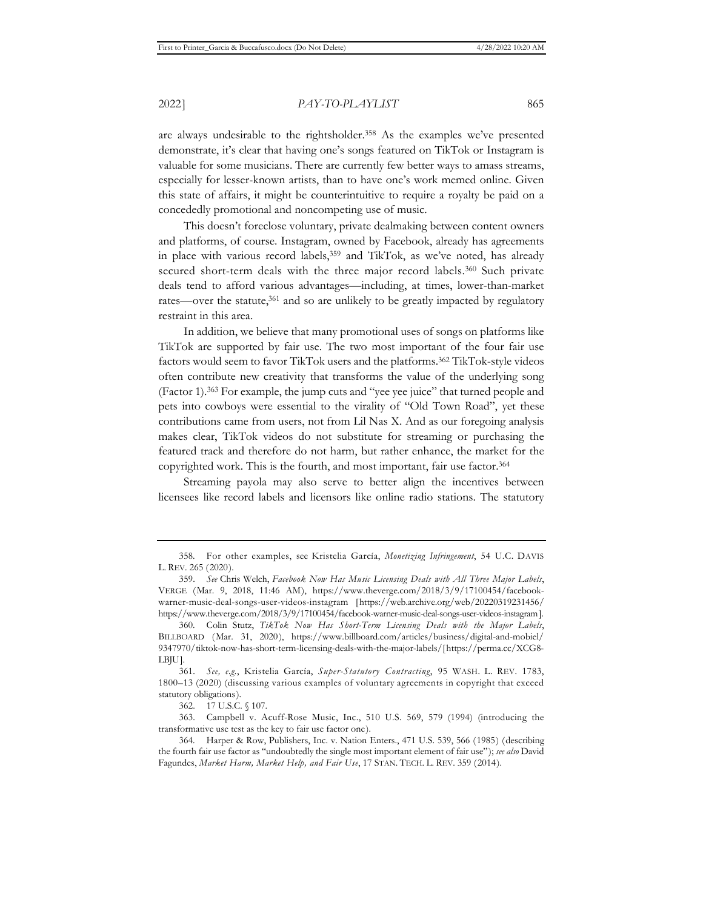are always undesirable to the rightsholder.358 As the examples we've presented demonstrate, it's clear that having one's songs featured on TikTok or Instagram is valuable for some musicians. There are currently few better ways to amass streams, especially for lesser-known artists, than to have one's work memed online. Given this state of affairs, it might be counterintuitive to require a royalty be paid on a concededly promotional and noncompeting use of music.

This doesn't foreclose voluntary, private dealmaking between content owners and platforms, of course. Instagram, owned by Facebook, already has agreements in place with various record labels,<sup>359</sup> and TikTok, as we've noted, has already secured short-term deals with the three major record labels.<sup>360</sup> Such private deals tend to afford various advantages—including, at times, lower-than-market rates—over the statute,<sup>361</sup> and so are unlikely to be greatly impacted by regulatory restraint in this area.

In addition, we believe that many promotional uses of songs on platforms like TikTok are supported by fair use. The two most important of the four fair use factors would seem to favor TikTok users and the platforms.<sup>362</sup> TikTok-style videos often contribute new creativity that transforms the value of the underlying song (Factor 1).363 For example, the jump cuts and "yee yee juice" that turned people and pets into cowboys were essential to the virality of "Old Town Road", yet these contributions came from users, not from Lil Nas X. And as our foregoing analysis makes clear, TikTok videos do not substitute for streaming or purchasing the featured track and therefore do not harm, but rather enhance, the market for the copyrighted work. This is the fourth, and most important, fair use factor.364

Streaming payola may also serve to better align the incentives between licensees like record labels and licensors like online radio stations. The statutory

<sup>358.</sup> For other examples, see Kristelia García, *Monetizing Infringement*, 54 U.C. DAVIS L. REV. 265 (2020).

<sup>359.</sup> *See* Chris Welch, *Facebook Now Has Music Licensing Deals with All Three Major Labels*, VERGE (Mar. 9, 2018, 11:46 AM), https://www.theverge.com/2018/3/9/17100454/facebookwarner-music-deal-songs-user-videos-instagram [https://web.archive.org/web/20220319231456/ https://www.theverge.com/2018/3/9/17100454/facebook-warner-music-deal-songs-user-videos-instagram].

<sup>360.</sup> Colin Stutz, *TikTok Now Has Short-Term Licensing Deals with the Major Labels*, BILLBOARD (Mar. 31, 2020), https://www.billboard.com/articles/business/digital-and-mobiel/ 9347970/tiktok-now-has-short-term-licensing-deals-with-the-major-labels/[https://perma.cc/XCG8- LBJU].

<sup>361.</sup> *See, e.g.*, Kristelia García, *Super-Statutory Contracting*, 95 WASH. L. REV. 1783, 1800–13 (2020) (discussing various examples of voluntary agreements in copyright that exceed statutory obligations).

<sup>362. 17</sup> U.S.C. § 107.

<sup>363.</sup> Campbell v. Acuff-Rose Music, Inc., 510 U.S. 569, 579 (1994) (introducing the transformative use test as the key to fair use factor one).

<sup>364.</sup> Harper & Row, Publishers, Inc. v. Nation Enters., 471 U.S. 539, 566 (1985) (describing the fourth fair use factor as "undoubtedly the single most important element of fair use"); *see also* David Fagundes, *Market Harm, Market Help, and Fair Use*, 17 STAN. TECH. L. REV. 359 (2014).